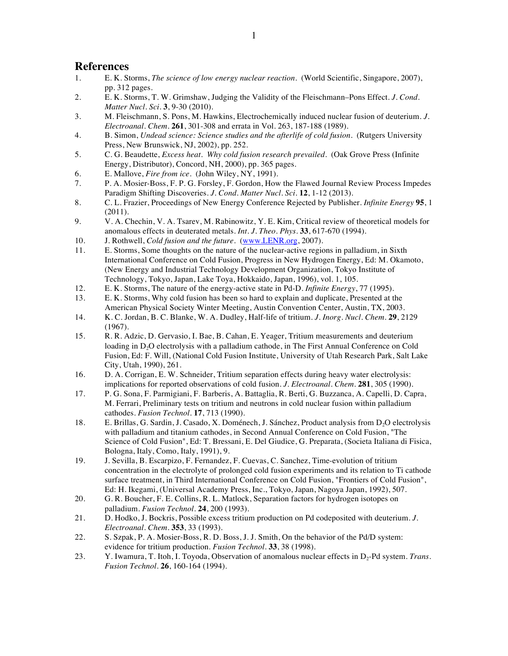## **References**

- 1. E. K. Storms, *The science of low energy nuclear reaction*. (World Scientific, Singapore, 2007), pp. 312 pages.
- 2. E. K. Storms, T. W. Grimshaw, Judging the Validity of the Fleischmann–Pons Effect. *J. Cond. Matter Nucl. Sci.* **3**, 9-30 (2010).
- 3. M. Fleischmann, S. Pons, M. Hawkins, Electrochemically induced nuclear fusion of deuterium. *J. Electroanal. Chem.* **261**, 301-308 and errata in Vol. 263, 187-188 (1989).
- 4. B. Simon, *Undead science: Science studies and the afterlife of cold fusion*. (Rutgers University Press, New Brunswick, NJ, 2002), pp. 252.
- 5. C. G. Beaudette, *Excess heat. Why cold fusion research prevailed*. (Oak Grove Press (Infinite Energy, Distributor), Concord, NH, 2000), pp. 365 pages.
- 6. E. Mallove, *Fire from ice*. (John Wiley, NY, 1991).
- 7. P. A. Mosier-Boss, F. P. G. Forsley, F. Gordon, How the Flawed Journal Review Process Impedes Paradigm Shifting Discoveries. *J. Cond. Matter Nucl. Sci.* **12**, 1-12 (2013).
- 8. C. L. Frazier, Proceedings of New Energy Conference Rejected by Publisher. *Infinite Energy* **95**, 1 (2011).
- 9. V. A. Chechin, V. A. Tsarev, M. Rabinowitz, Y. E. Kim, Critical review of theoretical models for anomalous effects in deuterated metals. *Int. J. Theo. Phys.* **33**, 617-670 (1994).
- 10. J. Rothwell, *Cold fusion and the future*. (www.LENR.org, 2007).
- 11. E. Storms, Some thoughts on the nature of the nuclear-active regions in palladium, in Sixth International Conference on Cold Fusion, Progress in New Hydrogen Energy, Ed: M. Okamoto, (New Energy and Industrial Technology Development Organization, Tokyo Institute of Technology, Tokyo, Japan, Lake Toya, Hokkaido, Japan, 1996), vol. 1, 105.
- 12. E. K. Storms, The nature of the energy-active state in Pd-D. *Infinite Energy*, 77 (1995).
- 13. E. K. Storms, Why cold fusion has been so hard to explain and duplicate, Presented at the American Physical Society Winter Meeting, Austin Convention Center, Austin, TX, 2003.
- 14. K. C. Jordan, B. C. Blanke, W. A. Dudley, Half-life of tritium. *J. Inorg. Nucl. Chem.* **29**, 2129 (1967).
- 15. R. R. Adzic, D. Gervasio, I. Bae, B. Cahan, E. Yeager, Tritium measurements and deuterium loading in D<sub>2</sub>O electrolysis with a palladium cathode, in The First Annual Conference on Cold Fusion, Ed: F. Will, (National Cold Fusion Institute, University of Utah Research Park, Salt Lake City, Utah, 1990), 261.
- 16. D. A. Corrigan, E. W. Schneider, Tritium separation effects during heavy water electrolysis: implications for reported observations of cold fusion. *J. Electroanal. Chem.* **281**, 305 (1990).
- 17. P. G. Sona, F. Parmigiani, F. Barberis, A. Battaglia, R. Berti, G. Buzzanca, A. Capelli, D. Capra, M. Ferrari, Preliminary tests on tritium and neutrons in cold nuclear fusion within palladium cathodes. *Fusion Technol.* **17**, 713 (1990).
- 18. E. Brillas, G. Sardin, J. Casado, X. Doménech, J. Sánchez, Product analysis from D<sub>2</sub>O electrolysis with palladium and titanium cathodes, in Second Annual Conference on Cold Fusion, "The Science of Cold Fusion", Ed: T. Bressani, E. Del Giudice, G. Preparata, (Societa Italiana di Fisica, Bologna, Italy, Como, Italy, 1991), 9.
- 19. J. Sevilla, B. Escarpizo, F. Fernandez, F. Cuevas, C. Sanchez, Time-evolution of tritium concentration in the electrolyte of prolonged cold fusion experiments and its relation to Ti cathode surface treatment, in Third International Conference on Cold Fusion, "Frontiers of Cold Fusion", Ed: H. Ikegami, (Universal Academy Press, Inc., Tokyo, Japan, Nagoya Japan, 1992), 507.
- 20. G. R. Boucher, F. E. Collins, R. L. Matlock, Separation factors for hydrogen isotopes on palladium. *Fusion Technol.* **24**, 200 (1993).
- 21. D. Hodko, J. Bockris, Possible excess tritium production on Pd codeposited with deuterium. *J. Electroanal. Chem.* **353**, 33 (1993).
- 22. S. Szpak, P. A. Mosier-Boss, R. D. Boss, J. J. Smith, On the behavior of the Pd/D system: evidence for tritium production. *Fusion Technol.* **33**, 38 (1998).
- 23. Y. Iwamura, T. Itoh, I. Toyoda, Observation of anomalous nuclear effects in D<sub>2</sub>-Pd system. *Trans. Fusion Technol.* **26**, 160-164 (1994).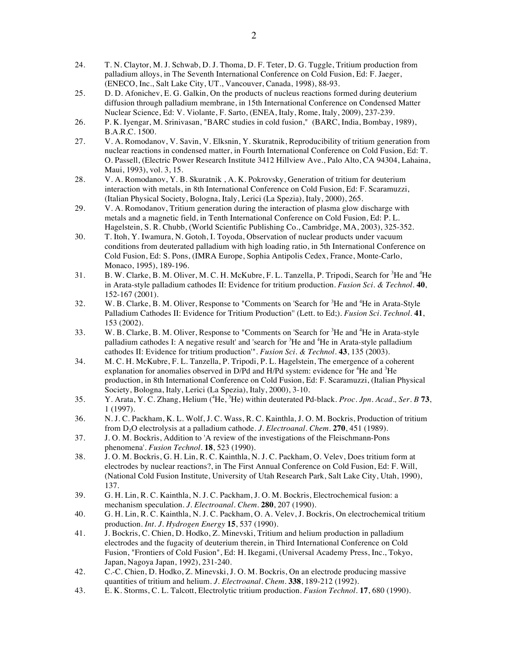- 24. T. N. Claytor, M. J. Schwab, D. J. Thoma, D. F. Teter, D. G. Tuggle, Tritium production from palladium alloys, in The Seventh International Conference on Cold Fusion, Ed: F. Jaeger, (ENECO, Inc., Salt Lake City, UT., Vancouver, Canada, 1998), 88-93.
- 25. D. D. Afonichev, E. G. Galkin, On the products of nucleus reactions formed during deuterium diffusion through palladium membrane, in 15th International Conference on Condensed Matter Nuclear Science, Ed: V. Violante, F. Sarto, (ENEA, Italy, Rome, Italy, 2009), 237-239.
- 26. P. K. Iyengar, M. Srinivasan, "BARC studies in cold fusion," (BARC, India, Bombay, 1989), B.A.R.C. 1500.
- 27. V. A. Romodanov, V. Savin, V. Elksnin, Y. Skuratnik, Reproducibility of tritium generation from nuclear reactions in condensed matter, in Fourth International Conference on Cold Fusion, Ed: T. O. Passell, (Electric Power Research Institute 3412 Hillview Ave., Palo Alto, CA 94304, Lahaina, Maui, 1993), vol. 3, 15.
- 28. V. A. Romodanov, Y. B. Skuratnik , A. K. Pokrovsky, Generation of tritium for deuterium interaction with metals, in 8th International Conference on Cold Fusion, Ed: F. Scaramuzzi, (Italian Physical Society, Bologna, Italy, Lerici (La Spezia), Italy, 2000), 265.
- 29. V. A. Romodanov, Tritium generation during the interaction of plasma glow discharge with metals and a magnetic field, in Tenth International Conference on Cold Fusion, Ed: P. L. Hagelstein, S. R. Chubb, (World Scientific Publishing Co., Cambridge, MA, 2003), 325-352.
- 30. T. Itoh, Y. Iwamura, N. Gotoh, I. Toyoda, Observation of nuclear products under vacuum conditions from deuterated palladium with high loading ratio, in 5th International Conference on Cold Fusion, Ed: S. Pons, (IMRA Europe, Sophia Antipolis Cedex, France, Monte-Carlo, Monaco, 1995), 189-196.
- 31. B. W. Clarke, B. M. Oliver, M. C. H. McKubre, F. L. Tanzella, P. Tripodi, Search for <sup>3</sup>He and <sup>4</sup>He in Arata-style palladium cathodes II: Evidence for tritium production. *Fusion Sci. & Technol.* **40**, 152-167 (2001).
- 32. W. B. Clarke, B. M. Oliver, Response to "Comments on 'Search for <sup>3</sup>He and <sup>4</sup>He in Arata-Style Palladium Cathodes II: Evidence for Tritium Production'' (Lett. to Ed;). *Fusion Sci. Technol.* **41**, 153 (2002).
- 33. W. B. Clarke, B. M. Oliver, Response to "Comments on 'Search for <sup>3</sup>He and <sup>4</sup>He in Arata-style palladium cathodes I: A negative result' and 'search for <sup>3</sup>He and <sup>4</sup>He in Arata-style palladium cathodes II: Evidence for tritium production'". *Fusion Sci. & Technol.* **43**, 135 (2003).
- 34. M. C. H. McKubre, F. L. Tanzella, P. Tripodi, P. L. Hagelstein, The emergence of a coherent explanation for anomalies observed in D/Pd and H/Pd system: evidence for <sup>4</sup>He and <sup>3</sup>He production, in 8th International Conference on Cold Fusion, Ed: F. Scaramuzzi, (Italian Physical Society, Bologna, Italy, Lerici (La Spezia), Italy, 2000), 3-10.
- 35. Y. Arata, Y. C. Zhang, Helium (<sup>4</sup> He, <sup>3</sup> He) within deuterated Pd-black. *Proc. Jpn. Acad., Ser. B* **73**, 1 (1997).
- 36. N. J. C. Packham, K. L. Wolf, J. C. Wass, R. C. Kainthla, J. O. M. Bockris, Production of tritium from D2O electrolysis at a palladium cathode. *J. Electroanal. Chem.* **270**, 451 (1989).
- 37. J. O. M. Bockris, Addition to 'A review of the investigations of the Fleischmann-Pons phenomena'. *Fusion Technol.* **18**, 523 (1990).
- 38. J. O. M. Bockris, G. H. Lin, R. C. Kainthla, N. J. C. Packham, O. Velev, Does tritium form at electrodes by nuclear reactions?, in The First Annual Conference on Cold Fusion, Ed: F. Will, (National Cold Fusion Institute, University of Utah Research Park, Salt Lake City, Utah, 1990), 137.
- 39. G. H. Lin, R. C. Kainthla, N. J. C. Packham, J. O. M. Bockris, Electrochemical fusion: a mechanism speculation. *J. Electroanal. Chem.* **280**, 207 (1990).
- 40. G. H. Lin, R. C. Kainthla, N. J. C. Packham, O. A. Velev, J. Bockris, On electrochemical tritium production. *Int. J. Hydrogen Energy* **15**, 537 (1990).
- 41. J. Bockris, C. Chien, D. Hodko, Z. Minevski, Tritium and helium production in palladium electrodes and the fugacity of deuterium therein, in Third International Conference on Cold Fusion, "Frontiers of Cold Fusion", Ed: H. Ikegami, (Universal Academy Press, Inc., Tokyo, Japan, Nagoya Japan, 1992), 231-240.
- 42. C.-C. Chien, D. Hodko, Z. Minevski, J. O. M. Bockris, On an electrode producing massive quantities of tritium and helium. *J. Electroanal. Chem.* **338**, 189-212 (1992).
- 43. E. K. Storms, C. L. Talcott, Electrolytic tritium production. *Fusion Technol.* **17**, 680 (1990).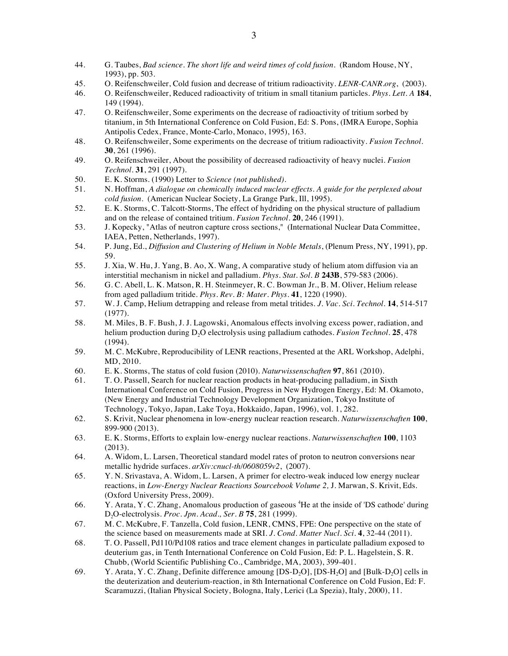- 44. G. Taubes, *Bad science. The short life and weird times of cold fusion*. (Random House, NY, 1993), pp. 503.
- 45. O. Reifenschweiler, Cold fusion and decrease of tritium radioactivity. *LENR-CANR.org*, (2003).
- 46. O. Reifenschweiler, Reduced radioactivity of tritium in small titanium particles. *Phys. Lett. A* **184**, 149 (1994).
- 47. O. Reifenschweiler, Some experiments on the decrease of radioactivity of tritium sorbed by titanium, in 5th International Conference on Cold Fusion, Ed: S. Pons, (IMRA Europe, Sophia Antipolis Cedex, France, Monte-Carlo, Monaco, 1995), 163.
- 48. O. Reifenschweiler, Some experiments on the decrease of tritium radioactivity. *Fusion Technol.* **30**, 261 (1996).
- 49. O. Reifenschweiler, About the possibility of decreased radioactivity of heavy nuclei. *Fusion Technol.* **31**, 291 (1997).
- 50. E. K. Storms. (1990) Letter to *Science (not published)*.
- 51. N. Hoffman, *A dialogue on chemically induced nuclear effects. A guide for the perplexed about cold fusion*. (American Nuclear Society, La Grange Park, Ill, 1995).
- 52. E. K. Storms, C. Talcott-Storms, The effect of hydriding on the physical structure of palladium and on the release of contained tritium. *Fusion Technol.* **20**, 246 (1991).
- 53. J. Kopecky, "Atlas of neutron capture cross sections," (International Nuclear Data Committee, IAEA, Petten, Netherlands, 1997).
- 54. P. Jung, Ed., *Diffusion and Clustering of Helium in Noble Metals*, (Plenum Press, NY, 1991), pp. 59.
- 55. J. Xia, W. Hu, J. Yang, B. Ao, X. Wang, A comparative study of helium atom diffusion via an interstitial mechanism in nickel and palladium. *Phys. Stat. Sol. B* **243B**, 579-583 (2006).
- 56. G. C. Abell, L. K. Matson, R. H. Steinmeyer, R. C. Bowman Jr., B. M. Oliver, Helium release from aged palladium tritide. *Phys. Rev. B: Mater. Phys.* **41**, 1220 (1990).
- 57. W. J. Camp, Helium detrapping and release from metal tritides. *J. Vac. Sci. Technol.* **14**, 514-517 (1977).
- 58. M. Miles, B. F. Bush, J. J. Lagowski, Anomalous effects involving excess power, radiation, and helium production during D2O electrolysis using palladium cathodes. *Fusion Technol.* **25**, 478 (1994).
- 59. M. C. McKubre, Reproducibility of LENR reactions, Presented at the ARL Workshop, Adelphi, MD, 2010.
- 60. E. K. Storms, The status of cold fusion (2010). *Naturwissenschaften* **97**, 861 (2010).
- 61. T. O. Passell, Search for nuclear reaction products in heat-producing palladium, in Sixth International Conference on Cold Fusion, Progress in New Hydrogen Energy, Ed: M. Okamoto, (New Energy and Industrial Technology Development Organization, Tokyo Institute of Technology, Tokyo, Japan, Lake Toya, Hokkaido, Japan, 1996), vol. 1, 282.
- 62. S. Krivit, Nuclear phenomena in low-energy nuclear reaction research. *Naturwissenschaften* **100**, 899-900 (2013).
- 63. E. K. Storms, Efforts to explain low-energy nuclear reactions. *Naturwissenschaften* **100**, 1103 (2013).
- 64. A. Widom, L. Larsen, Theoretical standard model rates of proton to neutron conversions near metallic hydride surfaces. *arXiv:cnucl-th/0608059v2*, (2007).
- 65. Y. N. Srivastava, A. Widom, L. Larsen, A primer for electro-weak induced low energy nuclear reactions, in *Low-Energy Nuclear Reactions Sourcebook Volume 2,* J. Marwan, S. Krivit, Eds. (Oxford University Press, 2009).
- 66. Y. Arata, Y. C. Zhang, Anomalous production of gaseous <sup>4</sup>He at the inside of 'DS cathode' during D2O-electrolysis. *Proc. Jpn. Acad., Ser. B* **75**, 281 (1999).
- 67. M. C. McKubre, F. Tanzella, Cold fusion, LENR, CMNS, FPE: One perspective on the state of the science based on measurements made at SRI. *J. Cond. Matter Nucl. Sci.* **4**, 32-44 (2011).
- 68. T. O. Passell, Pd110/Pd108 ratios and trace element changes in particulate palladium exposed to deuterium gas, in Tenth International Conference on Cold Fusion, Ed: P. L. Hagelstein, S. R. Chubb, (World Scientific Publishing Co., Cambridge, MA, 2003), 399-401.
- 69. Y. Arata, Y. C. Zhang, Definite difference amoung [DS-D<sub>2</sub>O], [DS-H<sub>2</sub>O] and [Bulk-D<sub>2</sub>O] cells in the deuterization and deuterium-reaction, in 8th International Conference on Cold Fusion, Ed: F. Scaramuzzi, (Italian Physical Society, Bologna, Italy, Lerici (La Spezia), Italy, 2000), 11.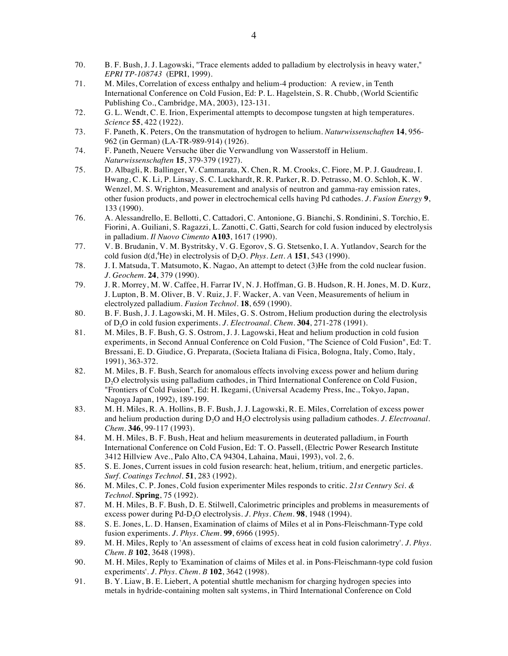- 70. B. F. Bush, J. J. Lagowski, "Trace elements added to palladium by electrolysis in heavy water," *EPRI TP-108743* (EPRI, 1999).
- 71. M. Miles, Correlation of excess enthalpy and helium-4 production: A review, in Tenth International Conference on Cold Fusion, Ed: P. L. Hagelstein, S. R. Chubb, (World Scientific Publishing Co., Cambridge, MA, 2003), 123-131.
- 72. G. L. Wendt, C. E. Irion, Experimental attempts to decompose tungsten at high temperatures. *Science* **55**, 422 (1922).
- 73. F. Paneth, K. Peters, On the transmutation of hydrogen to helium. *Naturwissenschaften* **14**, 956- 962 (in German) (LA-TR-989-914) (1926).
- 74. F. Paneth, Neuere Versuche über die Verwandlung von Wasserstoff in Helium. *Naturwissenschaften* **15**, 379-379 (1927).
- 75. D. Albagli, R. Ballinger, V. Cammarata, X. Chen, R. M. Crooks, C. Fiore, M. P. J. Gaudreau, I. Hwang, C. K. Li, P. Linsay, S. C. Luckhardt, R. R. Parker, R. D. Petrasso, M. O. Schloh, K. W. Wenzel, M. S. Wrighton, Measurement and analysis of neutron and gamma-ray emission rates, other fusion products, and power in electrochemical cells having Pd cathodes. *J. Fusion Energy* **9**, 133 (1990).
- 76. A. Alessandrello, E. Bellotti, C. Cattadori, C. Antonione, G. Bianchi, S. Rondinini, S. Torchio, E. Fiorini, A. Guiliani, S. Ragazzi, L. Zanotti, C. Gatti, Search for cold fusion induced by electrolysis in palladium. *Il Nuovo Cimento* **A103**, 1617 (1990).
- 77. V. B. Brudanin, V. M. Bystritsky, V. G. Egorov, S. G. Stetsenko, I. A. Yutlandov, Search for the cold fusion  $d(d, ^{4}He)$  in electrolysis of  $D_2O$ . *Phys. Lett. A* **151**, 543 (1990).
- 78. J. I. Matsuda, T. Matsumoto, K. Nagao, An attempt to detect (3)He from the cold nuclear fusion. *J. Geochem.* **24**, 379 (1990).
- 79. J. R. Morrey, M. W. Caffee, H. Farrar IV, N. J. Hoffman, G. B. Hudson, R. H. Jones, M. D. Kurz, J. Lupton, B. M. Oliver, B. V. Ruiz, J. F. Wacker, A. van Veen, Measurements of helium in electrolyzed palladium. *Fusion Technol.* **18**, 659 (1990).
- 80. B. F. Bush, J. J. Lagowski, M. H. Miles, G. S. Ostrom, Helium production during the electrolysis of D2O in cold fusion experiments. *J. Electroanal. Chem.* **304**, 271-278 (1991).
- 81. M. Miles, B. F. Bush, G. S. Ostrom, J. J. Lagowski, Heat and helium production in cold fusion experiments, in Second Annual Conference on Cold Fusion, "The Science of Cold Fusion", Ed: T. Bressani, E. D. Giudice, G. Preparata, (Societa Italiana di Fisica, Bologna, Italy, Como, Italy, 1991), 363-372.
- 82. M. Miles, B. F. Bush, Search for anomalous effects involving excess power and helium during D<sub>2</sub>O electrolysis using palladium cathodes, in Third International Conference on Cold Fusion, "Frontiers of Cold Fusion", Ed: H. Ikegami, (Universal Academy Press, Inc., Tokyo, Japan, Nagoya Japan, 1992), 189-199.
- 83. M. H. Miles, R. A. Hollins, B. F. Bush, J. J. Lagowski, R. E. Miles, Correlation of excess power and helium production during D2O and H2O electrolysis using palladium cathodes. *J. Electroanal. Chem.* **346**, 99-117 (1993).
- 84. M. H. Miles, B. F. Bush, Heat and helium measurements in deuterated palladium, in Fourth International Conference on Cold Fusion, Ed: T. O. Passell, (Electric Power Research Institute 3412 Hillview Ave., Palo Alto, CA 94304, Lahaina, Maui, 1993), vol. 2, 6.
- 85. S. E. Jones, Current issues in cold fusion research: heat, helium, tritium, and energetic particles. *Surf. Coatings Technol.* **51**, 283 (1992).
- 86. M. Miles, C. P. Jones, Cold fusion experimenter Miles responds to critic. *21st Century Sci. & Technol.* **Spring**, 75 (1992).
- 87. M. H. Miles, B. F. Bush, D. E. Stilwell, Calorimetric principles and problems in measurements of excess power during Pd-D<sub>2</sub>O electrolysis. *J. Phys. Chem.* **98**, 1948 (1994).
- 88. S. E. Jones, L. D. Hansen, Examination of claims of Miles et al in Pons-Fleischmann-Type cold fusion experiments. *J. Phys. Chem.* **99**, 6966 (1995).
- 89. M. H. Miles, Reply to 'An assessment of claims of excess heat in cold fusion calorimetry'. *J. Phys. Chem. B* **102**, 3648 (1998).
- 90. M. H. Miles, Reply to 'Examination of claims of Miles et al. in Pons-Fleischmann-type cold fusion experiments'. *J. Phys. Chem. B* **102**, 3642 (1998).
- 91. B. Y. Liaw, B. E. Liebert, A potential shuttle mechanism for charging hydrogen species into metals in hydride-containing molten salt systems, in Third International Conference on Cold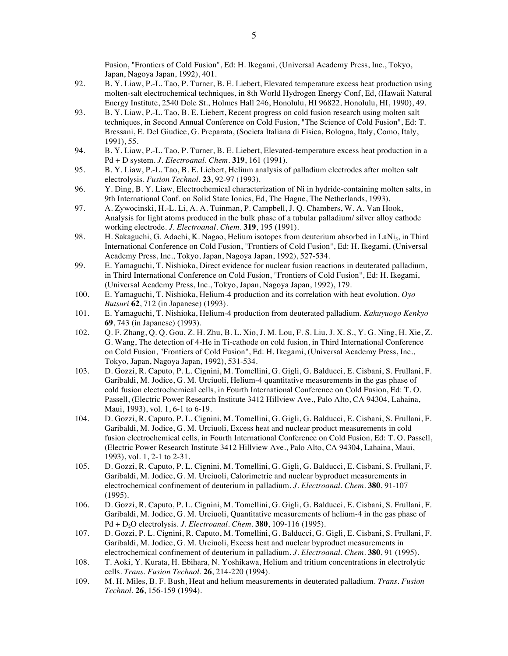Fusion, "Frontiers of Cold Fusion", Ed: H. Ikegami, (Universal Academy Press, Inc., Tokyo, Japan, Nagoya Japan, 1992), 401.

- 92. B. Y. Liaw, P.-L. Tao, P. Turner, B. E. Liebert, Elevated temperature excess heat production using molten-salt electrochemical techniques, in 8th World Hydrogen Energy Conf, Ed, (Hawaii Natural Energy Institute, 2540 Dole St., Holmes Hall 246, Honolulu, HI 96822, Honolulu, HI, 1990), 49.
- 93. B. Y. Liaw, P.-L. Tao, B. E. Liebert, Recent progress on cold fusion research using molten salt techniques, in Second Annual Conference on Cold Fusion, "The Science of Cold Fusion", Ed: T. Bressani, E. Del Giudice, G. Preparata, (Societa Italiana di Fisica, Bologna, Italy, Como, Italy, 1991), 55.
- 94. B. Y. Liaw, P.-L. Tao, P. Turner, B. E. Liebert, Elevated-temperature excess heat production in a Pd + D system. *J. Electroanal. Chem.* **319**, 161 (1991).
- 95. B. Y. Liaw, P.-L. Tao, B. E. Liebert, Helium analysis of palladium electrodes after molten salt electrolysis. *Fusion Technol.* **23**, 92-97 (1993).
- 96. Y. Ding, B. Y. Liaw, Electrochemical characterization of Ni in hydride-containing molten salts, in 9th International Conf. on Solid State Ionics, Ed, The Hague, The Netherlands, 1993).
- 97. A. Zywocinski, H.-L. Li, A. A. Tuinman, P. Campbell, J. Q. Chambers, W. A. Van Hook, Analysis for light atoms produced in the bulk phase of a tubular palladium/ silver alloy cathode working electrode. *J. Electroanal. Chem.* **319**, 195 (1991).
- 98. H. Sakaguchi, G. Adachi, K. Nagao, Helium isotopes from deuterium absorbed in LaNi<sub>5</sub>, in Third International Conference on Cold Fusion, "Frontiers of Cold Fusion", Ed: H. Ikegami, (Universal Academy Press, Inc., Tokyo, Japan, Nagoya Japan, 1992), 527-534.
- 99. E. Yamaguchi, T. Nishioka, Direct evidence for nuclear fusion reactions in deuterated palladium, in Third International Conference on Cold Fusion, "Frontiers of Cold Fusion", Ed: H. Ikegami, (Universal Academy Press, Inc., Tokyo, Japan, Nagoya Japan, 1992), 179.
- 100. E. Yamaguchi, T. Nishioka, Helium-4 production and its correlation with heat evolution. *Oyo Butsuri* **62**, 712 (in Japanese) (1993).
- 101. E. Yamaguchi, T. Nishioka, Helium-4 production from deuterated palladium. *Kakuyuogo Kenkyo* **69**, 743 (in Japanese) (1993).
- 102. Q. F. Zhang, Q. Q. Gou, Z. H. Zhu, B. L. Xio, J. M. Lou, F. S. Liu, J. X. S., Y. G. Ning, H. Xie, Z. G. Wang, The detection of 4-He in Ti-cathode on cold fusion, in Third International Conference on Cold Fusion, "Frontiers of Cold Fusion", Ed: H. Ikegami, (Universal Academy Press, Inc., Tokyo, Japan, Nagoya Japan, 1992), 531-534.
- 103. D. Gozzi, R. Caputo, P. L. Cignini, M. Tomellini, G. Gigli, G. Balducci, E. Cisbani, S. Frullani, F. Garibaldi, M. Jodice, G. M. Urciuoli, Helium-4 quantitative measurements in the gas phase of cold fusion electrochemical cells, in Fourth International Conference on Cold Fusion, Ed: T. O. Passell, (Electric Power Research Institute 3412 Hillview Ave., Palo Alto, CA 94304, Lahaina, Maui, 1993), vol. 1, 6-1 to 6-19.
- 104. D. Gozzi, R. Caputo, P. L. Cignini, M. Tomellini, G. Gigli, G. Balducci, E. Cisbani, S. Frullani, F. Garibaldi, M. Jodice, G. M. Urciuoli, Excess heat and nuclear product measurements in cold fusion electrochemical cells, in Fourth International Conference on Cold Fusion, Ed: T. O. Passell, (Electric Power Research Institute 3412 Hillview Ave., Palo Alto, CA 94304, Lahaina, Maui, 1993), vol. 1, 2-1 to 2-31.
- 105. D. Gozzi, R. Caputo, P. L. Cignini, M. Tomellini, G. Gigli, G. Balducci, E. Cisbani, S. Frullani, F. Garibaldi, M. Jodice, G. M. Urciuoli, Calorimetric and nuclear byproduct measurements in electrochemical confinement of deuterium in palladium. *J. Electroanal. Chem.* **380**, 91-107 (1995).
- 106. D. Gozzi, R. Caputo, P. L. Cignini, M. Tomellini, G. Gigli, G. Balducci, E. Cisbani, S. Frullani, F. Garibaldi, M. Jodice, G. M. Urciuoli, Quantitative measurements of helium-4 in the gas phase of Pd + D<sub>2</sub>O electrolysis. *J. Electroanal. Chem.* **380**, 109-116 (1995).
- 107. D. Gozzi, P. L. Cignini, R. Caputo, M. Tomellini, G. Balducci, G. Gigli, E. Cisbani, S. Frullani, F. Garibaldi, M. Jodice, G. M. Urciuoli, Excess heat and nuclear byproduct measurements in electrochemical confinement of deuterium in palladium. *J. Electroanal. Chem.* **380**, 91 (1995).
- 108. T. Aoki, Y. Kurata, H. Ebihara, N. Yoshikawa, Helium and tritium concentrations in electrolytic cells. *Trans. Fusion Technol.* **26**, 214-220 (1994).
- 109. M. H. Miles, B. F. Bush, Heat and helium measurements in deuterated palladium. *Trans. Fusion Technol.* **26**, 156-159 (1994).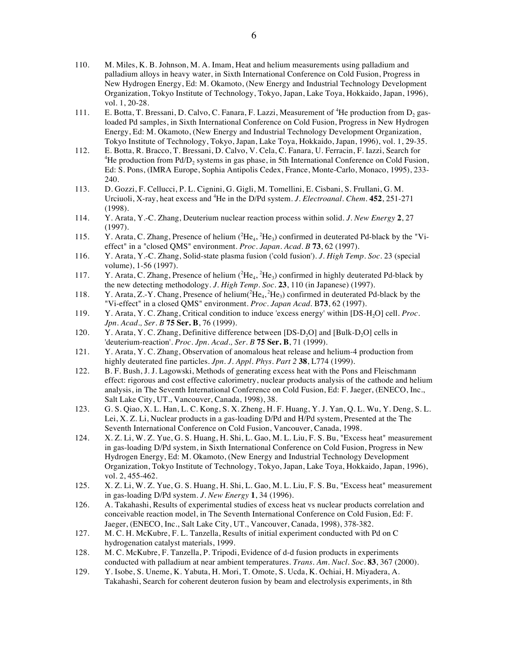- 110. M. Miles, K. B. Johnson, M. A. Imam, Heat and helium measurements using palladium and palladium alloys in heavy water, in Sixth International Conference on Cold Fusion, Progress in New Hydrogen Energy, Ed: M. Okamoto, (New Energy and Industrial Technology Development Organization, Tokyo Institute of Technology, Tokyo, Japan, Lake Toya, Hokkaido, Japan, 1996), vol. 1, 20-28.
- 111. E. Botta, T. Bressani, D. Calvo, C. Fanara, F. Lazzi, Measurement of <sup>4</sup>He production from  $D_2$  gasloaded Pd samples, in Sixth International Conference on Cold Fusion, Progress in New Hydrogen Energy, Ed: M. Okamoto, (New Energy and Industrial Technology Development Organization, Tokyo Institute of Technology, Tokyo, Japan, Lake Toya, Hokkaido, Japan, 1996), vol. 1, 29-35.
- 112. E. Botta, R. Bracco, T. Bressani, D. Calvo, V. Cela, C. Fanara, U. Ferracin, F. Iazzi, Search for <sup>4</sup>He production from Pd/D<sub>2</sub> systems in gas phase, in 5th International Conference on Cold Fusion, Ed: S. Pons, (IMRA Europe, Sophia Antipolis Cedex, France, Monte-Carlo, Monaco, 1995), 233- 240.
- 113. D. Gozzi, F. Cellucci, P. L. Cignini, G. Gigli, M. Tomellini, E. Cisbani, S. Frullani, G. M. Urciuoli, X-ray, heat excess and 4 He in the D/Pd system. *J. Electroanal. Chem.* **452**, 251-271 (1998).
- 114. Y. Arata, Y.-C. Zhang, Deuterium nuclear reaction process within solid. *J. New Energy* **2**, 27 (1997).
- 115. Y. Arata, C. Zhang, Presence of helium  $(^{2}He_{4}, ^{2}He_{3})$  confirmed in deuterated Pd-black by the "Vieffect" in a "closed QMS" environment. *Proc. Japan. Acad. B* **73**, 62 (1997).
- 116. Y. Arata, Y.-C. Zhang, Solid-state plasma fusion ('cold fusion'). *J. High Temp. Soc.* 23 (special volume), 1-56 (1997).
- 117. Y. Arata, C. Zhang, Presence of helium  $(^{2}He_{4}, ^{2}He_{3})$  confirmed in highly deuterated Pd-black by the new detecting methodology. *J. High Temp. Soc.* **23**, 110 (in Japanese) (1997).
- 118. Y. Arata, Z.-Y. Chang, Presence of helium $({}^{2}He_{4}, {}^{2}He_{3})$  confirmed in deuterated Pd-black by the "Vi-effect" in a closed QMS" environment. *Proc. Japan Acad.* B**73**, 62 (1997).
- 119. Y. Arata, Y. C. Zhang, Critical condition to induce 'excess energy' within [DS-H2O] cell. *Proc. Jpn. Acad., Ser. B* **75 Ser. B**, 76 (1999).
- 120. Y. Arata, Y. C. Zhang, Definitive difference between [DS-D<sub>2</sub>O] and [Bulk-D<sub>2</sub>O] cells in 'deuterium-reaction'. *Proc. Jpn. Acad., Ser. B* **75 Ser. B**, 71 (1999).
- 121. Y. Arata, Y. C. Zhang, Observation of anomalous heat release and helium-4 production from highly deuterated fine particles. *Jpn. J. Appl. Phys. Part 2* **38**, L774 (1999).
- 122. B. F. Bush, J. J. Lagowski, Methods of generating excess heat with the Pons and Fleischmann effect: rigorous and cost effective calorimetry, nuclear products analysis of the cathode and helium analysis, in The Seventh International Conference on Cold Fusion, Ed: F. Jaeger, (ENECO, Inc., Salt Lake City, UT., Vancouver, Canada, 1998), 38.
- 123. G. S. Qiao, X. L. Han, L. C. Kong, S. X. Zheng, H. F. Huang, Y. J. Yan, Q. L. Wu, Y. Deng, S. L. Lei, X. Z. Li, Nuclear products in a gas-loading D/Pd and H/Pd system, Presented at the The Seventh International Conference on Cold Fusion, Vancouver, Canada, 1998.
- 124. X. Z. Li, W. Z. Yue, G. S. Huang, H. Shi, L. Gao, M. L. Liu, F. S. Bu, "Excess heat" measurement in gas-loading D/Pd system, in Sixth International Conference on Cold Fusion, Progress in New Hydrogen Energy, Ed: M. Okamoto, (New Energy and Industrial Technology Development Organization, Tokyo Institute of Technology, Tokyo, Japan, Lake Toya, Hokkaido, Japan, 1996), vol. 2, 455-462.
- 125. X. Z. Li, W. Z. Yue, G. S. Huang, H. Shi, L. Gao, M. L. Liu, F. S. Bu, "Excess heat" measurement in gas-loading D/Pd system. *J. New Energy* **1**, 34 (1996).
- 126. A. Takahashi, Results of experimental studies of excess heat vs nuclear products correlation and conceivable reaction model, in The Seventh International Conference on Cold Fusion, Ed: F. Jaeger, (ENECO, Inc., Salt Lake City, UT., Vancouver, Canada, 1998), 378-382.
- 127. M. C. H. McKubre, F. L. Tanzella, Results of initial experiment conducted with Pd on C hydrogenation catalyst materials, 1999.
- 128. M. C. McKubre, F. Tanzella, P. Tripodi, Evidence of d-d fusion products in experiments conducted with palladium at near ambient temperatures. *Trans. Am. Nucl. Soc.* **83**, 367 (2000).
- 129. Y. Isobe, S. Uneme, K. Yabuta, H. Mori, T. Omote, S. Ucda, K. Ochiai, H. Miyadera, A. Takahashi, Search for coherent deuteron fusion by beam and electrolysis experiments, in 8th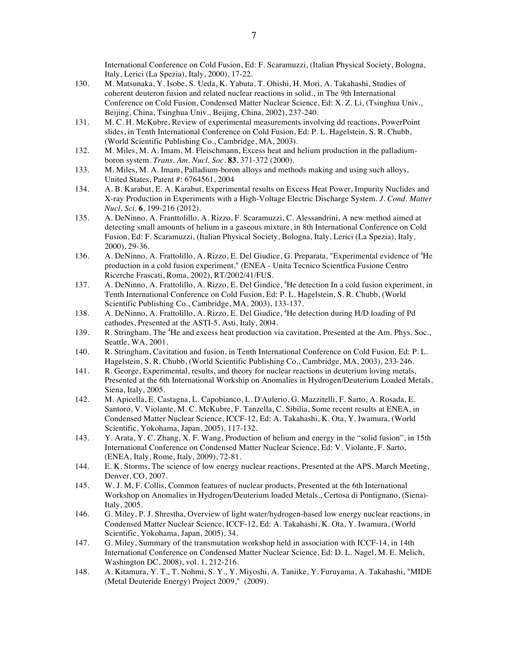International Conference on Cold Fusion, Ed: F. Scaramuzzi, (Italian Physical Society, Bologna, Italy, Lerici (La Spezia), Italy, 2000), 17-22.

- 130. M. Matsunaka, Y. Isobe, S. Ueda, K. Yabuta, T. Ohishi, H. Mori, A. Takahashi, Studies of coherent deuteron fusion and related nuclear reactions in solid., in The 9th International Conference on Cold Fusion, Condensed Matter Nuclear Science, Ed: X. Z. Li, (Tsinghua Univ., Beijing, China, Tsinghua Univ., Beijing, China, 2002), 237-240.
- 131. M. C. H. McKubre, Review of experimental measurements involving dd reactions, PowerPoint slides, in Tenth International Conference on Cold Fusion, Ed: P. L. Hagelstein, S. R. Chubb, (World Scientific Publishing Co., Cambridge, MA, 2003).
- 132. M. Miles, M. A. Imam, M. Fleischmann, Excess heat and helium production in the palladiumboron system. *Trans. Am. Nucl. Soc.* **83**, 371-372 (2000).
- 133. M. Miles, M. A. Imam, Palladium-boron alloys and methods making and using such alloys, United States, Patent #: 6764561, 2004
- 134. A. B. Karabut, E. A. Karabut, Experimental results on Excess Heat Power, Impurity Nuclides and X-ray Production in Experiments with a High-Voltage Electric Discharge System. *J. Cond. Matter Nucl. Sci.* **6**, 199-216 (2012).
- 135. A. DeNinno, A. Franttolillo, A. Rizzo, F. Scaramuzzi, C. Alessandrini, A new method aimed at detecting small amounts of helium in a gaseous mixture, in 8th International Conference on Cold Fusion, Ed: F. Scaramuzzi, (Italian Physical Society, Bologna, Italy, Lerici (La Spezia), Italy, 2000), 29-36.
- 136. A. DeNinno, A. Frattolillo, A. Rizzo, E. Del Giudice, G. Preparata, "Experimental evidence of <sup>4</sup>He production in a cold fusion experiment," (ENEA - Unita Tecnico Scientfica Fusione Centro Ricerche Frascati, Roma, 2002), RT/2002/41/FUS.
- 137. A. DeNinno, A. Frattolillo, A. Rizzo, E. Del Gindice, <sup>4</sup>He detection In a cold fusion experiment, in Tenth International Conference on Cold Fusion, Ed: P. L. Hagelstein, S. R. Chubb, (World Scientific Publishing Co., Cambridge, MA, 2003), 133-137.
- 138. A. DeNinno, A. Frattolillo, A. Rizzo, E. Del Giudice, <sup>4</sup>He detection during H/D loading of Pd cathodes, Presented at the ASTI-5, Asti, Italy, 2004.
- 139. R. Stringham, The <sup>4</sup>He and excess heat production via cavitation, Presented at the Am. Phys. Soc., Seattle, WA, 2001.
- 140. R. Stringham, Cavitation and fusion, in Tenth International Conference on Cold Fusion, Ed: P. L. Hagelstein, S. R. Chubb, (World Scientific Publishing Co., Cambridge, MA, 2003), 233-246.
- 141. R. George, Experimental, results, and theory for nuclear reactions in deuterium loving metals, Presented at the 6th International Workship on Anomalies in Hydrogen/Deuterium Loaded Metals, Siena, Italy, 2005.
- 142. M. Apicella, E. Castagna, L. Capobianco, L. D'Aulerio, G. Mazzitelli, F. Sarto, A. Rosada, E. Santoro, V. Violante, M. C. McKubre, F. Tanzella, C. Sibilia, Some recent results at ENEA, in Condensed Matter Nuclear Science, ICCF-12, Ed: A. Takahashi, K. Ota, Y. Iwamura, (World Scientific, Yokohama, Japan, 2005), 117-132.
- 143. Y. Arata, Y. C. Zhang, X. F. Wang, Production of helium and energy in the "solid fusion", in 15th International Conference on Condensed Matter Nuclear Science, Ed: V. Violante, F. Sarto, (ENEA, Italy, Rome, Italy, 2009), 72-81.
- 144. E. K. Storms, The science of low energy nuclear reactions, Presented at the APS, March Meeting, Denver, CO, 2007.
- 145. W. J. M. F. Collis, Common features of nuclear products, Presented at the 6th International Workshop on Anomalies in Hydrogen/Deuterium loaded Metals., Certosa di Pontignano, (Siena)- Italy, 2005.
- 146. G. Miley, P. J. Shrestha, Overview of light water/hydrogen-based low energy nuclear reactions, in Condensed Matter Nuclear Science, ICCF-12, Ed: A. Takahashi, K. Ota, Y. Iwamura, (World Scientific, Yokohama, Japan, 2005), 34.
- 147. G. Miley, Summary of the transmutation workshop held in association with ICCF-14, in 14th International Conference on Condensed Matter Nuclear Science, Ed: D. L. Nagel, M. E. Melich, Washington DC, 2008), vol. 1, 212-216.
- 148. A. Kitamura, Y. T., T. Nohmi, S. Y., Y. Miyoshi, A. Taniike, Y. Furuyama, A. Takahashi, "MIDE (Metal Deuteride Energy) Project 2009," (2009).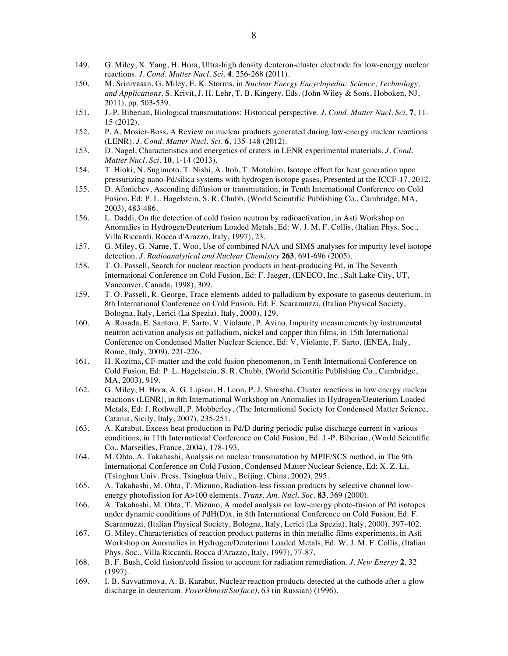- 149. G. Miley, X. Yang, H. Hora, Ultra-high density deuteron-cluster electrode for low-energy nuclear reactions. *J. Cond. Matter Nucl. Sci.* **4**, 256-268 (2011).
- 150. M. Srinivasan, G. Miley, E. K. Storms, in *Nuclear Energy Encyclopedia: Science, Technology, and Applications,* S. Krivit, J. H. Lehr, T. B. Kingery, Eds. (John Wiley & Sons, Hoboken, NJ, 2011), pp. 503-539.
- 151. J.-P. Biberian, Biological transmutations: Historical perspective. *J. Cond. Matter Nucl. Sci.* **7**, 11- 15 (2012).
- 152. P. A. Mosier-Boss, A Review on nuclear products generated during low-energy nuclear reactions (LENR). *J. Cond. Matter Nucl. Sci.* **6**, 135-148 (2012).
- 153. D. Nagel, Characteristics and energetics of craters in LENR experimental materials. *J. Cond. Matter Nucl. Sci.* **10**, 1-14 (2013).
- 154. T. Hioki, N. Sugimoto, T. Nishi, A. Itoh, T. Motohiro, Isotope effect for heat generation upon pressurizing nano-Pd/silica systems with hydrogen isotope gases, Presented at the ICCF-17, 2012.
- 155. D. Afonichev, Ascending diffusion or transmutation, in Tenth International Conference on Cold Fusion, Ed: P. L. Hagelstein, S. R. Chubb, (World Scientific Publishing Co., Cambridge, MA, 2003), 483-486.
- 156. L. Daddi, On the detection of cold fusion neutron by radioactivation, in Asti Workshop on Anomalies in Hydrogen/Deuterium Loaded Metals, Ed: W. J. M. F. Collis, (Italian Phys. Soc., Villa Riccardi, Rocca d'Arazzo, Italy, 1997), 23.
- 157. G. Miley, G. Narne, T. Woo, Use of combined NAA and SIMS analyses for impurity level isotope detection. *J. Radioanalytical and Nuclear Chemistry* **263**, 691-696 (2005).
- 158. T. O. Passell, Search for nuclear reaction products in heat-producing Pd, in The Seventh International Conference on Cold Fusion, Ed: F. Jaeger, (ENECO, Inc., Salt Lake City, UT, Vancouver, Canada, 1998), 309.
- 159. T. O. Passell, R. George, Trace elements added to palladium by exposure to gaseous deuterium, in 8th International Conference on Cold Fusion, Ed: F. Scaramuzzi, (Italian Physical Society, Bologna, Italy, Lerici (La Spezia), Italy, 2000), 129.
- 160. A. Rosada, E. Santoro, F. Sarto, V. Violante, P. Avino, Impurity measurements by instrumental neutron activation analysis on palladium, nickel and copper thin films, in 15th International Conference on Condensed Matter Nuclear Science, Ed: V. Violante, F. Sarto, (ENEA, Italy, Rome, Italy, 2009), 221-226.
- 161. H. Kozima, CF-matter and the cold fusion phenomenon, in Tenth International Conference on Cold Fusion, Ed: P. L. Hagelstein, S. R. Chubb, (World Scientific Publishing Co., Cambridge, MA, 2003), 919.
- 162. G. Miley, H. Hora, A. G. Lipson, H. Leon, P. J. Shrestha, Cluster reactions in low energy nuclear reactions (LENR), in 8th International Workshop on Anomalies in Hydrogen/Deuterium Loaded Metals, Ed: J. Rothwell, P. Mobberley, (The International Society for Condensed Matter Science, Catania, Sicily, Italy, 2007), 235-251.
- 163. A. Karabut, Excess heat production in Pd/D during periodic pulse discharge current in various conditions, in 11th International Conference on Cold Fusion, Ed: J.-P. Biberian, (World Scientific Co., Marseilles, France, 2004), 178-193.
- 164. M. Ohta, A. Takahashi, Analysis on nuclear transmutation by MPIF/SCS method, in The 9th International Conference on Cold Fusion, Condensed Matter Nuclear Science, Ed: X. Z. Li, (Tsinghua Univ. Press, Tsinghua Univ., Beijing, China, 2002), 295.
- 165. A. Takahashi, M. Ohta, T. Mizuno, Radiation-less fission products by selective channel lowenergy photofission for A>100 elements. *Trans. Am. Nucl. Soc.* **83**, 369 (2000).
- 166. A. Takahashi, M. Ohta, T. Mizuno, A model analysis on low-energy photo-fusion of Pd isotopes under dynamic conditions of PdH(D)x, in 8th International Conference on Cold Fusion, Ed: F. Scaramuzzi, (Italian Physical Society, Bologna, Italy, Lerici (La Spezia), Italy, 2000), 397-402.
- 167. G. Miley, Characteristics of reaction product patterns in thin metallic films experiments, in Asti Workshop on Anomalies in Hydrogen/Deuterium Loaded Metals, Ed: W. J. M. F. Collis, (Italian Phys. Soc., Villa Riccardi, Rocca d'Arazzo, Italy, 1997), 77-87.
- 168. B. F. Bush, Cold fusion/cold fission to account for radiation remediation. *J. New Energy* **2**, 32 (1997).
- 169. I. B. Savvatimova, A. B. Karabut, Nuclear reaction products detected at the cathode after a glow discharge in deuterium. *Poverkhnost(Surface)*, 63 (in Russian) (1996).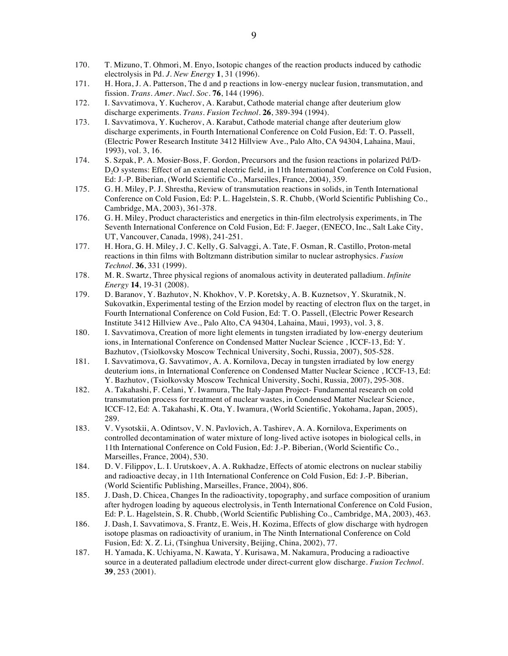- 170. T. Mizuno, T. Ohmori, M. Enyo, Isotopic changes of the reaction products induced by cathodic electrolysis in Pd. *J. New Energy* **1**, 31 (1996).
- 171. H. Hora, J. A. Patterson, The d and p reactions in low-energy nuclear fusion, transmutation, and fission. *Trans. Amer. Nucl. Soc.* **76**, 144 (1996).
- 172. I. Savvatimova, Y. Kucherov, A. Karabut, Cathode material change after deuterium glow discharge experiments. *Trans. Fusion Technol.* **26**, 389-394 (1994).
- 173. I. Savvatimova, Y. Kucherov, A. Karabut, Cathode material change after deuterium glow discharge experiments, in Fourth International Conference on Cold Fusion, Ed: T. O. Passell, (Electric Power Research Institute 3412 Hillview Ave., Palo Alto, CA 94304, Lahaina, Maui, 1993), vol. 3, 16.
- 174. S. Szpak, P. A. Mosier-Boss, F. Gordon, Precursors and the fusion reactions in polarized Pd/D-D<sub>2</sub>O systems: Effect of an external electric field, in 11th International Conference on Cold Fusion, Ed: J.-P. Biberian, (World Scientific Co., Marseilles, France, 2004), 359.
- 175. G. H. Miley, P. J. Shrestha, Review of transmutation reactions in solids, in Tenth International Conference on Cold Fusion, Ed: P. L. Hagelstein, S. R. Chubb, (World Scientific Publishing Co., Cambridge, MA, 2003), 361-378.
- 176. G. H. Miley, Product characteristics and energetics in thin-film electrolysis experiments, in The Seventh International Conference on Cold Fusion, Ed: F. Jaeger, (ENECO, Inc., Salt Lake City, UT, Vancouver, Canada, 1998), 241-251.
- 177. H. Hora, G. H. Miley, J. C. Kelly, G. Salvaggi, A. Tate, F. Osman, R. Castillo, Proton-metal reactions in thin films with Boltzmann distribution similar to nuclear astrophysics. *Fusion Technol.* **36**, 331 (1999).
- 178. M. R. Swartz, Three physical regions of anomalous activity in deuterated palladium. *Infinite Energy* **14**, 19-31 (2008).
- 179. D. Baranov, Y. Bazhutov, N. Khokhov, V. P. Koretsky, A. B. Kuznetsov, Y. Skuratnik, N. Sukovatkin, Experimental testing of the Erzion model by reacting of electron flux on the target, in Fourth International Conference on Cold Fusion, Ed: T. O. Passell, (Electric Power Research Institute 3412 Hillview Ave., Palo Alto, CA 94304, Lahaina, Maui, 1993), vol. 3, 8.
- 180. I. Savvatimova, Creation of more light elements in tungsten irradiated by low-energy deuterium ions, in International Conference on Condensed Matter Nuclear Science , ICCF-13, Ed: Y. Bazhutov, (Tsiolkovsky Moscow Technical University, Sochi, Russia, 2007), 505-528.
- 181. I. Savvatimova, G. Savvatimov, A. A. Kornilova, Decay in tungsten irradiated by low energy deuterium ions, in International Conference on Condensed Matter Nuclear Science , ICCF-13, Ed: Y. Bazhutov, (Tsiolkovsky Moscow Technical University, Sochi, Russia, 2007), 295-308.
- 182. A. Takahashi, F. Celani, Y. Iwamura, The Italy-Japan Project- Fundamental research on cold transmutation process for treatment of nuclear wastes, in Condensed Matter Nuclear Science, ICCF-12, Ed: A. Takahashi, K. Ota, Y. Iwamura, (World Scientific, Yokohama, Japan, 2005), 289.
- 183. V. Vysotskii, A. Odintsov, V. N. Pavlovich, A. Tashirev, A. A. Kornilova, Experiments on controlled decontamination of water mixture of long-lived active isotopes in biological cells, in 11th International Conference on Cold Fusion, Ed: J.-P. Biberian, (World Scientific Co., Marseilles, France, 2004), 530.
- 184. D. V. Filippov, L. I. Urutskoev, A. A. Rukhadze, Effects of atomic electrons on nuclear stabiliy and radioactive decay, in 11th International Conference on Cold Fusion, Ed: J.-P. Biberian, (World Scientific Publishing, Marseilles, France, 2004), 806.
- 185. J. Dash, D. Chicea, Changes In the radioactivity, topography, and surface composition of uranium after hydrogen loading by aqueous electrolysis, in Tenth International Conference on Cold Fusion, Ed: P. L. Hagelstein, S. R. Chubb, (World Scientific Publishing Co., Cambridge, MA, 2003), 463.
- 186. J. Dash, I. Savvatimova, S. Frantz, E. Weis, H. Kozima, Effects of glow discharge with hydrogen isotope plasmas on radioactivity of uranium, in The Ninth International Conference on Cold Fusion, Ed: X. Z. Li, (Tsinghua University, Beijing, China, 2002), 77.
- 187. H. Yamada, K. Uchiyama, N. Kawata, Y. Kurisawa, M. Nakamura, Producing a radioactive source in a deuterated palladium electrode under direct-current glow discharge. *Fusion Technol.* **39**, 253 (2001).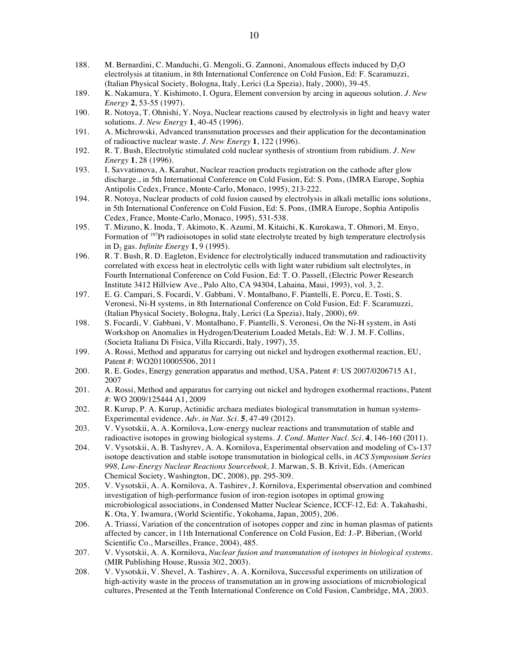- 188. M. Bernardini, C. Manduchi, G. Mengoli, G. Zannoni, Anomalous effects induced by D<sub>2</sub>O electrolysis at titanium, in 8th International Conference on Cold Fusion, Ed: F. Scaramuzzi, (Italian Physical Society, Bologna, Italy, Lerici (La Spezia), Italy, 2000), 39-45.
- 189. K. Nakamura, Y. Kishimoto, I. Ogura, Element conversion by arcing in aqueous solution. *J. New Energy* **2**, 53-55 (1997).
- 190. R. Notoya, T. Ohnishi, Y. Noya, Nuclear reactions caused by electrolysis in light and heavy water solutions. *J. New Energy* **1**, 40-45 (1996).
- 191. A. Michrowski, Advanced transmutation processes and their application for the decontamination of radioactive nuclear waste. *J. New Energy* **1**, 122 (1996).
- 192. R. T. Bush, Electrolytic stimulated cold nuclear synthesis of strontium from rubidium. *J. New Energy* **1**, 28 (1996).
- 193. I. Savvatimova, A. Karabut, Nuclear reaction products registration on the cathode after glow discharge., in 5th International Conference on Cold Fusion, Ed: S. Pons, (IMRA Europe, Sophia Antipolis Cedex, France, Monte-Carlo, Monaco, 1995), 213-222.
- 194. R. Notoya, Nuclear products of cold fusion caused by electrolysis in alkali metallic ions solutions, in 5th International Conference on Cold Fusion, Ed: S. Pons, (IMRA Europe, Sophia Antipolis Cedex, France, Monte-Carlo, Monaco, 1995), 531-538.
- 195. T. Mizuno, K. Inoda, T. Akimoto, K. Azumi, M. Kitaichi, K. Kurokawa, T. Ohmori, M. Enyo, Formation of <sup>197</sup>Pt radioisotopes in solid state electrolyte treated by high temperature electrolysis in D2 gas. *Infinite Energy* **1**, 9 (1995).
- 196. R. T. Bush, R. D. Eagleton, Evidence for electrolytically induced transmutation and radioactivity correlated with excess heat in electrolytic cells with light water rubidium salt electrolytes, in Fourth International Conference on Cold Fusion, Ed: T. O. Passell, (Electric Power Research Institute 3412 Hillview Ave., Palo Alto, CA 94304, Lahaina, Maui, 1993), vol. 3, 2.
- 197. E. G. Campari, S. Focardi, V. Gabbani, V. Montalbano, F. Piantelli, E. Porcu, E. Tosti, S. Veronesi, Ni-H systems, in 8th International Conference on Cold Fusion, Ed: F. Scaramuzzi, (Italian Physical Society, Bologna, Italy, Lerici (La Spezia), Italy, 2000), 69.
- 198. S. Focardi, V. Gabbani, V. Montalbano, F. Piantelli, S. Veronesi, On the Ni-H system, in Asti Workshop on Anomalies in Hydrogen/Deuterium Loaded Metals, Ed: W. J. M. F. Collins, (Societa Italiana Di Fisica, Villa Riccardi, Italy, 1997), 35.
- 199. A. Rossi, Method and apparatus for carrying out nickel and hydrogen exothermal reaction, EU, Patent #: WO20110005506, 2011
- 200. R. E. Godes, Energy generation apparatus and method, USA, Patent #: US 2007/0206715 A1, 2007
- 201. A. Rossi, Method and apparatus for carrying out nickel and hydrogen exothermal reactions, Patent #: WO 2009/125444 A1, 2009
- 202. R. Kurup, P. A. Kurup, Actinidic archaea mediates biological transmutation in human systems-Experimental evidence. *Adv. in Nat. Sci.* **5**, 47-49 (2012).
- 203. V. Vysotskii, A. A. Kornilova, Low-energy nuclear reactions and transmutation of stable and radioactive isotopes in growing biological systems. *J. Cond. Matter Nucl. Sci.* **4**, 146-160 (2011).
- 204. V. Vysotskii, A. B. Tashyrev, A. A. Kornilova, Experimental observation and modeling of Cs-137 isotope deactivation and stable isotope transmutation in biological cells, in *ACS Symposium Series 998, Low-Energy Nuclear Reactions Sourcebook,* J. Marwan, S. B. Krivit, Eds. (American Chemical Society, Washington, DC, 2008), pp. 295-309.
- 205. V. Vysotskii, A. A. Kornilova, A. Tashirev, J. Kornilova, Experimental observation and combined investigation of high-performance fusion of iron-region isotopes in optimal growing microbiological associations, in Condensed Matter Nuclear Science, ICCF-12, Ed: A. Takahashi, K. Ota, Y. Iwamura, (World Scientific, Yokohama, Japan, 2005), 206.
- 206. A. Triassi, Variation of the concentration of isotopes copper and zinc in human plasmas of patients affected by cancer, in 11th International Conference on Cold Fusion, Ed: J.-P. Biberian, (World Scientific Co., Marseilles, France, 2004), 485.
- 207. V. Vysotskii, A. A. Kornilova, *Nuclear fusion and transmutation of isotopes in biological systems*. (MIR Publishing House, Russia 302, 2003).
- 208. V. Vysotskii, V. Shevel, A. Tashirev, A. A. Kornilova, Successful experiments on utilization of high-activity waste in the process of transmutation an in growing associations of microbiological cultures, Presented at the Tenth International Conference on Cold Fusion, Cambridge, MA, 2003.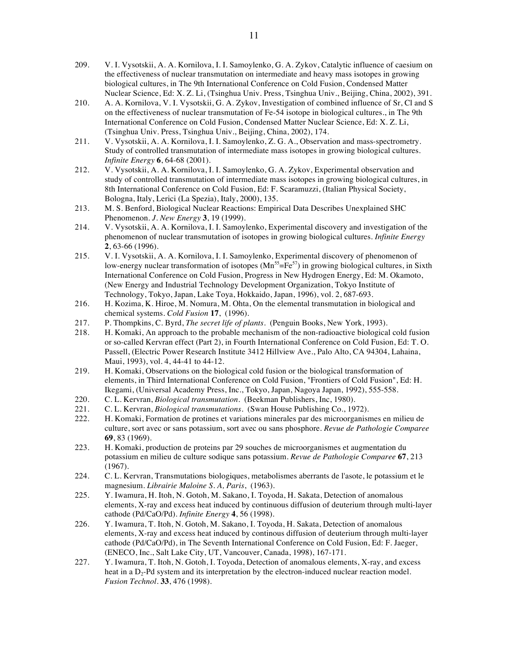- 209. V. I. Vysotskii, A. A. Kornilova, I. I. Samoylenko, G. A. Zykov, Catalytic influence of caesium on the effectiveness of nuclear transmutation on intermediate and heavy mass isotopes in growing biological cultures, in The 9th International Conference on Cold Fusion, Condensed Matter Nuclear Science, Ed: X. Z. Li, (Tsinghua Univ. Press, Tsinghua Univ., Beijing, China, 2002), 391.
- 210. A. A. Kornilova, V. I. Vysotskii, G. A. Zykov, Investigation of combined influence of Sr, Cl and S on the effectiveness of nuclear transmutation of Fe-54 isotope in biological cultures., in The 9th International Conference on Cold Fusion, Condensed Matter Nuclear Science, Ed: X. Z. Li, (Tsinghua Univ. Press, Tsinghua Univ., Beijing, China, 2002), 174.
- 211. V. Vysotskii, A. A. Kornilova, I. I. Samoylenko, Z. G. A., Observation and mass-spectrometry. Study of controlled transmutation of intermediate mass isotopes in growing biological cultures. *Infinite Energy* **6**, 64-68 (2001).
- 212. V. Vysotskii, A. A. Kornilova, I. I. Samoylenko, G. A. Zykov, Experimental observation and study of controlled transmutation of intermediate mass isotopes in growing biological cultures, in 8th International Conference on Cold Fusion, Ed: F. Scaramuzzi, (Italian Physical Society, Bologna, Italy, Lerici (La Spezia), Italy, 2000), 135.
- 213. M. S. Benford, Biological Nuclear Reactions: Empirical Data Describes Unexplained SHC Phenomenon. *J. New Energy* **3**, 19 (1999).
- 214. V. Vysotskii, A. A. Kornilova, I. I. Samoylenko, Experimental discovery and investigation of the phenomenon of nuclear transmutation of isotopes in growing biological cultures. *Infinite Energy* **2**, 63-66 (1996).
- 215. V. I. Vysotskii, A. A. Kornilova, I. I. Samoylenko, Experimental discovery of phenomenon of low-energy nuclear transformation of isotopes  $(Mn<sup>55</sup>=Fe<sup>57</sup>)$  in growing biological cultures, in Sixth International Conference on Cold Fusion, Progress in New Hydrogen Energy, Ed: M. Okamoto, (New Energy and Industrial Technology Development Organization, Tokyo Institute of Technology, Tokyo, Japan, Lake Toya, Hokkaido, Japan, 1996), vol. 2, 687-693.
- 216. H. Kozima, K. Hiroe, M. Nomura, M. Ohta, On the elemental transmutation in biological and chemical systems. *Cold Fusion* **17**, (1996).
- 217. P. Thompkins, C. Byrd, *The secret life of plants*. (Penguin Books, New York, 1993).
- 218. H. Komaki, An approach to the probable mechanism of the non-radioactive biological cold fusion or so-called Kervran effect (Part 2), in Fourth International Conference on Cold Fusion, Ed: T. O. Passell, (Electric Power Research Institute 3412 Hillview Ave., Palo Alto, CA 94304, Lahaina, Maui, 1993), vol. 4, 44-41 to 44-12.
- 219. H. Komaki, Observations on the biological cold fusion or the biological transformation of elements, in Third International Conference on Cold Fusion, "Frontiers of Cold Fusion", Ed: H. Ikegami, (Universal Academy Press, Inc., Tokyo, Japan, Nagoya Japan, 1992), 555-558.
- 220. C. L. Kervran, *Biological transmutation*. (Beekman Publishers, Inc, 1980).
- 221. C. L. Kervran, *Biological transmutations*. (Swan House Publishing Co., 1972).
- 222. H. Komaki, Formation de protines et variations minerales par des microorganismes en milieu de culture, sort avec or sans potassium, sort avec ou sans phosphore. *Revue de Pathologie Comparee* **69**, 83 (1969).
- 223. H. Komaki, production de proteins par 29 souches de microorganismes et augmentation du potassium en milieu de culture sodique sans potassium. *Revue de Pathologie Comparee* **67**, 213 (1967).
- 224. C. L. Kervran, Transmutations biologiques, metabolismes aberrants de l'asote, le potassium et le magnesium. *Librairie Maloine S. A, Paris*, (1963).
- 225. Y. Iwamura, H. Itoh, N. Gotoh, M. Sakano, I. Toyoda, H. Sakata, Detection of anomalous elements, X-ray and excess heat induced by continuous diffusion of deuterium through multi-layer cathode (Pd/CaO/Pd). *Infinite Energy* **4**, 56 (1998).
- 226. Y. Iwamura, T. Itoh, N. Gotoh, M. Sakano, I. Toyoda, H. Sakata, Detection of anomalous elements, X-ray and excess heat induced by continous diffusion of deuterium through multi-layer cathode (Pd/CaO/Pd), in The Seventh International Conference on Cold Fusion, Ed: F. Jaeger, (ENECO, Inc., Salt Lake City, UT, Vancouver, Canada, 1998), 167-171.
- 227. Y. Iwamura, T. Itoh, N. Gotoh, I. Toyoda, Detection of anomalous elements, X-ray, and excess heat in a  $D_2$ -Pd system and its interpretation by the electron-induced nuclear reaction model. *Fusion Technol.* **33**, 476 (1998).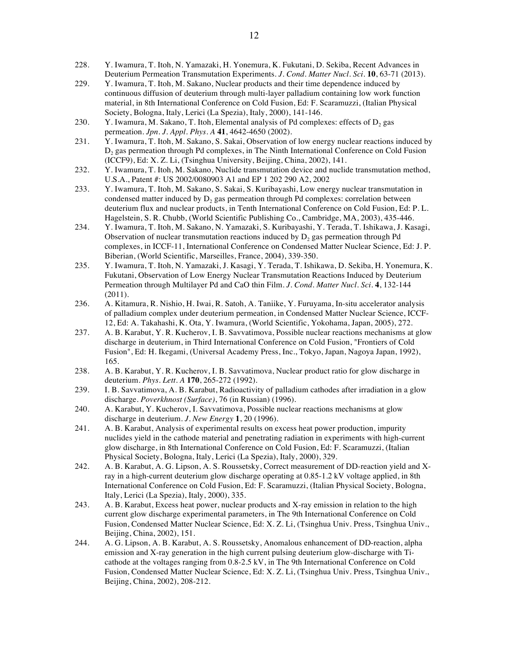- 228. Y. Iwamura, T. Itoh, N. Yamazaki, H. Yonemura, K. Fukutani, D. Sekiba, Recent Advances in Deuterium Permeation Transmutation Experiments. *J. Cond. Matter Nucl. Sci.* **10**, 63-71 (2013).
- 229. Y. Iwamura, T. Itoh, M. Sakano, Nuclear products and their time dependence induced by continuous diffusion of deuterium through multi-layer palladium containing low work function material, in 8th International Conference on Cold Fusion, Ed: F. Scaramuzzi, (Italian Physical Society, Bologna, Italy, Lerici (La Spezia), Italy, 2000), 141-146.
- 230. Y. Iwamura, M. Sakano, T. Itoh, Elemental analysis of Pd complexes: effects of  $D_2$  gas permeation. *Jpn. J. Appl. Phys. A* **41**, 4642-4650 (2002).
- 231. Y. Iwamura, T. Itoh, M. Sakano, S. Sakai, Observation of low energy nuclear reactions induced by D<sub>2</sub> gas permeation through Pd complexes, in The Ninth International Conference on Cold Fusion (ICCF9), Ed: X. Z. Li, (Tsinghua University, Beijing, China, 2002), 141.
- 232. Y. Iwamura, T. Itoh, M. Sakano, Nuclide transmutation device and nuclide transmutation method, U.S.A., Patent #: US 2002/0080903 A1 and EP 1 202 290 A2, 2002
- 233. Y. Iwamura, T. Itoh, M. Sakano, S. Sakai, S. Kuribayashi, Low energy nuclear transmutation in condensed matter induced by  $D_2$  gas permeation through Pd complexes: correlation between deuterium flux and nuclear products, in Tenth International Conference on Cold Fusion, Ed: P. L. Hagelstein, S. R. Chubb, (World Scientific Publishing Co., Cambridge, MA, 2003), 435-446.
- 234. Y. Iwamura, T. Itoh, M. Sakano, N. Yamazaki, S. Kuribayashi, Y. Terada, T. Ishikawa, J. Kasagi, Observation of nuclear transmutation reactions induced by  $D_2$  gas permeation through Pd complexes, in ICCF-11, International Conference on Condensed Matter Nuclear Science, Ed: J. P. Biberian, (World Scientific, Marseilles, France, 2004), 339-350.
- 235. Y. Iwamura, T. Itoh, N. Yamazaki, J. Kasagi, Y. Terada, T. Ishikawa, D. Sekiba, H. Yonemura, K. Fukutani, Observation of Low Energy Nuclear Transmutation Reactions Induced by Deuterium Permeation through Multilayer Pd and CaO thin Film. *J. Cond. Matter Nucl. Sci.* **4**, 132-144 (2011).
- 236. A. Kitamura, R. Nishio, H. Iwai, R. Satoh, A. Taniike, Y. Furuyama, In-situ accelerator analysis of palladium complex under deuterium permeation, in Condensed Matter Nuclear Science, ICCF-12, Ed: A. Takahashi, K. Ota, Y. Iwamura, (World Scientific, Yokohama, Japan, 2005), 272.
- 237. A. B. Karabut, Y. R. Kucherov, I. B. Savvatimova, Possible nuclear reactions mechanisms at glow discharge in deuterium, in Third International Conference on Cold Fusion, "Frontiers of Cold Fusion", Ed: H. Ikegami, (Universal Academy Press, Inc., Tokyo, Japan, Nagoya Japan, 1992), 165.
- 238. A. B. Karabut, Y. R. Kucherov, I. B. Savvatimova, Nuclear product ratio for glow discharge in deuterium. *Phys. Lett. A* **170**, 265-272 (1992).
- 239. I. B. Savvatimova, A. B. Karabut, Radioactivity of palladium cathodes after irradiation in a glow discharge. *Poverkhnost (Surface)*, 76 (in Russian) (1996).
- 240. A. Karabut, Y. Kucherov, I. Savvatimova, Possible nuclear reactions mechanisms at glow discharge in deuterium. *J. New Energy* **1**, 20 (1996).
- 241. A. B. Karabut, Analysis of experimental results on excess heat power production, impurity nuclides yield in the cathode material and penetrating radiation in experiments with high-current glow discharge, in 8th International Conference on Cold Fusion, Ed: F. Scaramuzzi, (Italian Physical Society, Bologna, Italy, Lerici (La Spezia), Italy, 2000), 329.
- 242. A. B. Karabut, A. G. Lipson, A. S. Roussetsky, Correct measurement of DD-reaction yield and Xray in a high-current deuterium glow discharge operating at 0.85-1.2 kV voltage applied, in 8th International Conference on Cold Fusion, Ed: F. Scaramuzzi, (Italian Physical Society, Bologna, Italy, Lerici (La Spezia), Italy, 2000), 335.
- 243. A. B. Karabut, Excess heat power, nuclear products and X-ray emission in relation to the high current glow discharge experimental parameters, in The 9th International Conference on Cold Fusion, Condensed Matter Nuclear Science, Ed: X. Z. Li, (Tsinghua Univ. Press, Tsinghua Univ., Beijing, China, 2002), 151.
- 244. A. G. Lipson, A. B. Karabut, A. S. Roussetsky, Anomalous enhancement of DD-reaction, alpha emission and X-ray generation in the high current pulsing deuterium glow-discharge with Ticathode at the voltages ranging from 0.8-2.5 kV, in The 9th International Conference on Cold Fusion, Condensed Matter Nuclear Science, Ed: X. Z. Li, (Tsinghua Univ. Press, Tsinghua Univ., Beijing, China, 2002), 208-212.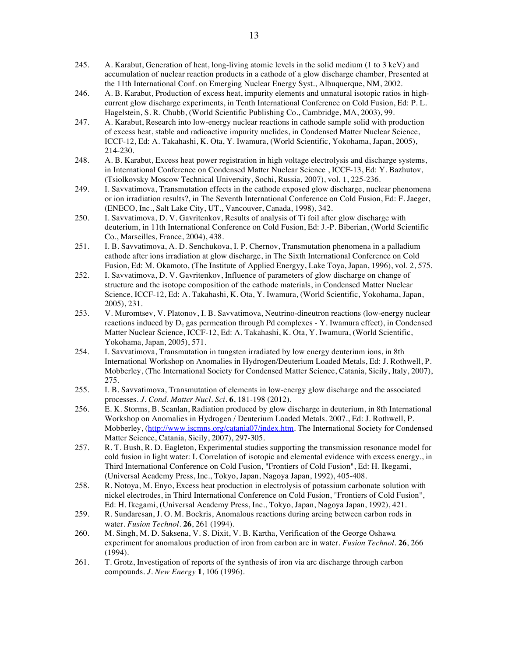- 245. A. Karabut, Generation of heat, long-living atomic levels in the solid medium (1 to 3 keV) and accumulation of nuclear reaction products in a cathode of a glow discharge chamber, Presented at the 11th International Conf. on Emerging Nuclear Energy Syst., Albuquerque, NM, 2002.
- 246. A. B. Karabut, Production of excess heat, impurity elements and unnatural isotopic ratios in highcurrent glow discharge experiments, in Tenth International Conference on Cold Fusion, Ed: P. L. Hagelstein, S. R. Chubb, (World Scientific Publishing Co., Cambridge, MA, 2003), 99.
- 247. A. Karabut, Research into low-energy nuclear reactions in cathode sample solid with production of excess heat, stable and radioactive impurity nuclides, in Condensed Matter Nuclear Science, ICCF-12, Ed: A. Takahashi, K. Ota, Y. Iwamura, (World Scientific, Yokohama, Japan, 2005), 214-230.
- 248. A. B. Karabut, Excess heat power registration in high voltage electrolysis and discharge systems, in International Conference on Condensed Matter Nuclear Science , ICCF-13, Ed: Y. Bazhutov, (Tsiolkovsky Moscow Technical University, Sochi, Russia, 2007), vol. 1, 225-236.
- 249. I. Savvatimova, Transmutation effects in the cathode exposed glow discharge, nuclear phenomena or ion irradiation results?, in The Seventh International Conference on Cold Fusion, Ed: F. Jaeger, (ENECO, Inc., Salt Lake City, UT., Vancouver, Canada, 1998), 342.
- 250. I. Savvatimova, D. V. Gavritenkov, Results of analysis of Ti foil after glow discharge with deuterium, in 11th International Conference on Cold Fusion, Ed: J.-P. Biberian, (World Scientific Co., Marseilles, France, 2004), 438.
- 251. I. B. Savvatimova, A. D. Senchukova, I. P. Chernov, Transmutation phenomena in a palladium cathode after ions irradiation at glow discharge, in The Sixth International Conference on Cold Fusion, Ed: M. Okamoto, (The Institute of Applied Energyy, Lake Toya, Japan, 1996), vol. 2, 575.
- 252. I. Savvatimova, D. V. Gavritenkov, Influence of parameters of glow discharge on change of structure and the isotope composition of the cathode materials, in Condensed Matter Nuclear Science, ICCF-12, Ed: A. Takahashi, K. Ota, Y. Iwamura, (World Scientific, Yokohama, Japan, 2005), 231.
- 253. V. Muromtsev, V. Platonov, I. B. Savvatimova, Neutrino-dineutron reactions (low-energy nuclear reactions induced by  $D_2$  gas permeation through Pd complexes - Y. Iwamura effect), in Condensed Matter Nuclear Science, ICCF-12, Ed: A. Takahashi, K. Ota, Y. Iwamura, (World Scientific, Yokohama, Japan, 2005), 571.
- 254. I. Savvatimova, Transmutation in tungsten irradiated by low energy deuterium ions, in 8th International Workshop on Anomalies in Hydrogen/Deuterium Loaded Metals, Ed: J. Rothwell, P. Mobberley, (The International Society for Condensed Matter Science, Catania, Sicily, Italy, 2007), 275.
- 255. I. B. Savvatimova, Transmutation of elements in low-energy glow discharge and the associated processes. *J. Cond. Matter Nucl. Sci.* **6**, 181-198 (2012).
- 256. E. K. Storms, B. Scanlan, Radiation produced by glow discharge in deuterium, in 8th International Workshop on Anomalies in Hydrogen / Deuterium Loaded Metals. 2007., Ed: J. Rothwell, P. Mobberley, (http://www.iscmns.org/catania07/index.htm. The International Society for Condensed Matter Science, Catania, Sicily, 2007), 297-305.
- 257. R. T. Bush, R. D. Eagleton, Experimental studies supporting the transmission resonance model for cold fusion in light water: I. Correlation of isotopic and elemental evidence with excess energy., in Third International Conference on Cold Fusion, "Frontiers of Cold Fusion", Ed: H. Ikegami, (Universal Academy Press, Inc., Tokyo, Japan, Nagoya Japan, 1992), 405-408.
- 258. R. Notoya, M. Enyo, Excess heat production in electrolysis of potassium carbonate solution with nickel electrodes, in Third International Conference on Cold Fusion, "Frontiers of Cold Fusion", Ed: H. Ikegami, (Universal Academy Press, Inc., Tokyo, Japan, Nagoya Japan, 1992), 421.
- 259. R. Sundaresan, J. O. M. Bockris, Anomalous reactions during arcing between carbon rods in water. *Fusion Technol.* **26**, 261 (1994).
- 260. M. Singh, M. D. Saksena, V. S. Dixit, V. B. Kartha, Verification of the George Oshawa experiment for anomalous production of iron from carbon arc in water. *Fusion Technol.* **26**, 266 (1994).
- 261. T. Grotz, Investigation of reports of the synthesis of iron via arc discharge through carbon compounds. *J. New Energy* **1**, 106 (1996).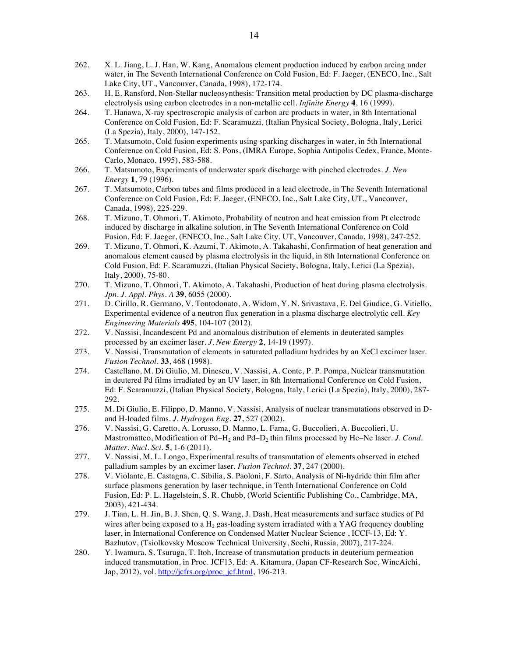- 262. X. L. Jiang, L. J. Han, W. Kang, Anomalous element production induced by carbon arcing under water, in The Seventh International Conference on Cold Fusion, Ed: F. Jaeger, (ENECO, Inc., Salt Lake City, UT., Vancouver, Canada, 1998), 172-174.
- 263. H. E. Ransford, Non-Stellar nucleosynthesis: Transition metal production by DC plasma-discharge electrolysis using carbon electrodes in a non-metallic cell. *Infinite Energy* **4**, 16 (1999).
- 264. T. Hanawa, X-ray spectroscropic analysis of carbon arc products in water, in 8th International Conference on Cold Fusion, Ed: F. Scaramuzzi, (Italian Physical Society, Bologna, Italy, Lerici (La Spezia), Italy, 2000), 147-152.
- 265. T. Matsumoto, Cold fusion experiments using sparking discharges in water, in 5th International Conference on Cold Fusion, Ed: S. Pons, (IMRA Europe, Sophia Antipolis Cedex, France, Monte-Carlo, Monaco, 1995), 583-588.
- 266. T. Matsumoto, Experiments of underwater spark discharge with pinched electrodes. *J. New Energy* **1**, 79 (1996).
- 267. T. Matsumoto, Carbon tubes and films produced in a lead electrode, in The Seventh International Conference on Cold Fusion, Ed: F. Jaeger, (ENECO, Inc., Salt Lake City, UT., Vancouver, Canada, 1998), 225-229.
- 268. T. Mizuno, T. Ohmori, T. Akimoto, Probability of neutron and heat emission from Pt electrode induced by discharge in alkaline solution, in The Seventh International Conference on Cold Fusion, Ed: F. Jaeger, (ENECO, Inc., Salt Lake City, UT, Vancouver, Canada, 1998), 247-252.
- 269. T. Mizuno, T. Ohmori, K. Azumi, T. Akimoto, A. Takahashi, Confirmation of heat generation and anomalous element caused by plasma electrolysis in the liquid, in 8th International Conference on Cold Fusion, Ed: F. Scaramuzzi, (Italian Physical Society, Bologna, Italy, Lerici (La Spezia), Italy, 2000), 75-80.
- 270. T. Mizuno, T. Ohmori, T. Akimoto, A. Takahashi, Production of heat during plasma electrolysis. *Jpn. J. Appl. Phys. A* **39**, 6055 (2000).
- 271. D. Cirillo, R. Germano, V. Tontodonato, A. Widom, Y. N. Srivastava, E. Del Giudice, G. Vitiello, Experimental evidence of a neutron flux generation in a plasma discharge electrolytic cell. *Key Engineering Materials* **495**, 104-107 (2012).
- 272. V. Nassisi, Incandescent Pd and anomalous distribution of elements in deuterated samples processed by an excimer laser. *J. New Energy* **2**, 14-19 (1997).
- 273. V. Nassisi, Transmutation of elements in saturated palladium hydrides by an XeCl excimer laser. *Fusion Technol.* **33**, 468 (1998).
- 274. Castellano, M. Di Giulio, M. Dinescu, V. Nassisi, A. Conte, P. P. Pompa, Nuclear transmutation in deutered Pd films irradiated by an UV laser, in 8th International Conference on Cold Fusion, Ed: F. Scaramuzzi, (Italian Physical Society, Bologna, Italy, Lerici (La Spezia), Italy, 2000), 287- 292.
- 275. M. Di Giulio, E. Filippo, D. Manno, V. Nassisi, Analysis of nuclear transmutations observed in Dand H-loaded films. *J. Hydrogen Eng.* **27**, 527 (2002).
- 276. V. Nassisi, G. Caretto, A. Lorusso, D. Manno, L. Fama, G. Buccolieri, A. Buccolieri, U. Mastromatteo, Modification of Pd–H<sub>2</sub> and Pd–D<sub>2</sub> thin films processed by He–Ne laser. *J. Cond. Matter. Nucl. Sci.* **5**, 1-6 (2011).
- 277. V. Nassisi, M. L. Longo, Experimental results of transmutation of elements observed in etched palladium samples by an excimer laser. *Fusion Technol.* **37**, 247 (2000).
- 278. V. Violante, E. Castagna, C. Sibilia, S. Paoloni, F. Sarto, Analysis of Ni-hydride thin film after surface plasmons generation by laser technique, in Tenth International Conference on Cold Fusion, Ed: P. L. Hagelstein, S. R. Chubb, (World Scientific Publishing Co., Cambridge, MA, 2003), 421-434.
- 279. J. Tian, L. H. Jin, B. J. Shen, Q. S. Wang, J. Dash, Heat measurements and surface studies of Pd wires after being exposed to a  $H_2$  gas-loading system irradiated with a YAG frequency doubling laser, in International Conference on Condensed Matter Nuclear Science , ICCF-13, Ed: Y. Bazhutov, (Tsiolkovsky Moscow Technical University, Sochi, Russia, 2007), 217-224.
- 280. Y. Iwamura, S. Tsuruga, T. Itoh, Increase of transmutation products in deuterium permeation induced transmutation, in Proc. JCF13, Ed: A. Kitamura, (Japan CF-Research Soc, WincAichi, Jap, 2012), vol. http://jcfrs.org/proc\_jcf.html, 196-213.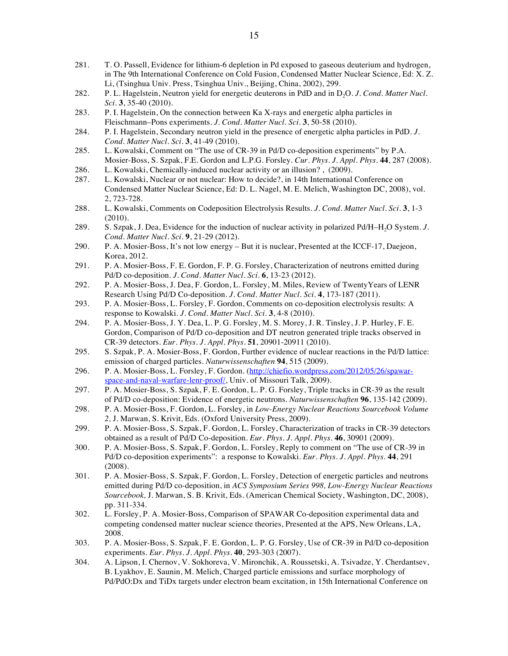- 281. T. O. Passell, Evidence for lithium-6 depletion in Pd exposed to gaseous deuterium and hydrogen, in The 9th International Conference on Cold Fusion, Condensed Matter Nuclear Science, Ed: X. Z. Li, (Tsinghua Univ. Press, Tsinghua Univ., Beijing, China, 2002), 299.
- 282. P. L. Hagelstein, Neutron yield for energetic deuterons in PdD and in D<sub>2</sub>O. *J. Cond. Matter Nucl. Sci.* **3**, 35-40 (2010).
- 283. P. I. Hagelstein, On the connection between Ka X-rays and energetic alpha particles in Fleischmann–Pons experiments. *J. Cond. Matter Nucl. Sci.* **3**, 50-58 (2010).
- 284. P. I. Hagelstein, Secondary neutron yield in the presence of energetic alpha particles in PdD. *J. Cond. Matter Nucl. Sci.* **3**, 41-49 (2010).
- 285. L. Kowalski, Comment on "The use of CR-39 in Pd/D co-deposition experiments" by P.A. Mosier-Boss, S. Szpak, F.E. Gordon and L.P.G. Forsley. *Cur. Phys. J. Appl. Phys.* **44**, 287 (2008).
- 286. L. Kowalski, Chemically-induced nuclear activity or an illusion? , (2009).
- 287. L. Kowalski, Nuclear or not nuclear: How to decide?, in 14th International Conference on Condensed Matter Nuclear Science, Ed: D. L. Nagel, M. E. Melich, Washington DC, 2008), vol. 2, 723-728.
- 288. L. Kowalski, Comments on Codeposition Electrolysis Results. *J. Cond. Matter Nucl. Sci.* **3**, 1-3 (2010).
- 289. S. Szpak, J. Dea, Evidence for the induction of nuclear activity in polarized Pd/H–H2O System. *J. Cond. Matter Nucl. Sci.* **9**, 21-29 (2012).
- 290. P. A. Mosier-Boss, It's not low energy But it is nuclear, Presented at the ICCF-17, Daejeon, Korea, 2012.
- 291. P. A. Mosier-Boss, F. E. Gordon, F. P. G. Forsley, Characterization of neutrons emitted during Pd/D co-deposition. *J. Cond. Matter Nucl. Sci.* **6**, 13-23 (2012).
- 292. P. A. Mosier-Boss, J. Dea, F. Gordon, L. Forsley, M. Miles, Review of TwentyYears of LENR Research Using Pd/D Co-deposition. *J. Cond. Matter Nucl. Sci.* **4**, 173-187 (2011).
- 293. P. A. Mosier-Boss, L. Forsley, F. Gordon, Comments on co-deposition electrolysis results: A response to Kowalski. *J. Cond. Matter Nucl. Sci.* **3**, 4-8 (2010).
- 294. P. A. Mosier-Boss, J. Y. Dea, L. P. G. Forsley, M. S. Morey, J. R. Tinsley, J. P. Hurley, F. E. Gordon, Comparison of Pd/D co-deposition and DT neutron generated triple tracks observed in CR-39 detectors. *Eur. Phys. J. Appl. Phys.* **51**, 20901-20911 (2010).
- 295. S. Szpak, P. A. Mosier-Boss, F. Gordon, Further evidence of nuclear reactions in the Pd/D lattice: emission of charged particles. *Naturwissenschaften* **94**, 515 (2009).
- 296. P. A. Mosier-Boss, L. Forsley, F. Gordon. (http://chiefio.wordpress.com/2012/05/26/spawarspace-and-naval-warfare-lenr-proof/, Univ. of Missouri Talk, 2009).
- 297. P. A. Mosier-Boss, S. Szpak, F. E. Gordon, L. P. G. Forsley, Triple tracks in CR-39 as the result of Pd/D co-deposition: Evidence of energetic neutrons. *Naturwissenschaften* **96**, 135-142 (2009).
- 298. P. A. Mosier-Boss, F. Gordon, L. Forsley, in *Low-Energy Nuclear Reactions Sourcebook Volume 2,* J. Marwan, S. Krivit, Eds. (Oxford University Press, 2009).
- 299. P. A. Mosier-Boss, S. Szpak, F. Gordon, L. Forsley, Characterization of tracks in CR-39 detectors obtained as a result of Pd/D Co-deposition. *Eur. Phys. J. Appl. Phys.* **46**, 30901 (2009).
- 300. P. A. Mosier-Boss, S. Szpak, F. Gordon, L. Forsley, Reply to comment on "The use of CR-39 in Pd/D co-deposition experiments": a response to Kowalski. *Eur. Phys. J. Appl. Phys.* **44**, 291 (2008).
- 301. P. A. Mosier-Boss, S. Szpak, F. Gordon, L. Forsley, Detection of energetic particles and neutrons emitted during Pd/D co-deposition, in *ACS Symposium Series 998, Low-Energy Nuclear Reactions Sourcebook,* J. Marwan, S. B. Krivit, Eds. (American Chemical Society, Washington, DC, 2008), pp. 311-334.
- 302. L. Forsley, P. A. Mosier-Boss, Comparison of SPAWAR Co-deposition experimental data and competing condensed matter nuclear science theories, Presented at the APS, New Orleans, LA, 2008.
- 303. P. A. Mosier-Boss, S. Szpak, F. E. Gordon, L. P. G. Forsley, Use of CR-39 in Pd/D co-deposition experiments. *Eur. Phys. J. Appl. Phys.* **40**, 293-303 (2007).
- 304. A. Lipson, I. Chernov, V. Sokhoreva, V. Mironchik, A. Roussetski, A. Tsivadze, Y. Cherdantsev, B. Lyakhov, E. Saunin, M. Melich, Charged particle emissions and surface morphology of Pd/PdO:Dx and TiDx targets under electron beam excitation, in 15th International Conference on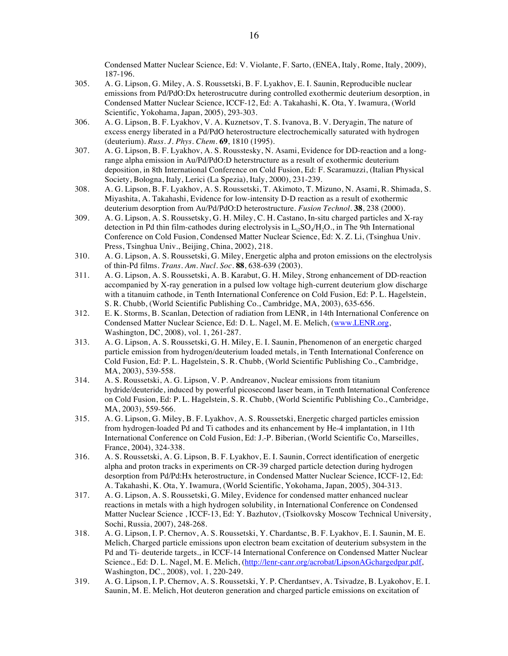Condensed Matter Nuclear Science, Ed: V. Violante, F. Sarto, (ENEA, Italy, Rome, Italy, 2009), 187-196.

- 305. A. G. Lipson, G. Miley, A. S. Roussetski, B. F. Lyakhov, E. I. Saunin, Reproducible nuclear emissions from Pd/PdO:Dx heterostrucutre during controlled exothermic deuterium desorption, in Condensed Matter Nuclear Science, ICCF-12, Ed: A. Takahashi, K. Ota, Y. Iwamura, (World Scientific, Yokohama, Japan, 2005), 293-303.
- 306. A. G. Lipson, B. F. Lyakhov, V. A. Kuznetsov, T. S. Ivanova, B. V. Deryagin, The nature of excess energy liberated in a Pd/PdO heterostructure electrochemically saturated with hydrogen (deuterium). *Russ. J. Phys. Chem.* **69**, 1810 (1995).
- 307. A. G. Lipson, B. F. Lyakhov, A. S. Rousstesky, N. Asami, Evidence for DD-reaction and a longrange alpha emission in Au/Pd/PdO:D heterstructure as a result of exothermic deuterium deposition, in 8th International Conference on Cold Fusion, Ed: F. Scaramuzzi, (Italian Physical Society, Bologna, Italy, Lerici (La Spezia), Italy, 2000), 231-239.
- 308. A. G. Lipson, B. F. Lyakhov, A. S. Roussetski, T. Akimoto, T. Mizuno, N. Asami, R. Shimada, S. Miyashita, A. Takahashi, Evidence for low-intensity D-D reaction as a result of exothermic deuterium desorption from Au/Pd/PdO:D heterostructure. *Fusion Technol.* **38**, 238 (2000).
- 309. A. G. Lipson, A. S. Roussetsky, G. H. Miley, C. H. Castano, In-situ charged particles and X-ray detection in Pd thin film-cathodes during electrolysis in  $L_1/SO_4/H_2O$ ., in The 9th International Conference on Cold Fusion, Condensed Matter Nuclear Science, Ed: X. Z. Li, (Tsinghua Univ. Press, Tsinghua Univ., Beijing, China, 2002), 218.
- 310. A. G. Lipson, A. S. Roussetski, G. Miley, Energetic alpha and proton emissions on the electrolysis of thin-Pd films. *Trans. Am. Nucl. Soc.* **88**, 638-639 (2003).
- 311. A. G. Lipson, A. S. Roussetski, A. B. Karabut, G. H. Miley, Strong enhancement of DD-reaction accompanied by X-ray generation in a pulsed low voltage high-current deuterium glow discharge with a titanuim cathode, in Tenth International Conference on Cold Fusion, Ed: P. L. Hagelstein, S. R. Chubb, (World Scientific Publishing Co., Cambridge, MA, 2003), 635-656.
- 312. E. K. Storms, B. Scanlan, Detection of radiation from LENR, in 14th International Conference on Condensed Matter Nuclear Science, Ed: D. L. Nagel, M. E. Melich, (www.LENR.org, Washington, DC, 2008), vol. 1, 261-287.
- 313. A. G. Lipson, A. S. Roussetski, G. H. Miley, E. I. Saunin, Phenomenon of an energetic charged particle emission from hydrogen/deuterium loaded metals, in Tenth International Conference on Cold Fusion, Ed: P. L. Hagelstein, S. R. Chubb, (World Scientific Publishing Co., Cambridge, MA, 2003), 539-558.
- 314. A. S. Roussetski, A. G. Lipson, V. P. Andreanov, Nuclear emissions from titanium hydride/deuteride, induced by powerful picosecond laser beam, in Tenth International Conference on Cold Fusion, Ed: P. L. Hagelstein, S. R. Chubb, (World Scientific Publishing Co., Cambridge, MA, 2003), 559-566.
- 315. A. G. Lipson, G. Miley, B. F. Lyakhov, A. S. Roussetski, Energetic charged particles emission from hydrogen-loaded Pd and Ti cathodes and its enhancement by He-4 implantation, in 11th International Conference on Cold Fusion, Ed: J.-P. Biberian, (World Scientific Co, Marseilles, France, 2004), 324-338.
- 316. A. S. Roussetski, A. G. Lipson, B. F. Lyakhov, E. I. Saunin, Correct identification of energetic alpha and proton tracks in experiments on CR-39 charged particle detection during hydrogen desorption from Pd/Pd:Hx heterostructure, in Condensed Matter Nuclear Science, ICCF-12, Ed: A. Takahashi, K. Ota, Y. Iwamura, (World Scientific, Yokohama, Japan, 2005), 304-313.
- 317. A. G. Lipson, A. S. Roussetski, G. Miley, Evidence for condensed matter enhanced nuclear reactions in metals with a high hydrogen solubility, in International Conference on Condensed Matter Nuclear Science , ICCF-13, Ed: Y. Bazhutov, (Tsiolkovsky Moscow Technical University, Sochi, Russia, 2007), 248-268.
- 318. A. G. Lipson, I. P. Chernov, A. S. Roussetski, Y. Chardantsc, B. F. Lyakhov, E. I. Saunin, M. E. Melich, Charged particle emissions upon electron beam excitation of deuterium subsystem in the Pd and Ti- deuteride targets., in ICCF-14 International Conference on Condensed Matter Nuclear Science., Ed: D. L. Nagel, M. E. Melich, (http://lenr-canr.org/acrobat/LipsonAGchargedpar.pdf, Washington, DC., 2008), vol. 1, 220-249.
- 319. A. G. Lipson, I. P. Chernov, A. S. Roussetski, Y. P. Cherdantsev, A. Tsivadze, B. Lyakohov, E. I. Saunin, M. E. Melich, Hot deuteron generation and charged particle emissions on excitation of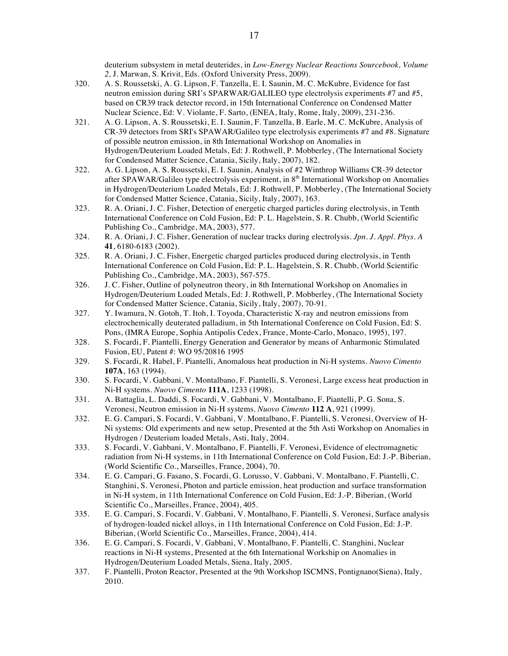deuterium subsystem in metal deuterides, in *Low-Energy Nuclear Reactions Sourcebook, Volume 2,* J. Marwan, S. Krivit, Eds. (Oxford University Press, 2009).

- 320. A. S. Roussetski, A. G. Lipson, F. Tanzella, E. I. Saunin, M. C. McKubre, Evidence for fast neutron emission during SRI's SPARWAR/GALILEO type electrolysis experiments #7 and #5, based on CR39 track detector record, in 15th International Conference on Condensed Matter Nuclear Science, Ed: V. Violante, F. Sarto, (ENEA, Italy, Rome, Italy, 2009), 231-236.
- 321. A. G. Lipson, A. S. Roussetski, E. I. Saunin, F. Tanzella, B. Earle, M. C. McKubre, Analysis of CR-39 detectors from SRI's SPAWAR/Galileo type electrolysis experiments #7 and #8. Signature of possible neutron emission, in 8th International Workshop on Anomalies in Hydrogen/Deuterium Loaded Metals, Ed: J. Rothwell, P. Mobberley, (The International Society for Condensed Matter Science, Catania, Sicily, Italy, 2007), 182.
- 322. A. G. Lipson, A. S. Roussetski, E. I. Saunin, Analysis of #2 Winthrop Williams CR-39 detector after SPAWAR/Galileo type electrolysis experiment, in 8<sup>th</sup> International Workshop on Anomalies in Hydrogen/Deuterium Loaded Metals, Ed: J. Rothwell, P. Mobberley, (The International Society for Condensed Matter Science, Catania, Sicily, Italy, 2007), 163.
- 323. R. A. Oriani, J. C. Fisher, Detection of energetic charged particles during electrolysis, in Tenth International Conference on Cold Fusion, Ed: P. L. Hagelstein, S. R. Chubb, (World Scientific Publishing Co., Cambridge, MA, 2003), 577.
- 324. R. A. Oriani, J. C. Fisher, Generation of nuclear tracks during electrolysis. *Jpn. J. Appl. Phys. A* **41**, 6180-6183 (2002).
- 325. R. A. Oriani, J. C. Fisher, Energetic charged particles produced during electrolysis, in Tenth International Conference on Cold Fusion, Ed: P. L. Hagelstein, S. R. Chubb, (World Scientific Publishing Co., Cambridge, MA, 2003), 567-575.
- 326. J. C. Fisher, Outline of polyneutron theory, in 8th International Workshop on Anomalies in Hydrogen/Deuterium Loaded Metals, Ed: J. Rothwell, P. Mobberley, (The International Society for Condensed Matter Science, Catania, Sicily, Italy, 2007), 70-91.
- 327. Y. Iwamura, N. Gotoh, T. Itoh, I. Toyoda, Characteristic X-ray and neutron emissions from electrochemically deuterated palladium, in 5th International Conference on Cold Fusion, Ed: S. Pons, (IMRA Europe, Sophia Antipolis Cedex, France, Monte-Carlo, Monaco, 1995), 197.
- 328. S. Focardi, F. Piantelli, Energy Generation and Generator by means of Anharmonic Stimulated Fusion, EU, Patent #: WO 95/20816 1995
- 329. S. Focardi, R. Habel, F. Piantelli, Anomalous heat production in Ni-H systems. *Nuovo Cimento* **107A**, 163 (1994).
- 330. S. Focardi, V. Gabbani, V. Montalbano, F. Piantelli, S. Veronesi, Large excess heat production in Ni-H systems. *Nuovo Cimento* **111A**, 1233 (1998).
- 331. A. Battaglia, L. Daddi, S. Focardi, V. Gabbani, V. Montalbano, F. Piantelli, P. G. Sona, S. Veronesi, Neutron emission in Ni-H systems. *Nuovo Cimento* **112 A**, 921 (1999).
- 332. E. G. Campari, S. Focardi, V. Gabbani, V. Montalbano, F. Piantelli, S. Veronesi, Overview of H-Ni systems: Old experiments and new setup, Presented at the 5th Asti Workshop on Anomalies in Hydrogen / Deuterium loaded Metals, Asti, Italy, 2004.
- 333. S. Focardi, V. Gabbani, V. Montalbano, F. Piantelli, F. Veronesi, Evidence of electromagnetic radiation from Ni-H systems, in 11th International Conference on Cold Fusion, Ed: J.-P. Biberian, (World Scientific Co., Marseilles, France, 2004), 70.
- 334. E. G. Campari, G. Fasano, S. Focardi, G. Lorusso, V. Gabbani, V. Montalbano, F. Piantelli, C. Stanghini, S. Veronesi, Photon and particle emission, heat production and surface transformation in Ni-H system, in 11th International Conference on Cold Fusion, Ed: J.-P. Biberian, (World Scientific Co., Marseilles, France, 2004), 405.
- 335. E. G. Campari, S. Focardi, V. Gabbani, V. Montalbano, F. Piantelli, S. Veronesi, Surface analysis of hydrogen-loaded nickel alloys, in 11th International Conference on Cold Fusion, Ed: J.-P. Biberian, (World Scientific Co., Marseilles, France, 2004), 414.
- 336. E. G. Campari, S. Focardi, V. Gabbani, V. Montalbano, F. Piantelli, C. Stanghini, Nuclear reactions in Ni-H systems, Presented at the 6th International Workship on Anomalies in Hydrogen/Deuterium Loaded Metals, Siena, Italy, 2005.
- 337. F. Piantelli, Proton Reactor, Presented at the 9th Workshop ISCMNS, Pontignano(Siena), Italy, 2010.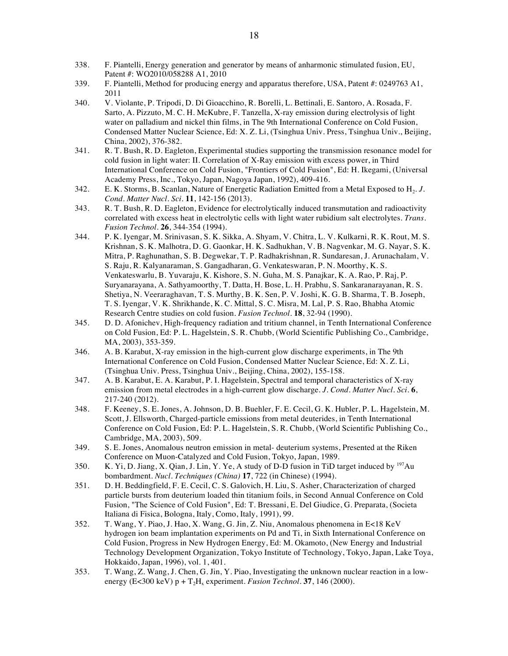- 338. F. Piantelli, Energy generation and generator by means of anharmonic stimulated fusion, EU, Patent #: WO2010/058288 A1, 2010
- 339. F. Piantelli, Method for producing energy and apparatus therefore, USA, Patent #: 0249763 A1, 2011
- 340. V. Violante, P. Tripodi, D. Di Gioacchino, R. Borelli, L. Bettinali, E. Santoro, A. Rosada, F. Sarto, A. Pizzuto, M. C. H. McKubre, F. Tanzella, X-ray emission during electrolysis of light water on palladium and nickel thin films, in The 9th International Conference on Cold Fusion, Condensed Matter Nuclear Science, Ed: X. Z. Li, (Tsinghua Univ. Press, Tsinghua Univ., Beijing, China, 2002), 376-382.
- 341. R. T. Bush, R. D. Eagleton, Experimental studies supporting the transmission resonance model for cold fusion in light water: II. Correlation of X-Ray emission with excess power, in Third International Conference on Cold Fusion, "Frontiers of Cold Fusion", Ed: H. Ikegami, (Universal Academy Press, Inc., Tokyo, Japan, Nagoya Japan, 1992), 409-416.
- 342. E. K. Storms, B. Scanlan, Nature of Energetic Radiation Emitted from a Metal Exposed to H<sub>2</sub>. *J. Cond. Matter Nucl. Sci.* **11**, 142-156 (2013).
- 343. R. T. Bush, R. D. Eagleton, Evidence for electrolytically induced transmutation and radioactivity correlated with excess heat in electrolytic cells with light water rubidium salt electrolytes. *Trans. Fusion Technol.* **26**, 344-354 (1994).
- 344. P. K. Iyengar, M. Srinivasan, S. K. Sikka, A. Shyam, V. Chitra, L. V. Kulkarni, R. K. Rout, M. S. Krishnan, S. K. Malhotra, D. G. Gaonkar, H. K. Sadhukhan, V. B. Nagvenkar, M. G. Nayar, S. K. Mitra, P. Raghunathan, S. B. Degwekar, T. P. Radhakrishnan, R. Sundaresan, J. Arunachalam, V. S. Raju, R. Kalyanaraman, S. Gangadharan, G. Venkateswaran, P. N. Moorthy, K. S. Venkateswarlu, B. Yuvaraju, K. Kishore, S. N. Guha, M. S. Panajkar, K. A. Rao, P. Raj, P. Suryanarayana, A. Sathyamoorthy, T. Datta, H. Bose, L. H. Prabhu, S. Sankaranarayanan, R. S. Shetiya, N. Veeraraghavan, T. S. Murthy, B. K. Sen, P. V. Joshi, K. G. B. Sharma, T. B. Joseph, T. S. Iyengar, V. K. Shrikhande, K. C. Mittal, S. C. Misra, M. Lal, P. S. Rao, Bhabha Atomic Research Centre studies on cold fusion. *Fusion Technol.* **18**, 32-94 (1990).
- 345. D. D. Afonichev, High-frequency radiation and tritium channel, in Tenth International Conference on Cold Fusion, Ed: P. L. Hagelstein, S. R. Chubb, (World Scientific Publishing Co., Cambridge, MA, 2003), 353-359.
- 346. A. B. Karabut, X-ray emission in the high-current glow discharge experiments, in The 9th International Conference on Cold Fusion, Condensed Matter Nuclear Science, Ed: X. Z. Li, (Tsinghua Univ. Press, Tsinghua Univ., Beijing, China, 2002), 155-158.
- 347. A. B. Karabut, E. A. Karabut, P. I. Hagelstein, Spectral and temporal characteristics of X-ray emission from metal electrodes in a high-current glow discharge. *J. Cond. Matter Nucl. Sci.* **6**, 217-240 (2012).
- 348. F. Keeney, S. E. Jones, A. Johnson, D. B. Buehler, F. E. Cecil, G. K. Hubler, P. L. Hagelstein, M. Scott, J. Ellsworth, Charged-particle emissions from metal deuterides, in Tenth International Conference on Cold Fusion, Ed: P. L. Hagelstein, S. R. Chubb, (World Scientific Publishing Co., Cambridge, MA, 2003), 509.
- 349. S. E. Jones, Anomalous neutron emission in metal- deuterium systems, Presented at the Riken Conference on Muon-Catalyzed and Cold Fusion, Tokyo, Japan, 1989.
- 350. K. Yi, D. Jiang, X. Qian, J. Lin, Y. Ye, A study of D-D fusion in TiD target induced by  $197\text{Au}$ bombardment. *Nucl. Techniques (China)* **17**, 722 (in Chinese) (1994).
- 351. D. H. Beddingfield, F. E. Cecil, C. S. Galovich, H. Liu, S. Asher, Characterization of charged particle bursts from deuterium loaded thin titanium foils, in Second Annual Conference on Cold Fusion, "The Science of Cold Fusion", Ed: T. Bressani, E. Del Giudice, G. Preparata, (Societa Italiana di Fisica, Bologna, Italy, Como, Italy, 1991), 99.
- 352. T. Wang, Y. Piao, J. Hao, X. Wang, G. Jin, Z. Niu, Anomalous phenomena in E<18 KeV hydrogen ion beam implantation experiments on Pd and Ti, in Sixth International Conference on Cold Fusion, Progress in New Hydrogen Energy, Ed: M. Okamoto, (New Energy and Industrial Technology Development Organization, Tokyo Institute of Technology, Tokyo, Japan, Lake Toya, Hokkaido, Japan, 1996), vol. 1, 401.
- 353. T. Wang, Z. Wang, J. Chen, G. Jin, Y. Piao, Investigating the unknown nuclear reaction in a lowenergy (E<300 keV)  $p + T<sub>2</sub>H<sub>x</sub>$  experiment. *Fusion Technol*. **37**, 146 (2000).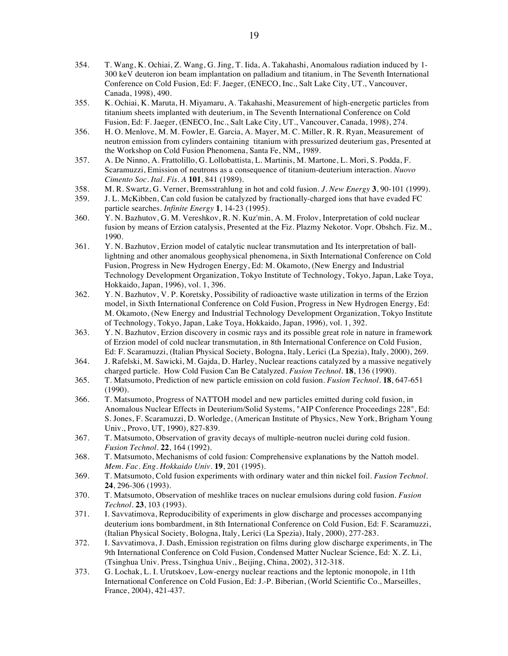- 354. T. Wang, K. Ochiai, Z. Wang, G. Jing, T. Iida, A. Takahashi, Anomalous radiation induced by 1- 300 keV deuteron ion beam implantation on palladium and titanium, in The Seventh International Conference on Cold Fusion, Ed: F. Jaeger, (ENECO, Inc., Salt Lake City, UT., Vancouver, Canada, 1998), 490.
- 355. K. Ochiai, K. Maruta, H. Miyamaru, A. Takahashi, Measurement of high-energetic particles from titanium sheets implanted with deuterium, in The Seventh International Conference on Cold Fusion, Ed: F. Jaeger, (ENECO, Inc., Salt Lake City, UT., Vancouver, Canada, 1998), 274.
- 356. H. O. Menlove, M. M. Fowler, E. Garcia, A. Mayer, M. C. Miller, R. R. Ryan, Measurement of neutron emission from cylinders containing titanium with pressurized deuterium gas, Presented at the Workshop on Cold Fusion Phenomena, Santa Fe, NM,, 1989.
- 357. A. De Ninno, A. Frattolillo, G. Lollobattista, L. Martinis, M. Martone, L. Mori, S. Podda, F. Scaramuzzi, Emission of neutrons as a consequence of titanium-deuterium interaction. *Nuovo Cimento Soc. Ital. Fis. A* **101**, 841 (1989).
- 358. M. R. Swartz, G. Verner, Bremsstrahlung in hot and cold fusion. *J. New Energy* **3**, 90-101 (1999).
- 359. J. L. McKibben, Can cold fusion be catalyzed by fractionally-charged ions that have evaded FC particle searches. *Infinite Energy* **1**, 14-23 (1995).
- 360. Y. N. Bazhutov, G. M. Vereshkov, R. N. Kuz'min, A. M. Frolov, Interpretation of cold nuclear fusion by means of Erzion catalysis, Presented at the Fiz. Plazmy Nekotor. Vopr. Obshch. Fiz. M., 1990.
- 361. Y. N. Bazhutov, Erzion model of catalytic nuclear transmutation and Its interpretation of balllightning and other anomalous geophysical phenomena, in Sixth International Conference on Cold Fusion, Progress in New Hydrogen Energy, Ed: M. Okamoto, (New Energy and Industrial Technology Development Organization, Tokyo Institute of Technology, Tokyo, Japan, Lake Toya, Hokkaido, Japan, 1996), vol. 1, 396.
- 362. Y. N. Bazhutov, V. P. Koretsky, Possibility of radioactive waste utilization in terms of the Erzion model, in Sixth International Conference on Cold Fusion, Progress in New Hydrogen Energy, Ed: M. Okamoto, (New Energy and Industrial Technology Development Organization, Tokyo Institute of Technology, Tokyo, Japan, Lake Toya, Hokkaido, Japan, 1996), vol. 1, 392.
- 363. Y. N. Bazhutov, Erzion discovery in cosmic rays and its possible great role in nature in framework of Erzion model of cold nuclear transmutation, in 8th International Conference on Cold Fusion, Ed: F. Scaramuzzi, (Italian Physical Society, Bologna, Italy, Lerici (La Spezia), Italy, 2000), 269.
- 364. J. Rafelski, M. Sawicki, M. Gajda, D. Harley, Nuclear reactions catalyzed by a massive negatively charged particle. How Cold Fusion Can Be Catalyzed. *Fusion Technol.* **18**, 136 (1990).
- 365. T. Matsumoto, Prediction of new particle emission on cold fusion. *Fusion Technol.* **18**, 647-651 (1990).
- 366. T. Matsumoto, Progress of NATTOH model and new particles emitted during cold fusion, in Anomalous Nuclear Effects in Deuterium/Solid Systems, "AIP Conference Proceedings 228", Ed: S. Jones, F. Scaramuzzi, D. Worledge, (American Institute of Physics, New York, Brigham Young Univ., Provo, UT, 1990), 827-839.
- 367. T. Matsumoto, Observation of gravity decays of multiple-neutron nuclei during cold fusion. *Fusion Technol.* **22**, 164 (1992).
- 368. T. Matsumoto, Mechanisms of cold fusion: Comprehensive explanations by the Nattoh model. *Mem. Fac. Eng. Hokkaido Univ.* **19**, 201 (1995).
- 369. T. Matsumoto, Cold fusion experiments with ordinary water and thin nickel foil. *Fusion Technol.* **24**, 296-306 (1993).
- 370. T. Matsumoto, Observation of meshlike traces on nuclear emulsions during cold fusion. *Fusion Technol.* **23**, 103 (1993).
- 371. I. Savvatimova, Reproducibility of experiments in glow discharge and processes accompanying deuterium ions bombardment, in 8th International Conference on Cold Fusion, Ed: F. Scaramuzzi, (Italian Physical Society, Bologna, Italy, Lerici (La Spezia), Italy, 2000), 277-283.
- 372. I. Savvatimova, J. Dash, Emission registration on films during glow discharge experiments, in The 9th International Conference on Cold Fusion, Condensed Matter Nuclear Science, Ed: X. Z. Li, (Tsinghua Univ. Press, Tsinghua Univ., Beijing, China, 2002), 312-318.
- 373. G. Lochak, L. I. Urutskoev, Low-energy nuclear reactions and the leptonic monopole, in 11th International Conference on Cold Fusion, Ed: J.-P. Biberian, (World Scientific Co., Marseilles, France, 2004), 421-437.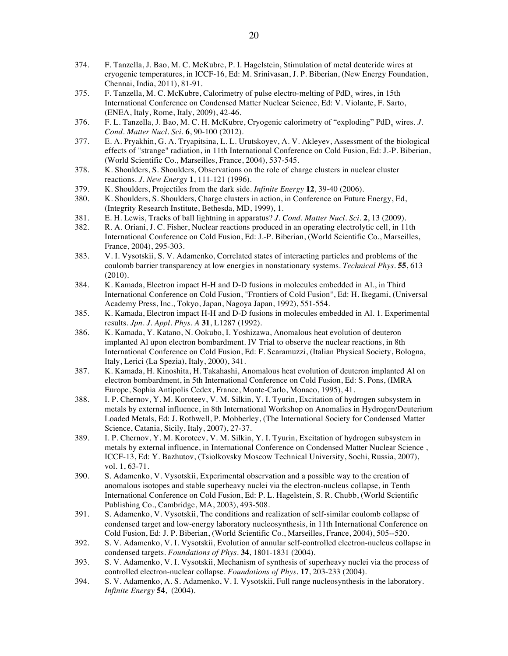- 374. F. Tanzella, J. Bao, M. C. McKubre, P. I. Hagelstein, Stimulation of metal deuteride wires at cryogenic temperatures, in ICCF-16, Ed: M. Srinivasan, J. P. Biberian, (New Energy Foundation, Chennai, India, 2011), 81-91.
- 375. F. Tanzella, M. C. McKubre, Calorimetry of pulse electro-melting of  $PdD_x$  wires, in 15th International Conference on Condensed Matter Nuclear Science, Ed: V. Violante, F. Sarto, (ENEA, Italy, Rome, Italy, 2009), 42-46.
- 376. F. L. Tanzella, J. Bao, M. C. H. McKubre, Cryogenic calorimetry of "exploding" PdD<sub>x</sub> wires. *J. Cond. Matter Nucl. Sci.* **6**, 90-100 (2012).
- 377. E. A. Pryakhin, G. A. Tryapitsina, L. L. Urutskoyev, A. V. Akleyev, Assessment of the biological effects of "strange" radiation, in 11th International Conference on Cold Fusion, Ed: J.-P. Biberian, (World Scientific Co., Marseilles, France, 2004), 537-545.
- 378. K. Shoulders, S. Shoulders, Observations on the role of charge clusters in nuclear cluster reactions. *J. New Energy* **1**, 111-121 (1996).
- 379. K. Shoulders, Projectiles from the dark side. *Infinite Energy* **12**, 39-40 (2006).
- 380. K. Shoulders, S. Shoulders, Charge clusters in action, in Conference on Future Energy, Ed, (Integrity Research Institute, Bethesda, MD, 1999), 1.
- 381. E. H. Lewis, Tracks of ball lightning in apparatus? *J. Cond. Matter Nucl. Sci.* **2**, 13 (2009).
- 382. R. A. Oriani, J. C. Fisher, Nuclear reactions produced in an operating electrolytic cell, in 11th International Conference on Cold Fusion, Ed: J.-P. Biberian, (World Scientific Co., Marseilles, France, 2004), 295-303.
- 383. V. I. Vysotskii, S. V. Adamenko, Correlated states of interacting particles and problems of the coulomb barrier transparency at low energies in nonstationary systems. *Technical Phys.* **55**, 613 (2010).
- 384. K. Kamada, Electron impact H-H and D-D fusions in molecules embedded in Al., in Third International Conference on Cold Fusion, "Frontiers of Cold Fusion", Ed: H. Ikegami, (Universal Academy Press, Inc., Tokyo, Japan, Nagoya Japan, 1992), 551-554.
- 385. K. Kamada, Electron impact H-H and D-D fusions in molecules embedded in Al. 1. Experimental results. *Jpn. J. Appl. Phys. A* **31**, L1287 (1992).
- 386. K. Kamada, Y. Katano, N. Ookubo, I. Yoshizawa, Anomalous heat evolution of deuteron implanted Al upon electron bombardment. IV Trial to observe the nuclear reactions, in 8th International Conference on Cold Fusion, Ed: F. Scaramuzzi, (Italian Physical Society, Bologna, Italy, Lerici (La Spezia), Italy, 2000), 341.
- 387. K. Kamada, H. Kinoshita, H. Takahashi, Anomalous heat evolution of deuteron implanted Al on electron bombardment, in 5th International Conference on Cold Fusion, Ed: S. Pons, (IMRA Europe, Sophia Antipolis Cedex, France, Monte-Carlo, Monaco, 1995), 41.
- 388. I. P. Chernov, Y. M. Koroteev, V. M. Silkin, Y. I. Tyurin, Excitation of hydrogen subsystem in metals by external influence, in 8th International Workshop on Anomalies in Hydrogen/Deuterium Loaded Metals, Ed: J. Rothwell, P. Mobberley, (The International Society for Condensed Matter Science, Catania, Sicily, Italy, 2007), 27-37.
- 389. I. P. Chernov, Y. M. Koroteev, V. M. Silkin, Y. I. Tyurin, Excitation of hydrogen subsystem in metals by external influence, in International Conference on Condensed Matter Nuclear Science , ICCF-13, Ed: Y. Bazhutov, (Tsiolkovsky Moscow Technical University, Sochi, Russia, 2007), vol. 1, 63-71.
- 390. S. Adamenko, V. Vysotskii, Experimental observation and a possible way to the creation of anomalous isotopes and stable superheavy nuclei via the electron-nucleus collapse, in Tenth International Conference on Cold Fusion, Ed: P. L. Hagelstein, S. R. Chubb, (World Scientific Publishing Co., Cambridge, MA, 2003), 493-508.
- 391. S. Adamenko, V. Vysotskii, The conditions and realization of self-similar coulomb collapse of condensed target and low-energy laboratory nucleosynthesis, in 11th International Conference on Cold Fusion, Ed: J. P. Biberian, (World Scientific Co., Marseilles, France, 2004), 505--520.
- 392. S. V. Adamenko, V. I. Vysotskii, Evolution of annular self-controlled electron-nucleus collapse in condensed targets. *Foundations of Phys.* **34**, 1801-1831 (2004).
- 393. S. V. Adamenko, V. I. Vysotskii, Mechanism of synthesis of superheavy nuclei via the process of controlled electron-nuclear collapse. *Foundations of Phys.* **17**, 203-233 (2004).
- 394. S. V. Adamenko, A. S. Adamenko, V. I. Vysotskii, Full range nucleosynthesis in the laboratory. *Infinite Energy* **54**, (2004).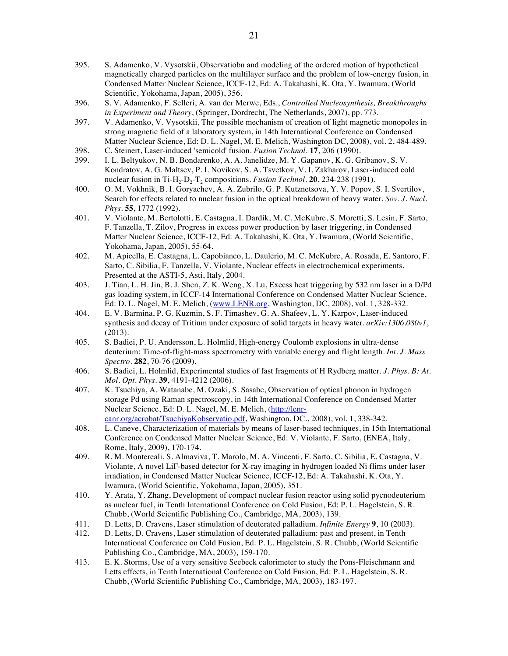- 395. S. Adamenko, V. Vysotskii, Observatiobn and modeling of the ordered motion of hypothetical magnetically charged particles on the multilayer surface and the problem of low-energy fusion, in Condensed Matter Nuclear Science, ICCF-12, Ed: A. Takahashi, K. Ota, Y. Iwamura, (World Scientific, Yokohama, Japan, 2005), 356.
- 396. S. V. Adamenko, F. Selleri, A. van der Merwe, Eds., *Controlled Nucleosynthesis, Breakthroughs in Experiment and Theory*, (Springer, Dordrecht, The Netherlands, 2007), pp. 773.
- 397. V. Adamenko, V. Vysotskii, The possible mechanism of creation of light magnetic monopoles in strong magnetic field of a laboratory system, in 14th International Conference on Condensed Matter Nuclear Science, Ed: D. L. Nagel, M. E. Melich, Washington DC, 2008), vol. 2, 484-489.
- 398. C. Steinert, Laser-induced 'semicold' fusion. *Fusion Technol.* **17**, 206 (1990).
- I. L. Beltyukov, N. B. Bondarenko, A. A. Janelidze, M. Y. Gapanov, K. G. Gribanov, S. V. Kondratov, A. G. Maltsev, P. I. Novikov, S. A. Tsvetkov, V. I. Zakharov, Laser-induced cold nuclear fusion in Ti-H<sub>2</sub>-D<sub>2</sub>-T<sub>2</sub> compositions. *Fusion Technol*. **20**, 234-238 (1991).
- 400. O. M. Vokhnik, B. I. Goryachev, A. A. Zubrilo, G. P. Kutznetsova, Y. V. Popov, S. I. Svertilov, Search for effects related to nuclear fusion in the optical breakdown of heavy water. *Sov. J. Nucl. Phys.* **55**, 1772 (1992).
- 401. V. Violante, M. Bertolotti, E. Castagna, I. Dardik, M. C. McKubre, S. Moretti, S. Lesin, F. Sarto, F. Tanzella, T. Zilov, Progress in excess power production by laser triggering, in Condensed Matter Nuclear Science, ICCF-12, Ed: A. Takahashi, K. Ota, Y. Iwamura, (World Scientific, Yokohama, Japan, 2005), 55-64.
- 402. M. Apicella, E. Castagna, L. Capobianco, L. Daulerio, M. C. McKubre, A. Rosada, E. Santoro, F. Sarto, C. Sibilia, F. Tanzella, V. Violante, Nuclear effects in electrochemical experiments, Presented at the ASTI-5, Asti, Italy, 2004.
- 403. J. Tian, L. H. Jin, B. J. Shen, Z. K. Weng, X. Lu, Excess heat triggering by 532 nm laser in a D/Pd gas loading system, in ICCF-14 International Conference on Condensed Matter Nuclear Science, Ed: D. L. Nagel, M. E. Melich, (www.LENR.org, Washington, DC, 2008), vol. 1, 328-332.
- 404. E. V. Barmina, P. G. Kuzmin, S. F. Timashev, G. A. Shafeev, L. Y. Karpov, Laser-induced synthesis and decay of Tritium under exposure of solid targets in heavy water. *arXiv:1306.080v1*, (2013).
- 405. S. Badiei, P. U. Andersson, L. Holmlid, High-energy Coulomb explosions in ultra-dense deuterium: Time-of-flight-mass spectrometry with variable energy and flight length. *Int. J. Mass Spectro.* **282**, 70-76 (2009).
- 406. S. Badiei, L. Holmlid, Experimental studies of fast fragments of H Rydberg matter. *J. Phys. B: At. Mol. Opt. Phys.* **39**, 4191-4212 (2006).
- 407. K. Tsuchiya, A. Watanabe, M. Ozaki, S. Sasabe, Observation of optical phonon in hydrogen storage Pd using Raman spectroscopy, in 14th International Conference on Condensed Matter Nuclear Science, Ed: D. L. Nagel, M. E. Melich, (http://lenrcanr.org/acrobat/TsuchiyaKobservatio.pdf, Washington, DC., 2008), vol. 1, 338-342.
- 408. L. Caneve, Characterization of materials by means of laser-based techniques, in 15th International Conference on Condensed Matter Nuclear Science, Ed: V. Violante, F. Sarto, (ENEA, Italy, Rome, Italy, 2009), 170-174.
- 409. R. M. Montereali, S. Almaviva, T. Marolo, M. A. Vincenti, F. Sarto, C. Sibilia, E. Castagna, V. Violante, A novel LiF-based detector for X-ray imaging in hydrogen loaded Ni flims under laser irradiation, in Condensed Matter Nuclear Science, ICCF-12, Ed: A. Takahashi, K. Ota, Y. Iwamura, (World Scientific, Yokohama, Japan, 2005), 351.
- 410. Y. Arata, Y. Zhang, Development of compact nuclear fusion reactor using solid pycnodeuterium as nuclear fuel, in Tenth International Conference on Cold Fusion, Ed: P. L. Hagelstein, S. R. Chubb, (World Scientific Publishing Co., Cambridge, MA, 2003), 139.
- 411. D. Letts, D. Cravens, Laser stimulation of deuterated palladium. *Infinite Energy* **9**, 10 (2003).
- 412. D. Letts, D. Cravens, Laser stimulation of deuterated palladium: past and present, in Tenth International Conference on Cold Fusion, Ed: P. L. Hagelstein, S. R. Chubb, (World Scientific Publishing Co., Cambridge, MA, 2003), 159-170.
- 413. E. K. Storms, Use of a very sensitive Seebeck calorimeter to study the Pons-Fleischmann and Letts effects, in Tenth International Conference on Cold Fusion, Ed: P. L. Hagelstein, S. R. Chubb, (World Scientific Publishing Co., Cambridge, MA, 2003), 183-197.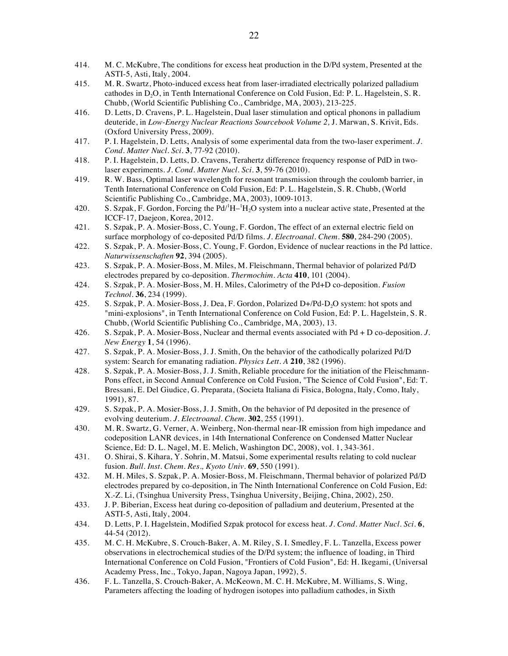- 414. M. C. McKubre, The conditions for excess heat production in the D/Pd system, Presented at the ASTI-5, Asti, Italy, 2004.
- 415. M. R. Swartz, Photo-induced excess heat from laser-irradiated electrically polarized palladium cathodes in D<sub>2</sub>O, in Tenth International Conference on Cold Fusion, Ed: P. L. Hagelstein, S. R. Chubb, (World Scientific Publishing Co., Cambridge, MA, 2003), 213-225.
- 416. D. Letts, D. Cravens, P. L. Hagelstein, Dual laser stimulation and optical phonons in palladium deuteride, in *Low-Energy Nuclear Reactions Sourcebook Volume 2,* J. Marwan, S. Krivit, Eds. (Oxford University Press, 2009).
- 417. P. I. Hagelstein, D. Letts, Analysis of some experimental data from the two-laser experiment. *J. Cond. Matter Nucl. Sci.* **3**, 77-92 (2010).
- 418. P. I. Hagelstein, D. Letts, D. Cravens, Terahertz difference frequency response of PdD in twolaser experiments. *J. Cond. Matter Nucl. Sci.* **3**, 59-76 (2010).
- 419. R. W. Bass, Optimal laser wavelength for resonant transmission through the coulomb barrier, in Tenth International Conference on Cold Fusion, Ed: P. L. Hagelstein, S. R. Chubb, (World Scientific Publishing Co., Cambridge, MA, 2003), 1009-1013.
- 420. S. Szpak, F. Gordon, Forcing the  $Pd^{1}H-{}^{1}H_{2}O$  system into a nuclear active state, Presented at the ICCF-17, Daejeon, Korea, 2012.
- 421. S. Szpak, P. A. Mosier-Boss, C. Young, F. Gordon, The effect of an external electric field on surface morphology of co-deposited Pd/D films. *J. Electroanal. Chem.* **580**, 284-290 (2005).
- 422. S. Szpak, P. A. Mosier-Boss, C. Young, F. Gordon, Evidence of nuclear reactions in the Pd lattice. *Naturwissenschaften* **92**, 394 (2005).
- 423. S. Szpak, P. A. Mosier-Boss, M. Miles, M. Fleischmann, Thermal behavior of polarized Pd/D electrodes prepared by co-deposition. *Thermochim. Acta* **410**, 101 (2004).
- 424. S. Szpak, P. A. Mosier-Boss, M. H. Miles, Calorimetry of the Pd+D co-deposition. *Fusion Technol.* **36**, 234 (1999).
- 425. S. Szpak, P. A. Mosier-Boss, J. Dea, F. Gordon, Polarized D+/Pd-D<sub>2</sub>O system: hot spots and "mini-explosions", in Tenth International Conference on Cold Fusion, Ed: P. L. Hagelstein, S. R. Chubb, (World Scientific Publishing Co., Cambridge, MA, 2003), 13.
- 426. S. Szpak, P. A. Mosier-Boss, Nuclear and thermal events associated with Pd + D co-deposition. *J. New Energy* **1**, 54 (1996).
- 427. S. Szpak, P. A. Mosier-Boss, J. J. Smith, On the behavior of the cathodically polarized Pd/D system: Search for emanating radiation. *Physics Lett. A* **210**, 382 (1996).
- 428. S. Szpak, P. A. Mosier-Boss, J. J. Smith, Reliable procedure for the initiation of the Fleischmann-Pons effect, in Second Annual Conference on Cold Fusion, "The Science of Cold Fusion", Ed: T. Bressani, E. Del Giudice, G. Preparata, (Societa Italiana di Fisica, Bologna, Italy, Como, Italy, 1991), 87.
- 429. S. Szpak, P. A. Mosier-Boss, J. J. Smith, On the behavior of Pd deposited in the presence of evolving deuterium. *J. Electroanal. Chem.* **302**, 255 (1991).
- 430. M. R. Swartz, G. Verner, A. Weinberg, Non-thermal near-IR emission from high impedance and codeposition LANR devices, in 14th International Conference on Condensed Matter Nuclear Science, Ed: D. L. Nagel, M. E. Melich, Washington DC, 2008), vol. 1, 343-361.
- 431. O. Shirai, S. Kihara, Y. Sohrin, M. Matsui, Some experimental results relating to cold nuclear fusion. *Bull. Inst. Chem. Res., Kyoto Univ.* **69**, 550 (1991).
- 432. M. H. Miles, S. Szpak, P. A. Mosier-Boss, M. Fleischmann, Thermal behavior of polarized Pd/D electrodes prepared by co-deposition, in The Ninth International Conference on Cold Fusion, Ed: X.-Z. Li, (Tsinghua University Press, Tsinghua University, Beijing, China, 2002), 250.
- 433. J. P. Biberian, Excess heat during co-deposition of palladium and deuterium, Presented at the ASTI-5, Asti, Italy, 2004.
- 434. D. Letts, P. I. Hagelstein, Modified Szpak protocol for excess heat. *J. Cond. Matter Nucl. Sci.* **6**, 44-54 (2012).
- 435. M. C. H. McKubre, S. Crouch-Baker, A. M. Riley, S. I. Smedley, F. L. Tanzella, Excess power observations in electrochemical studies of the D/Pd system; the influence of loading, in Third International Conference on Cold Fusion, "Frontiers of Cold Fusion", Ed: H. Ikegami, (Universal Academy Press, Inc., Tokyo, Japan, Nagoya Japan, 1992), 5.
- 436. F. L. Tanzella, S. Crouch-Baker, A. McKeown, M. C. H. McKubre, M. Williams, S. Wing, Parameters affecting the loading of hydrogen isotopes into palladium cathodes, in Sixth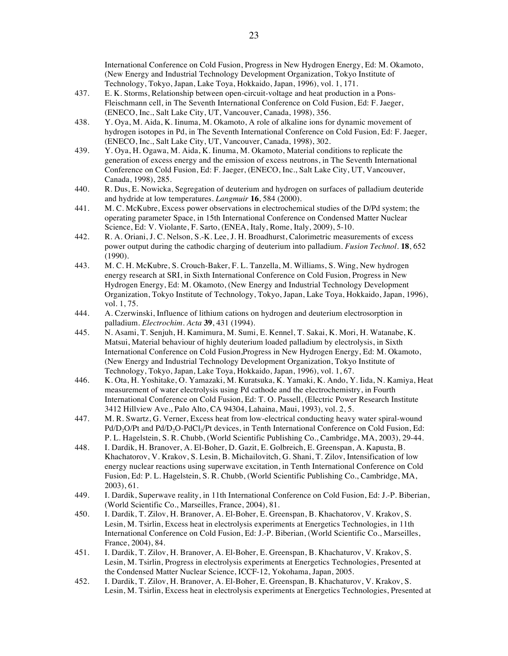International Conference on Cold Fusion, Progress in New Hydrogen Energy, Ed: M. Okamoto, (New Energy and Industrial Technology Development Organization, Tokyo Institute of Technology, Tokyo, Japan, Lake Toya, Hokkaido, Japan, 1996), vol. 1, 171.

- 437. E. K. Storms, Relationship between open-circuit-voltage and heat production in a Pons-Fleischmann cell, in The Seventh International Conference on Cold Fusion, Ed: F. Jaeger, (ENECO, Inc., Salt Lake City, UT, Vancouver, Canada, 1998), 356.
- 438. Y. Oya, M. Aida, K. Iinuma, M. Okamoto, A role of alkaline ions for dynamic movement of hydrogen isotopes in Pd, in The Seventh International Conference on Cold Fusion, Ed: F. Jaeger, (ENECO, Inc., Salt Lake City, UT, Vancouver, Canada, 1998), 302.
- 439. Y. Oya, H. Ogawa, M. Aida, K. Iinuma, M. Okamoto, Material conditions to replicate the generation of excess energy and the emission of excess neutrons, in The Seventh International Conference on Cold Fusion, Ed: F. Jaeger, (ENECO, Inc., Salt Lake City, UT, Vancouver, Canada, 1998), 285.
- 440. R. Dus, E. Nowicka, Segregation of deuterium and hydrogen on surfaces of palladium deuteride and hydride at low temperatures. *Langmuir* **16**, 584 (2000).
- 441. M. C. McKubre, Excess power observations in electrochemical studies of the D/Pd system; the operating parameter Space, in 15th International Conference on Condensed Matter Nuclear Science, Ed: V. Violante, F. Sarto, (ENEA, Italy, Rome, Italy, 2009), 5-10.
- 442. R. A. Oriani, J. C. Nelson, S.-K. Lee, J. H. Broadhurst, Calorimetric measurements of excess power output during the cathodic charging of deuterium into palladium. *Fusion Technol.* **18**, 652 (1990).
- 443. M. C. H. McKubre, S. Crouch-Baker, F. L. Tanzella, M. Williams, S. Wing, New hydrogen energy research at SRI, in Sixth International Conference on Cold Fusion, Progress in New Hydrogen Energy, Ed: M. Okamoto, (New Energy and Industrial Technology Development Organization, Tokyo Institute of Technology, Tokyo, Japan, Lake Toya, Hokkaido, Japan, 1996), vol. 1, 75.
- 444. A. Czerwinski, Influence of lithium cations on hydrogen and deuterium electrosorption in palladium. *Electrochim. Acta* **39**, 431 (1994).
- 445. N. Asami, T. Senjuh, H. Kamimura, M. Sumi, E. Kennel, T. Sakai, K. Mori, H. Watanabe, K. Matsui, Material behaviour of highly deuterium loaded palladium by electrolysis, in Sixth International Conference on Cold Fusion,Progress in New Hydrogen Energy, Ed: M. Okamoto, (New Energy and Industrial Technology Development Organization, Tokyo Institute of Technology, Tokyo, Japan, Lake Toya, Hokkaido, Japan, 1996), vol. 1, 67.
- 446. K. Ota, H. Yoshitake, O. Yamazaki, M. Kuratsuka, K. Yamaki, K. Ando, Y. Iida, N. Kamiya, Heat measurement of water electrolysis using Pd cathode and the electrochemistry, in Fourth International Conference on Cold Fusion, Ed: T. O. Passell, (Electric Power Research Institute 3412 Hillview Ave., Palo Alto, CA 94304, Lahaina, Maui, 1993), vol. 2, 5.
- 447. M. R. Swartz, G. Verner, Excess heat from low-electrical conducting heavy water spiral-wound Pd/D<sub>2</sub>O/Pt and Pd/D<sub>2</sub>O-PdCl<sub>2</sub>/Pt devices, in Tenth International Conference on Cold Fusion, Ed: P. L. Hagelstein, S. R. Chubb, (World Scientific Publishing Co., Cambridge, MA, 2003), 29-44.
- 448. I. Dardik, H. Branover, A. El-Boher, D. Gazit, E. Golbreich, E. Greenspan, A. Kapusta, B. Khachatorov, V. Krakov, S. Lesin, B. Michailovitch, G. Shani, T. Zilov, Intensification of low energy nuclear reactions using superwave excitation, in Tenth International Conference on Cold Fusion, Ed: P. L. Hagelstein, S. R. Chubb, (World Scientific Publishing Co., Cambridge, MA, 2003), 61.
- 449. I. Dardik, Superwave reality, in 11th International Conference on Cold Fusion, Ed: J.-P. Biberian, (World Scientific Co., Marseilles, France, 2004), 81.
- 450. I. Dardik, T. Zilov, H. Branover, A. El-Boher, E. Greenspan, B. Khachatorov, V. Krakov, S. Lesin, M. Tsirlin, Excess heat in electrolysis experiments at Energetics Technologies, in 11th International Conference on Cold Fusion, Ed: J.-P. Biberian, (World Scientific Co., Marseilles, France, 2004), 84.
- 451. I. Dardik, T. Zilov, H. Branover, A. El-Boher, E. Greenspan, B. Khachaturov, V. Krakov, S. Lesin, M. Tsirlin, Progress in electrolysis experiments at Energetics Technologies, Presented at the Condensed Matter Nuclear Science, ICCF-12, Yokohama, Japan, 2005.
- 452. I. Dardik, T. Zilov, H. Branover, A. El-Boher, E. Greenspan, B. Khachaturov, V. Krakov, S. Lesin, M. Tsirlin, Excess heat in electrolysis experiments at Energetics Technologies, Presented at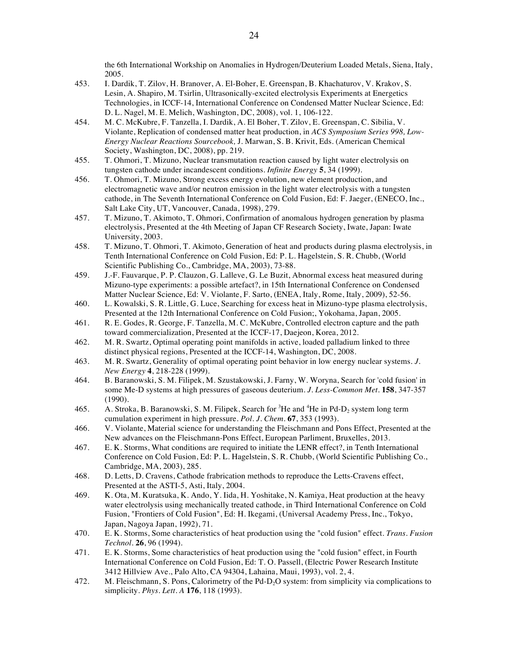the 6th International Workship on Anomalies in Hydrogen/Deuterium Loaded Metals, Siena, Italy, 2005.

- 453. I. Dardik, T. Zilov, H. Branover, A. El-Boher, E. Greenspan, B. Khachaturov, V. Krakov, S. Lesin, A. Shapiro, M. Tsirlin, Ultrasonically-excited electrolysis Experiments at Energetics Technologies, in ICCF-14, International Conference on Condensed Matter Nuclear Science, Ed: D. L. Nagel, M. E. Melich, Washington, DC, 2008), vol. 1, 106-122.
- 454. M. C. McKubre, F. Tanzella, I. Dardik, A. El Boher, T. Zilov, E. Greenspan, C. Sibilia, V. Violante, Replication of condensed matter heat production, in *ACS Symposium Series 998, Low-Energy Nuclear Reactions Sourcebook,* J. Marwan, S. B. Krivit, Eds. (American Chemical Society, Washington, DC, 2008), pp. 219.
- 455. T. Ohmori, T. Mizuno, Nuclear transmutation reaction caused by light water electrolysis on tungsten cathode under incandescent conditions. *Infinite Energy* **5**, 34 (1999).
- 456. T. Ohmori, T. Mizuno, Strong excess energy evolution, new element production, and electromagnetic wave and/or neutron emission in the light water electrolysis with a tungsten cathode, in The Seventh International Conference on Cold Fusion, Ed: F. Jaeger, (ENECO, Inc., Salt Lake City, UT, Vancouver, Canada, 1998), 279.
- 457. T. Mizuno, T. Akimoto, T. Ohmori, Confirmation of anomalous hydrogen generation by plasma electrolysis, Presented at the 4th Meeting of Japan CF Research Society, Iwate, Japan: Iwate University, 2003.
- 458. T. Mizuno, T. Ohmori, T. Akimoto, Generation of heat and products during plasma electrolysis, in Tenth International Conference on Cold Fusion, Ed: P. L. Hagelstein, S. R. Chubb, (World Scientific Publishing Co., Cambridge, MA, 2003), 73-88.
- 459. J.-F. Fauvarque, P. P. Clauzon, G. Lalleve, G. Le Buzit, Abnormal excess heat measured during Mizuno-type experiments: a possible artefact?, in 15th International Conference on Condensed Matter Nuclear Science, Ed: V. Violante, F. Sarto, (ENEA, Italy, Rome, Italy, 2009), 52-56.
- 460. L. Kowalski, S. R. Little, G. Luce, Searching for excess heat in Mizuno-type plasma electrolysis, Presented at the 12th International Conference on Cold Fusion;, Yokohama, Japan, 2005.
- 461. R. E. Godes, R. George, F. Tanzella, M. C. McKubre, Controlled electron capture and the path toward commercialization, Presented at the ICCF-17, Daejeon, Korea, 2012.
- 462. M. R. Swartz, Optimal operating point manifolds in active, loaded palladium linked to three distinct physical regions, Presented at the ICCF-14, Washington, DC, 2008.
- 463. M. R. Swartz, Generality of optimal operating point behavior in low energy nuclear systems. *J. New Energy* **4**, 218-228 (1999).
- 464. B. Baranowski, S. M. Filipek, M. Szustakowski, J. Farny, W. Woryna, Search for 'cold fusion' in some Me-D systems at high pressures of gaseous deuterium. *J. Less-Common Met.* **158**, 347-357 (1990).
- 465. A. Stroka, B. Baranowski, S. M. Filipek, Search for <sup>3</sup>He and <sup>4</sup>He in Pd-D<sub>2</sub> system long term cumulation experiment in high pressure. *Pol. J. Chem.* **67**, 353 (1993).
- 466. V. Violante, Material science for understanding the Fleischmann and Pons Effect, Presented at the New advances on the Fleischmann-Pons Effect, European Parliment, Bruxelles, 2013.
- 467. E. K. Storms, What conditions are required to initiate the LENR effect?, in Tenth International Conference on Cold Fusion, Ed: P. L. Hagelstein, S. R. Chubb, (World Scientific Publishing Co., Cambridge, MA, 2003), 285.
- 468. D. Letts, D. Cravens, Cathode frabrication methods to reproduce the Letts-Cravens effect, Presented at the ASTI-5, Asti, Italy, 2004.
- 469. K. Ota, M. Kuratsuka, K. Ando, Y. Iida, H. Yoshitake, N. Kamiya, Heat production at the heavy water electrolysis using mechanically treated cathode, in Third International Conference on Cold Fusion, "Frontiers of Cold Fusion", Ed: H. Ikegami, (Universal Academy Press, Inc., Tokyo, Japan, Nagoya Japan, 1992), 71.
- 470. E. K. Storms, Some characteristics of heat production using the "cold fusion" effect. *Trans. Fusion Technol.* **26**, 96 (1994).
- 471. E. K. Storms, Some characteristics of heat production using the "cold fusion" effect, in Fourth International Conference on Cold Fusion, Ed: T. O. Passell, (Electric Power Research Institute 3412 Hillview Ave., Palo Alto, CA 94304, Lahaina, Maui, 1993), vol. 2, 4.
- 472. M. Fleischmann, S. Pons, Calorimetry of the Pd-D<sub>2</sub>O system: from simplicity via complications to simplicity. *Phys. Lett. A* **176**, 118 (1993).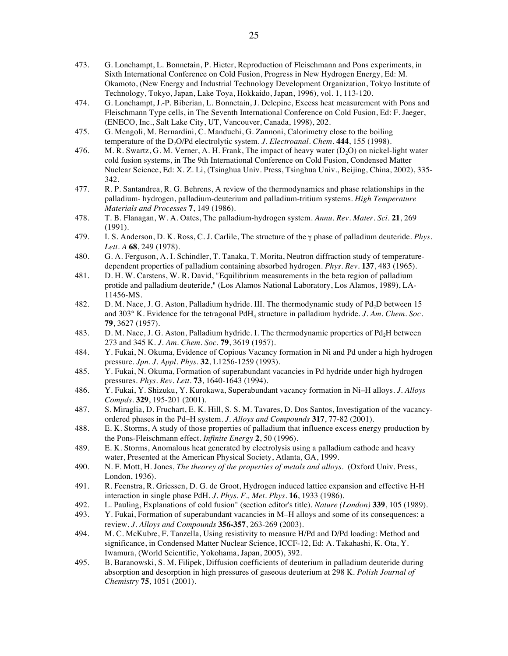- 473. G. Lonchampt, L. Bonnetain, P. Hieter, Reproduction of Fleischmann and Pons experiments, in Sixth International Conference on Cold Fusion, Progress in New Hydrogen Energy, Ed: M. Okamoto, (New Energy and Industrial Technology Development Organization, Tokyo Institute of Technology, Tokyo, Japan, Lake Toya, Hokkaido, Japan, 1996), vol. 1, 113-120.
- 474. G. Lonchampt, J.-P. Biberian, L. Bonnetain, J. Delepine, Excess heat measurement with Pons and Fleischmann Type cells, in The Seventh International Conference on Cold Fusion, Ed: F. Jaeger, (ENECO, Inc., Salt Lake City, UT, Vancouver, Canada, 1998), 202.
- 475. G. Mengoli, M. Bernardini, C. Manduchi, G. Zannoni, Calorimetry close to the boiling temperature of the D<sub>2</sub>O/Pd electrolytic system. *J. Electroanal. Chem.* 444, 155 (1998).
- 476. M. R. Swartz, G. M. Verner, A. H. Frank, The impact of heavy water  $(D<sub>2</sub>O)$  on nickel-light water cold fusion systems, in The 9th International Conference on Cold Fusion, Condensed Matter Nuclear Science, Ed: X. Z. Li, (Tsinghua Univ. Press, Tsinghua Univ., Beijing, China, 2002), 335- 342.
- 477. R. P. Santandrea, R. G. Behrens, A review of the thermodynamics and phase relationships in the palladium- hydrogen, palladium-deuterium and palladium-tritium systems. *High Temperature Materials and Processes* **7**, 149 (1986).
- 478. T. B. Flanagan, W. A. Oates, The palladium-hydrogen system. *Annu. Rev. Mater. Sci.* **21**, 269 (1991).
- 479. I. S. Anderson, D. K. Ross, C. J. Carlile, The structure of the γ phase of palladium deuteride. *Phys. Lett. A* **68**, 249 (1978).
- 480. G. A. Ferguson, A. I. Schindler, T. Tanaka, T. Morita, Neutron diffraction study of temperaturedependent properties of palladium containing absorbed hydrogen. *Phys. Rev.* **137**, 483 (1965).
- 481. D. H. W. Carstens, W. R. David, "Equilibrium measurements in the beta region of palladium protide and palladium deuteride," (Los Alamos National Laboratory, Los Alamos, 1989), LA-11456-MS.
- 482. D. M. Nace, J. G. Aston, Palladium hydride. III. The thermodynamic study of Pd<sub>2</sub>D between 15 and 303° K. Evidence for the tetragonal PdH4 structure in palladium hydride. *J. Am. Chem. Soc.* **79**, 3627 (1957).
- 483. D. M. Nace, J. G. Aston, Palladium hydride. I. The thermodynamic properties of Pd<sub>2</sub>H between 273 and 345 K. *J. Am. Chem. Soc.* **79**, 3619 (1957).
- 484. Y. Fukai, N. Okuma, Evidence of Copious Vacancy formation in Ni and Pd under a high hydrogen pressure. *Jpn. J. Appl. Phys.* **32**, L1256-1259 (1993).
- 485. Y. Fukai, N. Okuma, Formation of superabundant vacancies in Pd hydride under high hydrogen pressures. *Phys. Rev. Lett.* **73**, 1640-1643 (1994).
- 486. Y. Fukai, Y. Shizuku, Y. Kurokawa, Superabundant vacancy formation in Ni–H alloys. *J. Alloys Compds.* **329**, 195-201 (2001).
- 487. S. Miraglia, D. Fruchart, E. K. Hill, S. S. M. Tavares, D. Dos Santos, Investigation of the vacancyordered phases in the Pd–H system. *J. Alloys and Compounds* **317**, 77-82 (2001).
- 488. E. K. Storms, A study of those properties of palladium that influence excess energy production by the Pons-Fleischmann effect. *Infinite Energy* **2**, 50 (1996).
- 489. E. K. Storms, Anomalous heat generated by electrolysis using a palladium cathode and heavy water, Presented at the American Physical Society, Atlanta, GA, 1999.
- 490. N. F. Mott, H. Jones, *The theorey of the properties of metals and alloys*. (Oxford Univ. Press, London, 1936).
- 491. R. Feenstra, R. Griessen, D. G. de Groot, Hydrogen induced lattice expansion and effective H-H interaction in single phase PdH. *J. Phys. F., Met. Phys.* **16**, 1933 (1986).
- 492. L. Pauling, Explanations of cold fusion" (section editor's title). *Nature (London)* **339**, 105 (1989).
- 493. Y. Fukai, Formation of superabundant vacancies in M–H alloys and some of its consequences: a review. *J. Alloys and Compounds* **356-357**, 263-269 (2003).
- 494. M. C. McKubre, F. Tanzella, Using resistivity to measure H/Pd and D/Pd loading: Method and significance, in Condensed Matter Nuclear Science, ICCF-12, Ed: A. Takahashi, K. Ota, Y. Iwamura, (World Scientific, Yokohama, Japan, 2005), 392.
- 495. B. Baranowski, S. M. Filipek, Diffusion coefficients of deuterium in palladium deuteride during absorption and desorption in high pressures of gaseous deuterium at 298 K. *Polish Journal of Chemistry* **75**, 1051 (2001).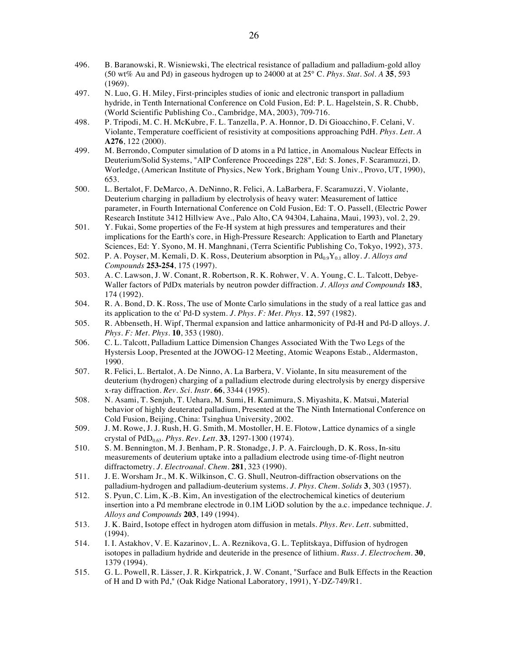- 496. B. Baranowski, R. Wisniewski, The electrical resistance of palladium and palladium-gold alloy (50 wt% Au and Pd) in gaseous hydrogen up to 24000 at at 25° C. *Phys. Stat. Sol. A* **35**, 593 (1969).
- 497. N. Luo, G. H. Miley, First-principles studies of ionic and electronic transport in palladium hydride, in Tenth International Conference on Cold Fusion, Ed: P. L. Hagelstein, S. R. Chubb, (World Scientific Publishing Co., Cambridge, MA, 2003), 709-716.
- 498. P. Tripodi, M. C. H. McKubre, F. L. Tanzella, P. A. Honnor, D. Di Gioacchino, F. Celani, V. Violante, Temperature coefficient of resistivity at compositions approaching PdH. *Phys. Lett. A* **A276**, 122 (2000).
- 499. M. Berrondo, Computer simulation of D atoms in a Pd lattice, in Anomalous Nuclear Effects in Deuterium/Solid Systems, "AIP Conference Proceedings 228", Ed: S. Jones, F. Scaramuzzi, D. Worledge, (American Institute of Physics, New York, Brigham Young Univ., Provo, UT, 1990), 653.
- 500. L. Bertalot, F. DeMarco, A. DeNinno, R. Felici, A. LaBarbera, F. Scaramuzzi, V. Violante, Deuterium charging in palladium by electrolysis of heavy water: Measurement of lattice parameter, in Fourth International Conference on Cold Fusion, Ed: T. O. Passell, (Electric Power Research Institute 3412 Hillview Ave., Palo Alto, CA 94304, Lahaina, Maui, 1993), vol. 2, 29.
- 501. Y. Fukai, Some properties of the Fe-H system at high pressures and temperatures and their implications for the Earth's core, in High-Pressure Research: Application to Earth and Planetary Sciences, Ed: Y. Syono, M. H. Manghnani, (Terra Scientific Publishing Co, Tokyo, 1992), 373.
- 502. P. A. Poyser, M. Kemali, D. K. Ross, Deuterium absorption in Pd<sub>0.9</sub>Y<sub>0.1</sub> alloy. *J. Alloys and Compounds* **253-254**, 175 (1997).
- 503. A. C. Lawson, J. W. Conant, R. Robertson, R. K. Rohwer, V. A. Young, C. L. Talcott, Debye-Waller factors of PdDx materials by neutron powder diffraction. *J. Alloys and Compounds* **183**, 174 (1992).
- 504. R. A. Bond, D. K. Ross, The use of Monte Carlo simulations in the study of a real lattice gas and its application to the α' Pd-D system. *J. Phys. F: Met. Phys.* **12**, 597 (1982).
- 505. R. Abbenseth, H. Wipf, Thermal expansion and lattice anharmonicity of Pd-H and Pd-D alloys. *J. Phys. F: Met. Phys.* **10**, 353 (1980).
- 506. C. L. Talcott, Palladium Lattice Dimension Changes Associated With the Two Legs of the Hystersis Loop, Presented at the JOWOG-12 Meeting, Atomic Weapons Estab., Aldermaston, 1990.
- 507. R. Felici, L. Bertalot, A. De Ninno, A. La Barbera, V. Violante, In situ measurement of the deuterium (hydrogen) charging of a palladium electrode during electrolysis by energy dispersive x-ray diffraction. *Rev. Sci. Instr.* **66**, 3344 (1995).
- 508. N. Asami, T. Senjuh, T. Uehara, M. Sumi, H. Kamimura, S. Miyashita, K. Matsui, Material behavior of highly deuterated palladium, Presented at the The Ninth International Conference on Cold Fusion, Beijing, China: Tsinghua University, 2002.
- 509. J. M. Rowe, J. J. Rush, H. G. Smith, M. Mostoller, H. E. Flotow, Lattice dynamics of a single crystal of  $PdD_{0.63}$ . *Phys. Rev. Lett.* **33**, 1297-1300 (1974).
- 510. S. M. Bennington, M. J. Benham, P. R. Stonadge, J. P. A. Fairclough, D. K. Ross, In-situ measurements of deuterium uptake into a palladium electrode using time-of-flight neutron diffractometry. *J. Electroanal. Chem.* **281**, 323 (1990).
- 511. J. E. Worsham Jr., M. K. Wilkinson, C. G. Shull, Neutron-diffraction observations on the palladium-hydrogen and palladium-deuterium systems. *J. Phys. Chem. Solids* **3**, 303 (1957).
- 512. S. Pyun, C. Lim, K.-B. Kim, An investigation of the electrochemical kinetics of deuterium insertion into a Pd membrane electrode in 0.1M LiOD solution by the a.c. impedance technique. *J. Alloys and Compounds* **203**, 149 (1994).
- 513. J. K. Baird, Isotope effect in hydrogen atom diffusion in metals. *Phys. Rev. Lett.* submitted, (1994).
- 514. I. I. Astakhov, V. E. Kazarinov, L. A. Reznikova, G. L. Teplitskaya, Diffusion of hydrogen isotopes in palladium hydride and deuteride in the presence of lithium. *Russ. J. Electrochem.* **30**, 1379 (1994).
- 515. G. L. Powell, R. Lässer, J. R. Kirkpatrick, J. W. Conant, "Surface and Bulk Effects in the Reaction of H and D with Pd," (Oak Ridge National Laboratory, 1991), Y-DZ-749/R1.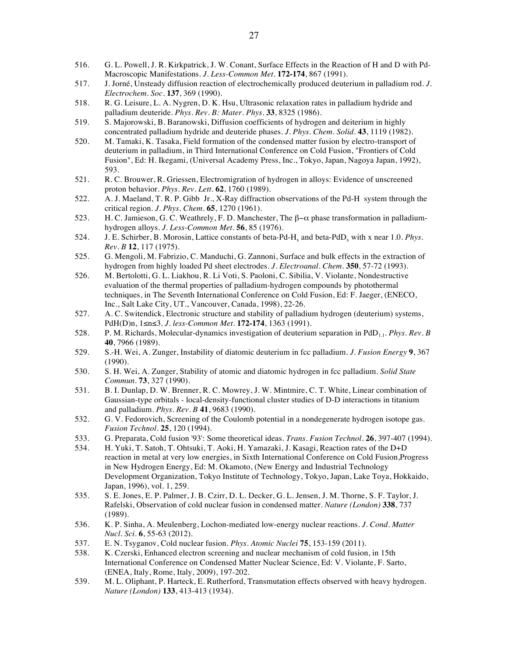- 516. G. L. Powell, J. R. Kirkpatrick, J. W. Conant, Surface Effects in the Reaction of H and D with Pd-Macroscopic Manifestations. *J. Less-Common Met.* **172-174**, 867 (1991).
- 517. J. Jorné, Unsteady diffusion reaction of electrochemically produced deuterium in palladium rod. *J. Electrochem. Soc.* **137**, 369 (1990).
- 518. R. G. Leisure, L. A. Nygren, D. K. Hsu, Ultrasonic relaxation rates in palladium hydride and palladium deuteride. *Phys. Rev. B: Mater. Phys.* **33**, 8325 (1986).
- 519. S. Majorowski, B. Baranowski, Diffusion coefficients of hydrogen and deiterium in highly concentrated palladium hydride and deuteride phases. *J. Phys. Chem. Solid.* **43**, 1119 (1982).
- 520. M. Tamaki, K. Tasaka, Field formation of the condensed matter fusion by electro-transport of deuterium in palladium, in Third International Conference on Cold Fusion, "Frontiers of Cold Fusion", Ed: H. Ikegami, (Universal Academy Press, Inc., Tokyo, Japan, Nagoya Japan, 1992), 593.
- 521. R. C. Brouwer, R. Griessen, Electromigration of hydrogen in alloys: Evidence of unscreened proton behavior. *Phys. Rev. Lett.* **62**, 1760 (1989).
- 522. A. J. Maeland, T. R. P. Gibb Jr., X-Ray diffraction observations of the Pd-H system through the critical region. *J. Phys. Chem.* **65**, 1270 (1961).
- 523. H. C. Jamieson, G. C. Weathrely, F. D. Manchester, The β−α phase transformation in palladiumhydrogen alloys. *J. Less-Common Met.* **56**, 85 (1976).
- 524. J. E. Schirber, B. Morosin, Lattice constants of beta-Pd-H<sub>x</sub> and beta-PdD<sub>x</sub> with x near 1.0. *Phys. Rev. B* **12**, 117 (1975).
- 525. G. Mengoli, M. Fabrizio, C. Manduchi, G. Zannoni, Surface and bulk effects in the extraction of hydrogen from highly loaded Pd sheet electrodes. *J. Electroanal. Chem.* **350**, 57-72 (1993).
- 526. M. Bertolotti, G. L. Liakhou, R. Li Voti, S. Paoloni, C. Sibilia, V. Violante, Nondestructive evaluation of the thermal properties of palladium-hydrogen compounds by photothermal techniques, in The Seventh International Conference on Cold Fusion, Ed: F. Jaeger, (ENECO, Inc., Salt Lake City, UT., Vancouver, Canada, 1998), 22-26.
- 527. A. C. Switendick, Electronic structure and stability of palladium hydrogen (deuterium) systems, PdH(D)n, 1≤n≤3. *J. less-Common Met.* **172-174**, 1363 (1991).
- 528. P. M. Richards, Molecular-dynamics investigation of deuterium separation in PdD1.1. *Phys. Rev. B* **40**, 7966 (1989).
- 529. S.-H. Wei, A. Zunger, Instability of diatomic deuterium in fcc palladium. *J. Fusion Energy* **9**, 367 (1990).
- 530. S. H. Wei, A. Zunger, Stability of atomic and diatomic hydrogen in fcc palladium. *Solid State Commun.* **73**, 327 (1990).
- 531. B. I. Dunlap, D. W. Brenner, R. C. Mowrey, J. W. Mintmire, C. T. White, Linear combination of Gaussian-type orbitals - local-density-functional cluster studies of D-D interactions in titanium and palladium. *Phys. Rev. B* **41**, 9683 (1990).
- 532. G. V. Fedorovich, Screening of the Coulomb potential in a nondegenerate hydrogen isotope gas. *Fusion Technol.* **25**, 120 (1994).
- 533. G. Preparata, Cold fusion '93': Some theoretical ideas. *Trans. Fusion Technol.* **26**, 397-407 (1994).
- 534. H. Yuki, T. Satoh, T. Ohtsuki, T. Aoki, H. Yamazaki, J. Kasagi, Reaction rates of the D+D reaction in metal at very low energies, in Sixth International Conference on Cold Fusion,Progress in New Hydrogen Energy, Ed: M. Okamoto, (New Energy and Industrial Technology Development Organization, Tokyo Institute of Technology, Tokyo, Japan, Lake Toya, Hokkaido, Japan, 1996), vol. 1, 259.
- 535. S. E. Jones, E. P. Palmer, J. B. Czirr, D. L. Decker, G. L. Jensen, J. M. Thorne, S. F. Taylor, J. Rafelski, Observation of cold nuclear fusion in condensed matter. *Nature (London)* **338**, 737 (1989).
- 536. K. P. Sinha, A. Meulenberg, Lochon-mediated low-energy nuclear reactions. *J. Cond. Matter Nucl. Sci.* **6**, 55-63 (2012).
- 537. E. N. Tsyganov, Cold nuclear fusion. *Phys. Atomic Nuclei* **75**, 153-159 (2011).
- 538. K. Czerski, Enhanced electron screening and nuclear mechanism of cold fusion, in 15th International Conference on Condensed Matter Nuclear Science, Ed: V. Violante, F. Sarto, (ENEA, Italy, Rome, Italy, 2009), 197-202.
- 539. M. L. Oliphant, P. Harteck, E. Rutherford, Transmutation effects observed with heavy hydrogen. *Nature (London)* **133**, 413-413 (1934).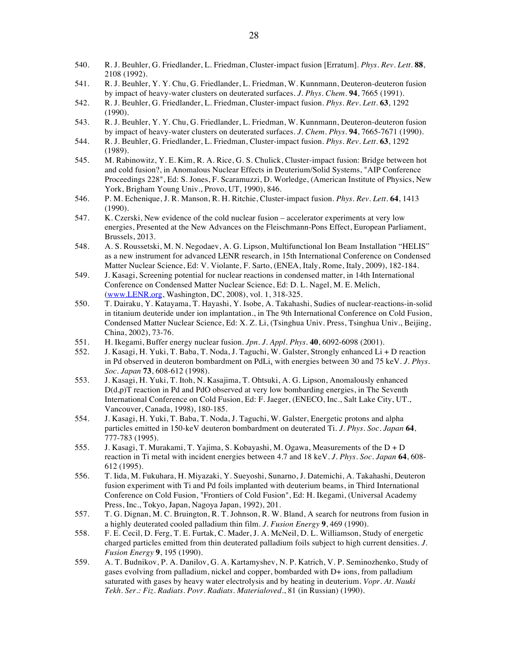- 540. R. J. Beuhler, G. Friedlander, L. Friedman, Cluster-impact fusion [Erratum]. *Phys. Rev. Lett.* **88**, 2108 (1992).
- 541. R. J. Beuhler, Y. Y. Chu, G. Friedlander, L. Friedman, W. Kunnmann, Deuteron-deuteron fusion by impact of heavy-water clusters on deuterated surfaces. *J. Phys. Chem.* **94**, 7665 (1991).
- 542. R. J. Beuhler, G. Friedlander, L. Friedman, Cluster-impact fusion. *Phys. Rev. Lett.* **63**, 1292 (1990).
- 543. R. J. Beuhler, Y. Y. Chu, G. Friedlander, L. Friedman, W. Kunnmann, Deuteron-deuteron fusion by impact of heavy-water clusters on deuterated surfaces. *J. Chem. Phys.* **94**, 7665-7671 (1990).
- 544. R. J. Beuhler, G. Friedlander, L. Friedman, Cluster-impact fusion. *Phys. Rev. Lett.* **63**, 1292 (1989).
- 545. M. Rabinowitz, Y. E. Kim, R. A. Rice, G. S. Chulick, Cluster-impact fusion: Bridge between hot and cold fusion?, in Anomalous Nuclear Effects in Deuterium/Solid Systems, "AIP Conference Proceedings 228", Ed: S. Jones, F. Scaramuzzi, D. Worledge, (American Institute of Physics, New York, Brigham Young Univ., Provo, UT, 1990), 846.
- 546. P. M. Echenique, J. R. Manson, R. H. Ritchie, Cluster-impact fusion. *Phys. Rev. Lett.* **64**, 1413 (1990).
- 547. K. Czerski, New evidence of the cold nuclear fusion accelerator experiments at very low energies, Presented at the New Advances on the Fleischmann-Pons Effect, European Parliament, Brussels, 2013.
- 548. A. S. Roussetski, M. N. Negodaev, A. G. Lipson, Multifunctional Ion Beam Installation "HELIS" as a new instrument for advanced LENR research, in 15th International Conference on Condensed Matter Nuclear Science, Ed: V. Violante, F. Sarto, (ENEA, Italy, Rome, Italy, 2009), 182-184.
- 549. J. Kasagi, Screening potential for nuclear reactions in condensed matter, in 14th International Conference on Condensed Matter Nuclear Science, Ed: D. L. Nagel, M. E. Melich, (www.LENR.org, Washington, DC, 2008), vol. 1, 318-325.
- 550. T. Dairaku, Y. Katayama, T. Hayashi, Y. Isobe, A. Takahashi, Sudies of nuclear-reactions-in-solid in titanium deuteride under ion implantation., in The 9th International Conference on Cold Fusion, Condensed Matter Nuclear Science, Ed: X. Z. Li, (Tsinghua Univ. Press, Tsinghua Univ., Beijing, China, 2002), 73-76.
- 551. H. Ikegami, Buffer energy nuclear fusion. *Jpn. J. Appl. Phys.* **40**, 6092-6098 (2001).
- 552. J. Kasagi, H. Yuki, T. Baba, T. Noda, J. Taguchi, W. Galster, Strongly enhanced Li + D reaction in Pd observed in deuteron bombardment on PdLi, with energies between 30 and 75 keV. *J. Phys. Soc. Japan* **73**, 608-612 (1998).
- 553. J. Kasagi, H. Yuki, T. Itoh, N. Kasajima, T. Ohtsuki, A. G. Lipson, Anomalously enhanced D(d,p)T reaction in Pd and PdO observed at very low bombarding energies, in The Seventh International Conference on Cold Fusion, Ed: F. Jaeger, (ENECO, Inc., Salt Lake City, UT., Vancouver, Canada, 1998), 180-185.
- 554. J. Kasagi, H. Yuki, T. Baba, T. Noda, J. Taguchi, W. Galster, Energetic protons and alpha particles emitted in 150-keV deuteron bombardment on deuterated Ti. *J. Phys. Soc. Japan* **64**, 777-783 (1995).
- 555. J. Kasagi, T. Murakami, T. Yajima, S. Kobayashi, M. Ogawa, Measurements of the D + D reaction in Ti metal with incident energies between 4.7 and 18 keV. *J. Phys. Soc. Japan* **64**, 608- 612 (1995).
- 556. T. Iida, M. Fukuhara, H. Miyazaki, Y. Sueyoshi, Sunarno, J. Datemichi, A. Takahashi, Deuteron fusion experiment with Ti and Pd foils implanted with deuterium beams, in Third International Conference on Cold Fusion, "Frontiers of Cold Fusion", Ed: H. Ikegami, (Universal Academy Press, Inc., Tokyo, Japan, Nagoya Japan, 1992), 201.
- 557. T. G. Dignan, M. C. Bruington, R. T. Johnson, R. W. Bland, A search for neutrons from fusion in a highly deuterated cooled palladium thin film. *J. Fusion Energy* **9**, 469 (1990).
- 558. F. E. Cecil, D. Ferg, T. E. Furtak, C. Mader, J. A. McNeil, D. L. Williamson, Study of energetic charged particles emitted from thin deuterated palladium foils subject to high current densities. *J. Fusion Energy* **9**, 195 (1990).
- 559. A. T. Budnikov, P. A. Danilov, G. A. Kartamyshev, N. P. Katrich, V. P. Seminozhenko, Study of gases evolving from palladium, nickel and copper, bombarded with D+ ions, from palladium saturated with gases by heavy water electrolysis and by heating in deuterium. *Vopr. At. Nauki Tekh. Ser.: Fiz. Radiats. Povr. Radiats. Materialoved.*, 81 (in Russian) (1990).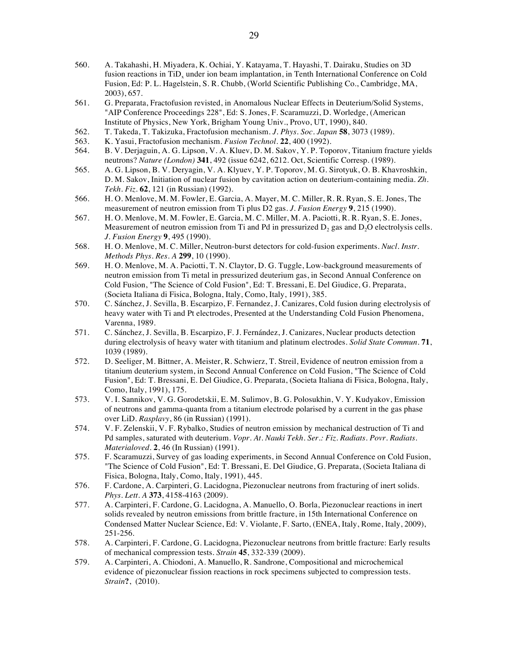- 560. A. Takahashi, H. Miyadera, K. Ochiai, Y. Katayama, T. Hayashi, T. Dairaku, Studies on 3D fusion reactions in TiD<sub>y</sub> under ion beam implantation, in Tenth International Conference on Cold Fusion, Ed: P. L. Hagelstein, S. R. Chubb, (World Scientific Publishing Co., Cambridge, MA, 2003), 657.
- 561. G. Preparata, Fractofusion revisted, in Anomalous Nuclear Effects in Deuterium/Solid Systems, "AIP Conference Proceedings 228", Ed: S. Jones, F. Scaramuzzi, D. Worledge, (American Institute of Physics, New York, Brigham Young Univ., Provo, UT, 1990), 840.
- 562. T. Takeda, T. Takizuka, Fractofusion mechanism. *J. Phys. Soc. Japan* **58**, 3073 (1989).
- 563. K. Yasui, Fractofusion mechanism. *Fusion Technol.* **22**, 400 (1992).
- 564. B. V. Derjaguin, A. G. Lipson, V. A. Kluev, D. M. Sakov, Y. P. Toporov, Titanium fracture yields neutrons? *Nature (London)* **341**, 492 (issue 6242, 6212. Oct, Scientific Corresp. (1989).
- 565. A. G. Lipson, B. V. Deryagin, V. A. Klyuev, Y. P. Toporov, M. G. Sirotyuk, O. B. Khavroshkin, D. M. Sakov, Initiation of nuclear fusion by cavitation action on deuterium-containing media. *Zh. Tekh. Fiz.* **62**, 121 (in Russian) (1992).
- 566. H. O. Menlove, M. M. Fowler, E. Garcia, A. Mayer, M. C. Miller, R. R. Ryan, S. E. Jones, The measurement of neutron emission from Ti plus D2 gas. *J. Fusion Energy* **9**, 215 (1990).
- 567. H. O. Menlove, M. M. Fowler, E. Garcia, M. C. Miller, M. A. Paciotti, R. R. Ryan, S. E. Jones, Measurement of neutron emission from Ti and Pd in pressurized  $D<sub>2</sub>$  gas and D<sub>2</sub>O electrolysis cells. *J. Fusion Energy* **9**, 495 (1990).
- 568. H. O. Menlove, M. C. Miller, Neutron-burst detectors for cold-fusion experiments. *Nucl. Instr. Methods Phys. Res. A* **299**, 10 (1990).
- 569. H. O. Menlove, M. A. Paciotti, T. N. Claytor, D. G. Tuggle, Low-background measurements of neutron emission from Ti metal in pressurized deuterium gas, in Second Annual Conference on Cold Fusion, "The Science of Cold Fusion", Ed: T. Bressani, E. Del Giudice, G. Preparata, (Societa Italiana di Fisica, Bologna, Italy, Como, Italy, 1991), 385.
- 570. C. Sánchez, J. Sevilla, B. Escarpizo, F. Fernandez, J. Canizares, Cold fusion during electrolysis of heavy water with Ti and Pt electrodes, Presented at the Understanding Cold Fusion Phenomena, Varenna, 1989.
- 571. C. Sánchez, J. Sevilla, B. Escarpizo, F. J. Fernández, J. Canizares, Nuclear products detection during electrolysis of heavy water with titanium and platinum electrodes. *Solid State Commun.* **71**, 1039 (1989).
- 572. D. Seeliger, M. Bittner, A. Meister, R. Schwierz, T. Streil, Evidence of neutron emission from a titanium deuterium system, in Second Annual Conference on Cold Fusion, "The Science of Cold Fusion", Ed: T. Bressani, E. Del Giudice, G. Preparata, (Societa Italiana di Fisica, Bologna, Italy, Como, Italy, 1991), 175.
- 573. V. I. Sannikov, V. G. Gorodetskii, E. M. Sulimov, B. G. Polosukhin, V. Y. Kudyakov, Emission of neutrons and gamma-quanta from a titanium electrode polarised by a current in the gas phase over LiD. *Rasplavy*, 86 (in Russian) (1991).
- 574. V. F. Zelenskii, V. F. Rybalko, Studies of neutron emission by mechanical destruction of Ti and Pd samples, saturated with deuterium. *Vopr. At. Nauki Tekh. Ser.: Fiz. Radiats. Povr. Radiats. Materialoved.* **2**, 46 (In Russian) (1991).
- 575. F. Scaramuzzi, Survey of gas loading experiments, in Second Annual Conference on Cold Fusion, "The Science of Cold Fusion", Ed: T. Bressani, E. Del Giudice, G. Preparata, (Societa Italiana di Fisica, Bologna, Italy, Como, Italy, 1991), 445.
- 576. F. Cardone, A. Carpinteri, G. Lacidogna, Piezonuclear neutrons from fracturing of inert solids. *Phys. Lett. A* **373**, 4158-4163 (2009).
- 577. A. Carpinteri, F. Cardone, G. Lacidogna, A. Manuello, O. Borla, Piezonuclear reactions in inert solids revealed by neutron emissions from brittle fracture, in 15th International Conference on Condensed Matter Nuclear Science, Ed: V. Violante, F. Sarto, (ENEA, Italy, Rome, Italy, 2009), 251-256.
- 578. A. Carpinteri, F. Cardone, G. Lacidogna, Piezonuclear neutrons from brittle fracture: Early results of mechanical compression tests. *Strain* **45**, 332-339 (2009).
- 579. A. Carpinteri, A. Chiodoni, A. Manuello, R. Sandrone, Compositional and microchemical evidence of piezonuclear fission reactions in rock specimens subjected to compression tests. *Strain***?**, (2010).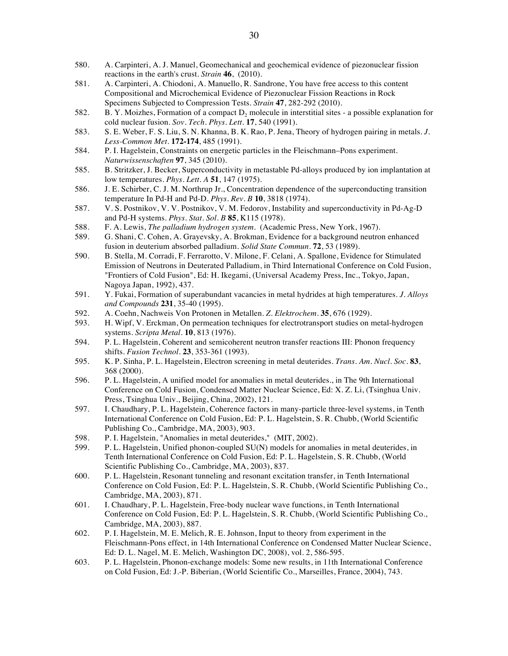- 580. A. Carpinteri, A. J. Manuel, Geomechanical and geochemical evidence of piezonuclear fission reactions in the earth's crust. *Strain* **46**, (2010).
- 581. A. Carpinteri, A. Chiodoni, A. Manuello, R. Sandrone, You have free access to this content Compositional and Microchemical Evidence of Piezonuclear Fission Reactions in Rock Specimens Subjected to Compression Tests. *Strain* **47**, 282-292 (2010).
- 582. B. Y. Moizhes, Formation of a compact  $D_2$  molecule in interstitial sites a possible explanation for cold nuclear fusion. *Sov. Tech. Phys. Lett.* **17**, 540 (1991).
- 583. S. E. Weber, F. S. Liu, S. N. Khanna, B. K. Rao, P. Jena, Theory of hydrogen pairing in metals. *J. Less-Common Met.* **172-174**, 485 (1991).
- 584. P. I. Hagelstein, Constraints on energetic particles in the Fleischmann–Pons experiment. *Naturwissenschaften* **97**, 345 (2010).
- 585. B. Stritzker, J. Becker, Superconductivity in metastable Pd-alloys produced by ion implantation at low temperatures. *Phys. Lett. A* **51**, 147 (1975).
- 586. J. E. Schirber, C. J. M. Northrup Jr., Concentration dependence of the superconducting transition temperature In Pd-H and Pd-D. *Phys. Rev. B* **10**, 3818 (1974).
- 587. V. S. Postnikov, V. V. Postnikov, V. M. Fedorov, Instability and superconductivity in Pd-Ag-D and Pd-H systems. *Phys. Stat. Sol. B* **85**, K115 (1978).
- 588. F. A. Lewis, *The palladium hydrogen system*. (Academic Press, New York, 1967).
- 589. G. Shani, C. Cohen, A. Grayevsky, A. Brokman, Evidence for a background neutron enhanced fusion in deuterium absorbed palladium. *Solid State Commun.* **72**, 53 (1989).
- 590. B. Stella, M. Corradi, F. Ferrarotto, V. Milone, F. Celani, A. Spallone, Evidence for Stimulated Emission of Neutrons in Deuterated Palladium, in Third International Conference on Cold Fusion, "Frontiers of Cold Fusion", Ed: H. Ikegami, (Universal Academy Press, Inc., Tokyo, Japan, Nagoya Japan, 1992), 437.
- 591. Y. Fukai, Formation of superabundant vacancies in metal hydrides at high temperatures. *J. Alloys and Compounds* **231**, 35-40 (1995).
- 592. A. Coehn, Nachweis Von Protonen in Metallen. *Z. Elektrochem.* **35**, 676 (1929).
- H. Wipf, V. Erckman, On permeation techniques for electrotransport studies on metal-hydrogen systems. *Scripta Metal.* **10**, 813 (1976).
- 594. P. L. Hagelstein, Coherent and semicoherent neutron transfer reactions III: Phonon frequency shifts. *Fusion Technol.* **23**, 353-361 (1993).
- 595. K. P. Sinha, P. L. Hagelstein, Electron screening in metal deuterides. *Trans. Am. Nucl. Soc.* **83**, 368 (2000).
- 596. P. L. Hagelstein, A unified model for anomalies in metal deuterides., in The 9th International Conference on Cold Fusion, Condensed Matter Nuclear Science, Ed: X. Z. Li, (Tsinghua Univ. Press, Tsinghua Univ., Beijing, China, 2002), 121.
- 597. I. Chaudhary, P. L. Hagelstein, Coherence factors in many-particle three-level systems, in Tenth International Conference on Cold Fusion, Ed: P. L. Hagelstein, S. R. Chubb, (World Scientific Publishing Co., Cambridge, MA, 2003), 903.
- 598. P. I. Hagelstein, "Anomalies in metal deuterides," (MIT, 2002).<br>599. P. L. Hagelstein, Unified phonon-coupled SU(N) models for ano
- 599. P. L. Hagelstein, Unified phonon-coupled SU(N) models for anomalies in metal deuterides, in Tenth International Conference on Cold Fusion, Ed: P. L. Hagelstein, S. R. Chubb, (World Scientific Publishing Co., Cambridge, MA, 2003), 837.
- 600. P. L. Hagelstein, Resonant tunneling and resonant excitation transfer, in Tenth International Conference on Cold Fusion, Ed: P. L. Hagelstein, S. R. Chubb, (World Scientific Publishing Co., Cambridge, MA, 2003), 871.
- 601. I. Chaudhary, P. L. Hagelstein, Free-body nuclear wave functions, in Tenth International Conference on Cold Fusion, Ed: P. L. Hagelstein, S. R. Chubb, (World Scientific Publishing Co., Cambridge, MA, 2003), 887.
- 602. P. I. Hagelstein, M. E. Melich, R. E. Johnson, Input to theory from experiment in the Fleischmann-Pons effect, in 14th International Conference on Condensed Matter Nuclear Science, Ed: D. L. Nagel, M. E. Melich, Washington DC, 2008), vol. 2, 586-595.
- 603. P. L. Hagelstein, Phonon-exchange models: Some new results, in 11th International Conference on Cold Fusion, Ed: J.-P. Biberian, (World Scientific Co., Marseilles, France, 2004), 743.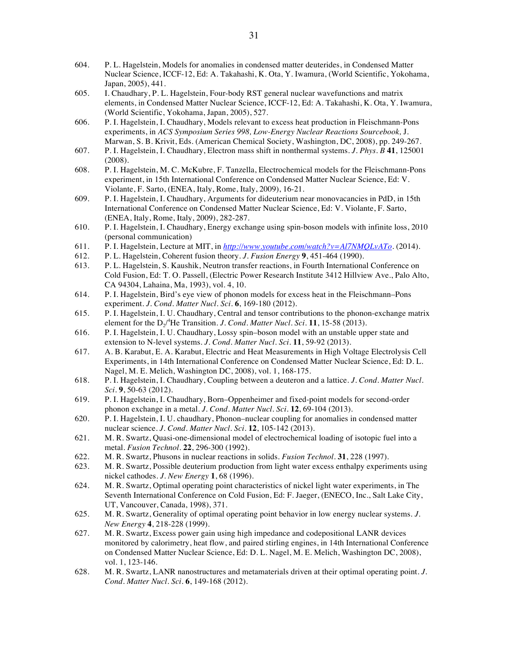- 604. P. L. Hagelstein, Models for anomalies in condensed matter deuterides, in Condensed Matter Nuclear Science, ICCF-12, Ed: A. Takahashi, K. Ota, Y. Iwamura, (World Scientific, Yokohama, Japan, 2005), 441.
- 605. I. Chaudhary, P. L. Hagelstein, Four-body RST general nuclear wavefunctions and matrix elements, in Condensed Matter Nuclear Science, ICCF-12, Ed: A. Takahashi, K. Ota, Y. Iwamura, (World Scientific, Yokohama, Japan, 2005), 527.
- 606. P. I. Hagelstein, I. Chaudhary, Models relevant to excess heat production in Fleischmann-Pons experiments, in *ACS Symposium Series 998, Low-Energy Nuclear Reactions Sourcebook,* J. Marwan, S. B. Krivit, Eds. (American Chemical Society, Washington, DC, 2008), pp. 249-267.
- 607. P. I. Hagelstein, I. Chaudhary, Electron mass shift in nonthermal systems. *J. Phys. B* **41**, 125001 (2008).
- 608. P. I. Hagelstein, M. C. McKubre, F. Tanzella, Electrochemical models for the Fleischmann-Pons experiment, in 15th International Conference on Condensed Matter Nuclear Science, Ed: V. Violante, F. Sarto, (ENEA, Italy, Rome, Italy, 2009), 16-21.
- 609. P. I. Hagelstein, I. Chaudhary, Arguments for dideuterium near monovacancies in PdD, in 15th International Conference on Condensed Matter Nuclear Science, Ed: V. Violante, F. Sarto, (ENEA, Italy, Rome, Italy, 2009), 282-287.
- 610. P. I. Hagelstein, I. Chaudhary, Energy exchange using spin-boson models with infinite loss, 2010 (personal communication)
- 611. P. I. Hagelstein, Lecture at MIT, in *http://www.youtube.com/watch?v=Al7NMQLvATo*. (2014).
- 612. P. L. Hagelstein, Coherent fusion theory. *J. Fusion Energy* **9**, 451-464 (1990).
- 613. P. L. Hagelstein, S. Kaushik, Neutron transfer reactions, in Fourth International Conference on Cold Fusion, Ed: T. O. Passell, (Electric Power Research Institute 3412 Hillview Ave., Palo Alto, CA 94304, Lahaina, Ma, 1993), vol. 4, 10.
- 614. P. I. Hagelstein, Bird's eye view of phonon models for excess heat in the Fleischmann–Pons experiment. *J. Cond. Matter Nucl. Sci.* **6**, 169-180 (2012).
- 615. P. I. Hagelstein, I. U. Chaudhary, Central and tensor contributions to the phonon-exchange matrix element for the  $D_2$ <sup>4</sup>He Transition. *J. Cond. Matter Nucl. Sci.* **11**, 15-58 (2013).
- 616. P. I. Hagelstein, I. U. Chaudhary, Lossy spin–boson model with an unstable upper state and extension to N-level systems. *J. Cond. Matter Nucl. Sci.* **11**, 59-92 (2013).
- 617. A. B. Karabut, E. A. Karabut, Electric and Heat Measurements in High Voltage Electrolysis Cell Experiments, in 14th International Conference on Condensed Matter Nuclear Science, Ed: D. L. Nagel, M. E. Melich, Washington DC, 2008), vol. 1, 168-175.
- 618. P. I. Hagelstein, I. Chaudhary, Coupling between a deuteron and a lattice. *J. Cond. Matter Nucl. Sci.* **9**, 50-63 (2012).
- 619. P. I. Hagelstein, I. Chaudhary, Born–Oppenheimer and fixed-point models for second-order phonon exchange in a metal. *J. Cond. Matter Nucl. Sci.* **12**, 69-104 (2013).
- 620. P. I. Hagelstein, I. U. chaudhary, Phonon–nuclear coupling for anomalies in condensed matter nuclear science. *J. Cond. Matter Nucl. Sci.* **12**, 105-142 (2013).
- 621. M. R. Swartz, Quasi-one-dimensional model of electrochemical loading of isotopic fuel into a metal. *Fusion Technol.* **22**, 296-300 (1992).
- 622. M. R. Swartz, Phusons in nuclear reactions in solids. *Fusion Technol.* **31**, 228 (1997).
- 623. M. R. Swartz, Possible deuterium production from light water excess enthalpy experiments using nickel cathodes. *J. New Energy* **1**, 68 (1996).
- 624. M. R. Swartz, Optimal operating point characteristics of nickel light water experiments, in The Seventh International Conference on Cold Fusion, Ed: F. Jaeger, (ENECO, Inc., Salt Lake City, UT, Vancouver, Canada, 1998), 371.
- 625. M. R. Swartz, Generality of optimal operating point behavior in low energy nuclear systems. *J. New Energy* **4**, 218-228 (1999).
- 627. M. R. Swartz, Excess power gain using high impedance and codepositional LANR devices monitored by calorimetry, heat flow, and paired stirling engines, in 14th International Conference on Condensed Matter Nuclear Science, Ed: D. L. Nagel, M. E. Melich, Washington DC, 2008), vol. 1, 123-146.
- 628. M. R. Swartz, LANR nanostructures and metamaterials driven at their optimal operating point. *J. Cond. Matter Nucl. Sci.* **6**, 149-168 (2012).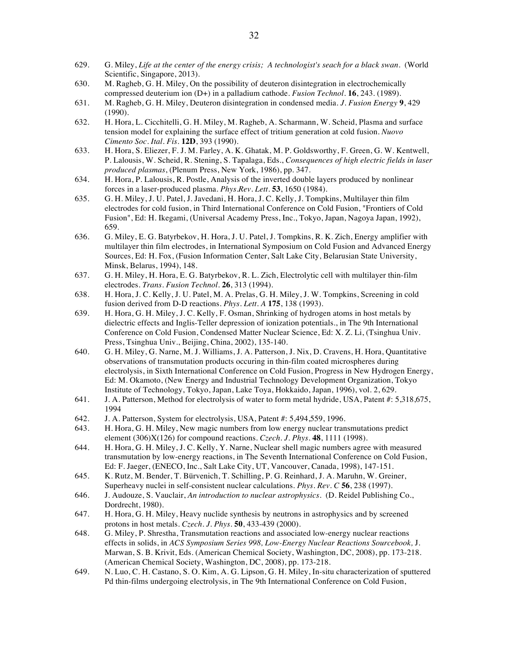- 629. G. Miley, *Life at the center of the energy crisis; A technologist's seach for a black swan*. (World Scientific, Singapore, 2013).
- 630. M. Ragheb, G. H. Miley, On the possibility of deuteron disintegration in electrochemically compressed deuterium ion (D+) in a palladium cathode. *Fusion Technol.* **16**, 243. (1989).
- 631. M. Ragheb, G. H. Miley, Deuteron disintegration in condensed media. *J. Fusion Energy* **9**, 429 (1990).
- 632. H. Hora, L. Cicchitelli, G. H. Miley, M. Ragheb, A. Scharmann, W. Scheid, Plasma and surface tension model for explaining the surface effect of tritium generation at cold fusion. *Nuovo Cimento Soc. Ital. Fis.* **12D**, 393 (1990).
- 633. H. Hora, S. Eliezer, F. J. M. Farley, A. K. Ghatak, M. P. Goldsworthy, F. Green, G. W. Kentwell, P. Lalousis, W. Scheid, R. Stening, S. Tapalaga, Eds., *Consequences of high electric fields in laser produced plasmas*, (Plenum Press, New York, 1986), pp. 347.
- 634. H. Hora, P. Lalousis, R. Postle, Analysis of the inverted double layers produced by nonlinear forces in a laser-produced plasma. *Phys.Rev. Lett.* **53**, 1650 (1984).
- 635. G. H. Miley, J. U. Patel, J. Javedani, H. Hora, J. C. Kelly, J. Tompkins, Multilayer thin film electrodes for cold fusion, in Third International Conference on Cold Fusion, "Frontiers of Cold Fusion", Ed: H. Ikegami, (Universal Academy Press, Inc., Tokyo, Japan, Nagoya Japan, 1992), 659.
- 636. G. Miley, E. G. Batyrbekov, H. Hora, J. U. Patel, J. Tompkins, R. K. Zich, Energy amplifier with multilayer thin film electrodes, in International Symposium on Cold Fusion and Advanced Energy Sources, Ed: H. Fox, (Fusion Information Center, Salt Lake City, Belarusian State University, Minsk, Belarus, 1994), 148.
- 637. G. H. Miley, H. Hora, E. G. Batyrbekov, R. L. Zich, Electrolytic cell with multilayer thin-film electrodes. *Trans. Fusion Technol.* **26**, 313 (1994).
- 638. H. Hora, J. C. Kelly, J. U. Patel, M. A. Prelas, G. H. Miley, J. W. Tompkins, Screening in cold fusion derived from D-D reactions. *Phys. Lett. A* **175**, 138 (1993).
- 639. H. Hora, G. H. Miley, J. C. Kelly, F. Osman, Shrinking of hydrogen atoms in host metals by dielectric effects and Inglis-Teller depression of ionization potentials., in The 9th International Conference on Cold Fusion, Condensed Matter Nuclear Science, Ed: X. Z. Li, (Tsinghua Univ. Press, Tsinghua Univ., Beijing, China, 2002), 135-140.
- 640. G. H. Miley, G. Narne, M. J. Williams, J. A. Patterson, J. Nix, D. Cravens, H. Hora, Quantitative observations of transmutation products occuring in thin-film coated microspheres during electrolysis, in Sixth International Conference on Cold Fusion, Progress in New Hydrogen Energy, Ed: M. Okamoto, (New Energy and Industrial Technology Development Organization, Tokyo Institute of Technology, Tokyo, Japan, Lake Toya, Hokkaido, Japan, 1996), vol. 2, 629.
- 641. J. A. Patterson, Method for electrolysis of water to form metal hydride, USA, Patent #: 5,318,675, 1994
- 642. J. A. Patterson, System for electrolysis, USA, Patent #: 5,494,559, 1996.<br>643. H. Hora, G. H. Miley, New magic numbers from low energy nuclear tran
- H. Hora, G. H. Miley, New magic numbers from low energy nuclear transmutations predict element (306)X(126) for compound reactions. *Czech. J. Phys.* **48**, 1111 (1998).
- 644. H. Hora, G. H. Miley, J. C. Kelly, Y. Narne, Nuclear shell magic numbers agree with measured transmutation by low-energy reactions, in The Seventh International Conference on Cold Fusion, Ed: F. Jaeger, (ENECO, Inc., Salt Lake City, UT, Vancouver, Canada, 1998), 147-151.
- 645. K. Rutz, M. Bender, T. Bürvenich, T. Schilling, P. G. Reinhard, J. A. Maruhn, W. Greiner, Superheavy nuclei in self-consistent nuclear calculations. *Phys. Rev. C* **56**, 238 (1997).
- 646. J. Audouze, S. Vauclair, *An introduction to nuclear astrophysics*. (D. Reidel Publishing Co., Dordrecht, 1980).
- 647. H. Hora, G. H. Miley, Heavy nuclide synthesis by neutrons in astrophysics and by screened protons in host metals. *Czech. J. Phys.* **50**, 433-439 (2000).
- 648. G. Miley, P. Shrestha, Transmutation reactions and associated low-energy nuclear reactions effects in solids, in *ACS Symposium Series 998, Low-Energy Nuclear Reactions Sourcebook,* J. Marwan, S. B. Krivit, Eds. (American Chemical Society, Washington, DC, 2008), pp. 173-218. (American Chemical Society, Washington, DC, 2008), pp. 173-218.
- 649. N. Luo, C. H. Castano, S. O. Kim, A. G. Lipson, G. H. Miley, In-situ characterization of sputtered Pd thin-films undergoing electrolysis, in The 9th International Conference on Cold Fusion,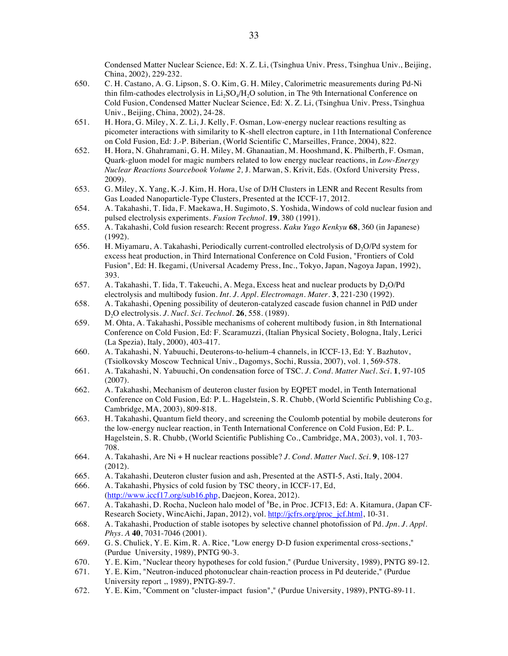Condensed Matter Nuclear Science, Ed: X. Z. Li, (Tsinghua Univ. Press, Tsinghua Univ., Beijing, China, 2002), 229-232.

- 650. C. H. Castano, A. G. Lipson, S. O. Kim, G. H. Miley, Calorimetric measurements during Pd-Ni thin film-cathodes electrolysis in  $Li<sub>2</sub>SO<sub>4</sub>/H<sub>2</sub>O$  solution, in The 9th International Conference on Cold Fusion, Condensed Matter Nuclear Science, Ed: X. Z. Li, (Tsinghua Univ. Press, Tsinghua Univ., Beijing, China, 2002), 24-28.
- 651. H. Hora, G. Miley, X. Z. Li, J. Kelly, F. Osman, Low-energy nuclear reactions resulting as picometer interactions with similarity to K-shell electron capture, in 11th International Conference on Cold Fusion, Ed: J.-P. Biberian, (World Scientific C, Marseilles, France, 2004), 822.
- 652. H. Hora, N. Ghahramani, G. H. Miley, M. Ghanaatian, M. Hooshmand, K. Philberth, F. Osman, Quark-gluon model for magic numbers related to low energy nuclear reactions, in *Low-Energy Nuclear Reactions Sourcebook Volume 2,* J. Marwan, S. Krivit, Eds. (Oxford University Press, 2009).
- 653. G. Miley, X. Yang, K.-J. Kim, H. Hora, Use of D/H Clusters in LENR and Recent Results from Gas Loaded Nanoparticle-Type Clusters, Presented at the ICCF-17, 2012.
- 654. A. Takahashi, T. Iida, F. Maekawa, H. Sugimoto, S. Yoshida, Windows of cold nuclear fusion and pulsed electrolysis experiments. *Fusion Technol.* **19**, 380 (1991).
- 655. A. Takahashi, Cold fusion research: Recent progress. *Kaku Yugo Kenkyu* **68**, 360 (in Japanese) (1992).
- 656. H. Miyamaru, A. Takahashi, Periodically current-controlled electrolysis of  $D_2O/Pd$  system for excess heat production, in Third International Conference on Cold Fusion, "Frontiers of Cold Fusion", Ed: H. Ikegami, (Universal Academy Press, Inc., Tokyo, Japan, Nagoya Japan, 1992), 393.
- 657. A. Takahashi, T. Iida, T. Takeuchi, A. Mega, Excess heat and nuclear products by D<sub>2</sub>O/Pd electrolysis and multibody fusion. *Int. J. Appl. Electromagn. Mater.* **3**, 221-230 (1992).
- 658. A. Takahashi, Opening possibility of deuteron-catalyzed cascade fusion channel in PdD under D2O electrolysis. *J. Nucl. Sci. Technol.* **26**, 558. (1989).
- 659. M. Ohta, A. Takahashi, Possible mechanisms of coherent multibody fusion, in 8th International Conference on Cold Fusion, Ed: F. Scaramuzzi, (Italian Physical Society, Bologna, Italy, Lerici (La Spezia), Italy, 2000), 403-417.
- 660. A. Takahashi, N. Yabuuchi, Deuterons-to-helium-4 channels, in ICCF-13, Ed: Y. Bazhutov, (Tsiolkovsky Moscow Technical Univ., Dagomys, Sochi, Russia, 2007), vol. 1, 569-578.
- 661. A. Takahashi, N. Yabuuchi, On condensation force of TSC. *J. Cond. Matter Nucl. Sci.* **1**, 97-105 (2007).
- 662. A. Takahashi, Mechanism of deuteron cluster fusion by EQPET model, in Tenth International Conference on Cold Fusion, Ed: P. L. Hagelstein, S. R. Chubb, (World Scientific Publishing Co.g, Cambridge, MA, 2003), 809-818.
- 663. H. Takahashi, Quantum field theory, and screening the Coulomb potential by mobile deuterons for the low-energy nuclear reaction, in Tenth International Conference on Cold Fusion, Ed: P. L. Hagelstein, S. R. Chubb, (World Scientific Publishing Co., Cambridge, MA, 2003), vol. 1, 703- 708.
- 664. A. Takahashi, Are Ni + H nuclear reactions possible? *J. Cond. Matter Nucl. Sci.* **9**, 108-127 (2012).
- 665. A. Takahashi, Deuteron cluster fusion and ash, Presented at the ASTI-5, Asti, Italy, 2004.
- 666. A. Takahashi, Physics of cold fusion by TSC theory, in ICCF-17, Ed, (http://www.iccf17.org/sub16.php, Daejeon, Korea, 2012).
- 667. A. Takahashi, D. Rocha, Nucleon halo model of <sup>8</sup>Be, in Proc. JCF13, Ed: A. Kitamura, (Japan CF-Research Society, WincAichi, Japan, 2012), vol. http://jcfrs.org/proc\_jcf.html, 10-31.
- 668. A. Takahashi, Production of stable isotopes by selective channel photofission of Pd. *Jpn. J. Appl. Phys. A* **40**, 7031-7046 (2001).
- 669. G. S. Chulick, Y. E. Kim, R. A. Rice, "Low energy D-D fusion experimental cross-sections," (Purdue University, 1989), PNTG 90-3.
- 670. Y. E. Kim, "Nuclear theory hypotheses for cold fusion," (Purdue University, 1989), PNTG 89-12.
- 671. Y. E. Kim, "Neutron-induced photonuclear chain-reaction process in Pd deuteride," (Purdue University report ,, 1989), PNTG-89-7.
- 672. Y. E. Kim, "Comment on "cluster-impact fusion"," (Purdue University, 1989), PNTG-89-11.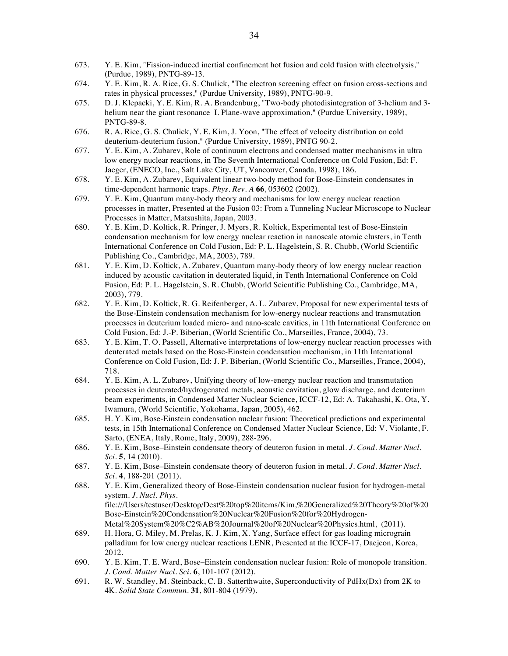- 673. Y. E. Kim, "Fission-induced inertial confinement hot fusion and cold fusion with electrolysis," (Purdue, 1989), PNTG-89-13.
- 674. Y. E. Kim, R. A. Rice, G. S. Chulick, "The electron screening effect on fusion cross-sections and rates in physical processes," (Purdue University, 1989), PNTG-90-9.
- 675. D. J. Klepacki, Y. E. Kim, R. A. Brandenburg, "Two-body photodisintegration of 3-helium and 3 helium near the giant resonance I. Plane-wave approximation," (Purdue University, 1989), PNTG-89-8.
- 676. R. A. Rice, G. S. Chulick, Y. E. Kim, J. Yoon, "The effect of velocity distribution on cold deuterium-deuterium fusion," (Purdue University, 1989), PNTG 90-2.
- 677. Y. E. Kim, A. Zubarev, Role of continuum electrons and condensed matter mechanisms in ultra low energy nuclear reactions, in The Seventh International Conference on Cold Fusion, Ed: F. Jaeger, (ENECO, Inc., Salt Lake City, UT, Vancouver, Canada, 1998), 186.
- 678. Y. E. Kim, A. Zubarev, Equivalent linear two-body method for Bose-Einstein condensates in time-dependent harmonic traps. *Phys. Rev. A* **66**, 053602 (2002).
- 679. Y. E. Kim, Quantum many-body theory and mechanisms for low energy nuclear reaction processes in matter, Presented at the Fusion 03: From a Tunneling Nuclear Microscope to Nuclear Processes in Matter, Matsushita, Japan, 2003.
- 680. Y. E. Kim, D. Koltick, R. Pringer, J. Myers, R. Koltick, Experimental test of Bose-Einstein condensation mechanism for low energy nuclear reaction in nanoscale atomic clusters, in Tenth International Conference on Cold Fusion, Ed: P. L. Hagelstein, S. R. Chubb, (World Scientific Publishing Co., Cambridge, MA, 2003), 789.
- 681. Y. E. Kim, D. Koltick, A. Zubarev, Quantum many-body theory of low energy nuclear reaction induced by acoustic cavitation in deuterated liquid, in Tenth International Conference on Cold Fusion, Ed: P. L. Hagelstein, S. R. Chubb, (World Scientific Publishing Co., Cambridge, MA, 2003), 779.
- 682. Y. E. Kim, D. Koltick, R. G. Reifenberger, A. L. Zubarev, Proposal for new experimental tests of the Bose-Einstein condensation mechanism for low-energy nuclear reactions and transmutation processes in deuterium loaded micro- and nano-scale cavities, in 11th International Conference on Cold Fusion, Ed: J.-P. Biberian, (World Scientific Co., Marseilles, France, 2004), 73.
- 683. Y. E. Kim, T. O. Passell, Alternative interpretations of low-energy nuclear reaction processes with deuterated metals based on the Bose-Einstein condensation mechanism, in 11th International Conference on Cold Fusion, Ed: J. P. Biberian, (World Scientific Co., Marseilles, France, 2004), 718.
- 684. Y. E. Kim, A. L. Zubarev, Unifying theory of low-energy nuclear reaction and transmutation processes in deuterated/hydrogenated metals, acoustic cavitation, glow discharge, and deuterium beam experiments, in Condensed Matter Nuclear Science, ICCF-12, Ed: A. Takahashi, K. Ota, Y. Iwamura, (World Scientific, Yokohama, Japan, 2005), 462.
- 685. H. Y. Kim, Bose-Einstein condensation nuclear fusion: Theoretical predictions and experimental tests, in 15th International Conference on Condensed Matter Nuclear Science, Ed: V. Violante, F. Sarto, (ENEA, Italy, Rome, Italy, 2009), 288-296.
- 686. Y. E. Kim, Bose–Einstein condensate theory of deuteron fusion in metal. *J. Cond. Matter Nucl. Sci.* **5**, 14 (2010).
- 687. Y. E. Kim, Bose–Einstein condensate theory of deuteron fusion in metal. *J. Cond. Matter Nucl. Sci.* **4**, 188-201 (2011).
- 688. Y. E. Kim, Generalized theory of Bose-Einstein condensation nuclear fusion for hydrogen-metal system. *J. Nucl. Phys.* file:///Users/testuser/Desktop/Dest%20top%20items/Kim,%20Generalized%20Theory%20of%20 Bose-Einstein%20Condensation%20Nuclear%20Fusion%20for%20Hydrogen-Metal%20System%20%C2%AB%20Journal%20of%20Nuclear%20Physics.html, (2011).
- 689. H. Hora, G. Miley, M. Prelas, K. J. Kim, X. Yang, Surface effect for gas loading micrograin palladium for low energy nuclear reactions LENR, Presented at the ICCF-17, Daejeon, Korea, 2012.
- 690. Y. E. Kim, T. E. Ward, Bose–Einstein condensation nuclear fusion: Role of monopole transition. *J. Cond. Matter Nucl. Sci.* **6**, 101-107 (2012).
- 691. R. W. Standley, M. Steinback, C. B. Satterthwaite, Superconductivity of PdHx(Dx) from 2K to 4K. *Solid State Commun.* **31**, 801-804 (1979).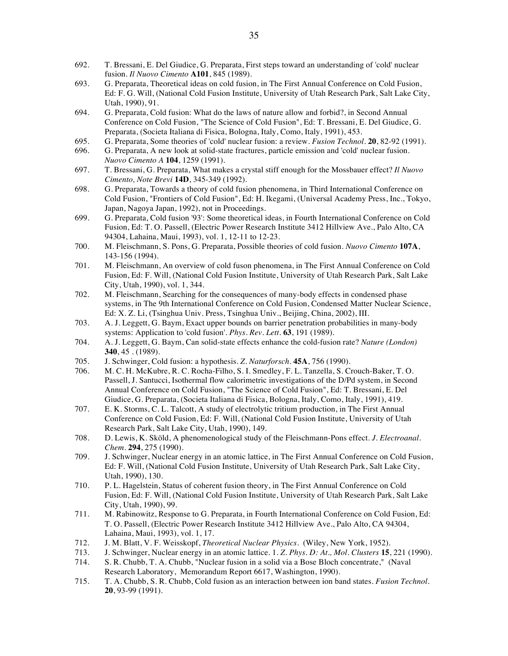- 692. T. Bressani, E. Del Giudice, G. Preparata, First steps toward an understanding of 'cold' nuclear fusion. *Il Nuovo Cimento* **A101**, 845 (1989).
- 693. G. Preparata, Theoretical ideas on cold fusion, in The First Annual Conference on Cold Fusion, Ed: F. G. Will, (National Cold Fusion Institute, University of Utah Research Park, Salt Lake City, Utah, 1990), 91.
- 694. G. Preparata, Cold fusion: What do the laws of nature allow and forbid?, in Second Annual Conference on Cold Fusion, "The Science of Cold Fusion", Ed: T. Bressani, E. Del Giudice, G. Preparata, (Societa Italiana di Fisica, Bologna, Italy, Como, Italy, 1991), 453.
- 695. G. Preparata, Some theories of 'cold' nuclear fusion: a review. *Fusion Technol.* **20**, 82-92 (1991).
- 696. G. Preparata, A new look at solid-state fractures, particle emission and 'cold' nuclear fusion. *Nuovo Cimento A* **104**, 1259 (1991).
- 697. T. Bressani, G. Preparata, What makes a crystal stiff enough for the Mossbauer effect? *Il Nuovo Cimento, Note Brevi* **14D**, 345-349 (1992).
- 698. G. Preparata, Towards a theory of cold fusion phenomena, in Third International Conference on Cold Fusion, "Frontiers of Cold Fusion", Ed: H. Ikegami, (Universal Academy Press, Inc., Tokyo, Japan, Nagoya Japan, 1992), not in Proceedings.
- 699. G. Preparata, Cold fusion '93': Some theoretical ideas, in Fourth International Conference on Cold Fusion, Ed: T. O. Passell, (Electric Power Research Institute 3412 Hillview Ave., Palo Alto, CA 94304, Lahaina, Maui, 1993), vol. 1, 12-11 to 12-23.
- 700. M. Fleischmann, S. Pons, G. Preparata, Possible theories of cold fusion. *Nuovo Cimento* **107A**, 143-156 (1994).
- 701. M. Fleischmann, An overview of cold fuson phenomena, in The First Annual Conference on Cold Fusion, Ed: F. Will, (National Cold Fusion Institute, University of Utah Research Park, Salt Lake City, Utah, 1990), vol. 1, 344.
- 702. M. Fleischmann, Searching for the consequences of many-body effects in condensed phase systems, in The 9th International Conference on Cold Fusion, Condensed Matter Nuclear Science, Ed: X. Z. Li, (Tsinghua Univ. Press, Tsinghua Univ., Beijing, China, 2002), III.
- 703. A. J. Leggett, G. Baym, Exact upper bounds on barrier penetration probabilities in many-body systems: Application to 'cold fusion'. *Phys. Rev. Lett.* **63**, 191 (1989).
- 704. A. J. Leggett, G. Baym, Can solid-state effects enhance the cold-fusion rate? *Nature (London)* **340**, 45 . (1989).
- 705. J. Schwinger, Cold fusion: a hypothesis. *Z. Naturforsch.* **45A**, 756 (1990).
- 706. M. C. H. McKubre, R. C. Rocha-Filho, S. I. Smedley, F. L. Tanzella, S. Crouch-Baker, T. O. Passell, J. Santucci, Isothermal flow calorimetric investigations of the D/Pd system, in Second Annual Conference on Cold Fusion, "The Science of Cold Fusion", Ed: T. Bressani, E. Del Giudice, G. Preparata, (Societa Italiana di Fisica, Bologna, Italy, Como, Italy, 1991), 419.
- 707. E. K. Storms, C. L. Talcott, A study of electrolytic tritium production, in The First Annual Conference on Cold Fusion, Ed: F. Will, (National Cold Fusion Institute, University of Utah Research Park, Salt Lake City, Utah, 1990), 149.
- 708. D. Lewis, K. Sköld, A phenomenological study of the Fleischmann-Pons effect. *J. Electroanal. Chem.* **294**, 275 (1990).
- 709. J. Schwinger, Nuclear energy in an atomic lattice, in The First Annual Conference on Cold Fusion, Ed: F. Will, (National Cold Fusion Institute, University of Utah Research Park, Salt Lake City, Utah, 1990), 130.
- 710. P. L. Hagelstein, Status of coherent fusion theory, in The First Annual Conference on Cold Fusion, Ed: F. Will, (National Cold Fusion Institute, University of Utah Research Park, Salt Lake City, Utah, 1990), 99.
- 711. M. Rabinowitz, Response to G. Preparata, in Fourth International Conference on Cold Fusion, Ed: T. O. Passell, (Electric Power Research Institute 3412 Hillview Ave., Palo Alto, CA 94304, Lahaina, Maui, 1993), vol. 1, 17.
- 712. J. M. Blatt, V. F. Weisskopf, *Theoretical Nuclear Physics*. (Wiley, New York, 1952).
- 713. J. Schwinger, Nuclear energy in an atomic lattice. 1. *Z. Phys. D: At., Mol. Clusters* **15**, 221 (1990).
- 714. S. R. Chubb, T. A. Chubb, "Nuclear fusion in a solid via a Bose Bloch concentrate," (Naval Research Laboratory, Memorandum Report 6617, Washington, 1990).
- 715. T. A. Chubb, S. R. Chubb, Cold fusion as an interaction between ion band states. *Fusion Technol.* **20**, 93-99 (1991).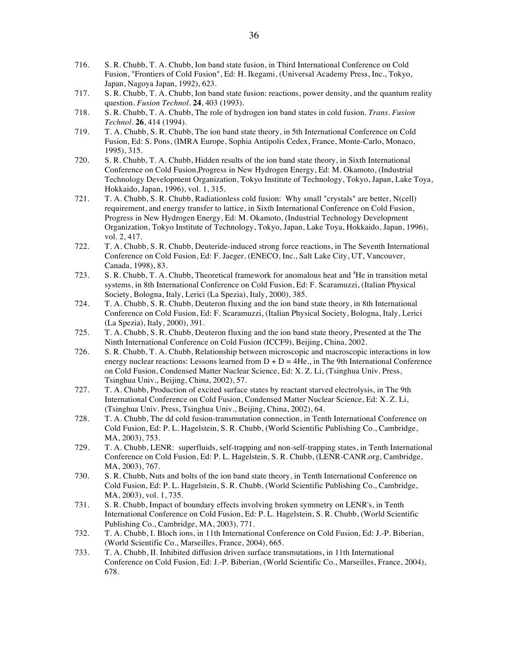- 716. S. R. Chubb, T. A. Chubb, Ion band state fusion, in Third International Conference on Cold Fusion, "Frontiers of Cold Fusion", Ed: H. Ikegami, (Universal Academy Press, Inc., Tokyo, Japan, Nagoya Japan, 1992), 623.
- 717. S. R. Chubb, T. A. Chubb, Ion band state fusion: reactions, power density, and the quantum reality question. *Fusion Technol.* **24**, 403 (1993).
- 718. S. R. Chubb, T. A. Chubb, The role of hydrogen ion band states in cold fusion. *Trans. Fusion Technol.* **26**, 414 (1994).
- 719. T. A. Chubb, S. R. Chubb, The ion band state theory, in 5th International Conference on Cold Fusion, Ed: S. Pons, (IMRA Europe, Sophia Antipolis Cedex, France, Monte-Carlo, Monaco, 1995), 315.
- 720. S. R. Chubb, T. A. Chubb, Hidden results of the ion band state theory, in Sixth International Conference on Cold Fusion,Progress in New Hydrogen Energy, Ed: M. Okamoto, (Industrial Technology Development Organization, Tokyo Institute of Technology, Tokyo, Japan, Lake Toya, Hokkaido, Japan, 1996), vol. 1, 315.
- 721. T. A. Chubb, S. R. Chubb, Radiationless cold fusion: Why small "crystals" are better, N(cell) requirement, and energy transfer to lattice, in Sixth International Conference on Cold Fusion, Progress in New Hydrogen Energy, Ed: M. Okamoto, (Industrial Technology Development Organization, Tokyo Institute of Technology, Tokyo, Japan, Lake Toya, Hokkaido, Japan, 1996), vol. 2, 417.
- 722. T. A. Chubb, S. R. Chubb, Deuteride-induced strong force reactions, in The Seventh International Conference on Cold Fusion, Ed: F. Jaeger, (ENECO, Inc., Salt Lake City, UT, Vancouver, Canada, 1998), 83.
- 723. S. R. Chubb, T. A. Chubb, Theoretical framework for anomalous heat and <sup>4</sup>He in transition metal systems, in 8th International Conference on Cold Fusion, Ed: F. Scaramuzzi, (Italian Physical Society, Bologna, Italy, Lerici (La Spezia), Italy, 2000), 385.
- 724. T. A. Chubb, S. R. Chubb, Deuteron fluxing and the ion band state theory, in 8th International Conference on Cold Fusion, Ed: F. Scaramuzzi, (Italian Physical Society, Bologna, Italy, Lerici (La Spezia), Italy, 2000), 391.
- 725. T. A. Chubb, S. R. Chubb, Deuteron fluxing and the ion band state theory, Presented at the The Ninth International Conference on Cold Fusion (ICCF9), Beijing, China, 2002.
- 726. S. R. Chubb, T. A. Chubb, Relationship between microscopic and macroscopic interactions in low energy nuclear reactions: Lessons learned from  $D + D = 4$  He., in The 9th International Conference on Cold Fusion, Condensed Matter Nuclear Science, Ed: X. Z. Li, (Tsinghua Univ. Press, Tsinghua Univ., Beijing, China, 2002), 57.
- 727. T. A. Chubb, Production of excited surface states by reactant starved electrolysis, in The 9th International Conference on Cold Fusion, Condensed Matter Nuclear Science, Ed: X. Z. Li, (Tsinghua Univ. Press, Tsinghua Univ., Beijing, China, 2002), 64.
- 728. T. A. Chubb, The dd cold fusion-transmutation connection, in Tenth International Conference on Cold Fusion, Ed: P. L. Hagelstein, S. R. Chubb, (World Scientific Publishing Co., Cambridge, MA, 2003), 753.
- 729. T. A. Chubb, LENR: superfluids, self-trapping and non-self-trapping states, in Tenth International Conference on Cold Fusion, Ed: P. L. Hagelstein, S. R. Chubb, (LENR-CANR.org, Cambridge, MA, 2003), 767.
- 730. S. R. Chubb, Nuts and bolts of the ion band state theory, in Tenth International Conference on Cold Fusion, Ed: P. L. Hagelstein, S. R. Chubb, (World Scientific Publishing Co., Cambridge, MA, 2003), vol. 1, 735.
- 731. S. R. Chubb, Impact of boundary effects involving broken symmetry on LENR's, in Tenth International Conference on Cold Fusion, Ed: P. L. Hagelstein, S. R. Chubb, (World Scientific Publishing Co., Cambridge, MA, 2003), 771.
- 732. T. A. Chubb, I. Bloch ions, in 11th International Conference on Cold Fusion, Ed: J.-P. Biberian, (World Scientific Co., Marseilles, France, 2004), 665.
- 733. T. A. Chubb, II. Inhibited diffusion driven surface transmutations, in 11th International Conference on Cold Fusion, Ed: J.-P. Biberian, (World Scientific Co., Marseilles, France, 2004), 678.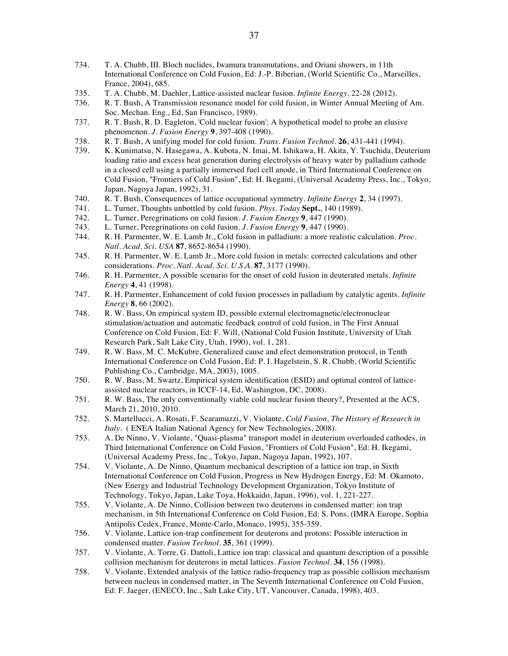- 734. T. A. Chubb, III. Bloch nuclides, Iwamura transmutations, and Oriani showers, in 11th International Conference on Cold Fusion, Ed: J.-P. Biberian, (World Scientific Co., Marseilles, France, 2004), 685.
- 735. T. A. Chubb, M. Daehler, Lattice-assisted nuclear fusion. *Infinite Energy*, 22-28 (2012).
- 736. R. T. Bush, A Transmission resonance model for cold fusion, in Winter Annual Meeting of Am. Soc. Mechan. Eng., Ed, San Francisco, 1989).
- 737. R. T. Bush, R. D. Eagleton, 'Cold nuclear fusion': A hypothetical model to probe an elusive phenomenon. *J. Fusion Energy* **9**, 397-408 (1990).
- 738. R. T. Bush, A unifying model for cold fusion. *Trans. Fusion Technol.* **26**, 431-441 (1994).
- 739. K. Kunimatsu, N. Hasegawa, A. Kubota, N. Imai, M. Ishikawa, H. Akita, Y. Tsuchida, Deuterium loading ratio and excess heat generation during electrolysis of heavy water by palladium cathode in a closed cell using a partially immersed fuel cell anode, in Third International Conference on Cold Fusion, "Frontiers of Cold Fusion", Ed: H. Ikegami, (Universal Academy Press, Inc., Tokyo, Japan, Nagoya Japan, 1992), 31.
- 740. R. T. Bush, Consequences of lattice occupational symmetry. *Infinite Energy* **2**, 34 (1997).
- 741. L. Turner, Thoughts unbottled by cold fusion. *Phys. Today* **Sept.**, 140 (1989).
- 742. L. Turner, Peregrinations on cold fusion. *J. Fusion Energy* **9**, 447 (1990).
- 743. L. Turner, Peregrinations on cold fusion. *J. Fusion Energy* **9**, 447 (1990).
- 744. R. H. Parmenter, W. E. Lamb Jr., Cold fusion in palladium: a more realistic calculation. *Proc. Natl. Acad. Sci. USA* **87**, 8652-8654 (1990).
- 745. R. H. Parmenter, W. E. Lamb Jr., More cold fusion in metals: corrected calculations and other considerations. *Proc. Natl. Acad. Sci. U.S.A.* **87**, 3177 (1990).
- 746. R. H. Parmenter, A possible scenario for the onset of cold fusion in deuterated metals. *Infinite Energy* **4**, 41 (1998).
- 747. R. H. Parmenter, Enhancement of cold fusion processes in palladium by catalytic agents. *Infinite Energy* **8**, 66 (2002).
- 748. R. W. Bass, On empirical system ID, possible external electromagnetic/electronuclear stimulation/actuation and automatic feedback control of cold fusion, in The First Annual Conference on Cold Fusion, Ed: F. Will, (National Cold Fusion Institute, University of Utah Research Park, Salt Lake City, Utah, 1990), vol. 1, 281.
- 749. R. W. Bass, M. C. McKubre, Generalized cause and efect demonstration protocol, in Tenth International Conference on Cold Fusion, Ed: P. I. Hagelstein, S. R. Chubb, (World Scientific Publishing Co., Cambridge, MA, 2003), 1005.
- 750. R. W. Bass, M. Swartz, Empirical system identification (ESID) and optimal control of latticeassisted nuclear reactors, in ICCF-14, Ed, Washington, DC, 2008).
- 751. R. W. Bass, The only conventionally viable cold nuclear fusion theory?, Presented at the ACS, March 21, 2010, 2010.
- 752. S. Martellucci, A. Rosati, F. Scaramuzzi, V. Violante, *Cold Fusion, The History of Research in Italy.* (ENEA Italian National Agency for New Technologies, 2008).
- 753. A. De Ninno, V. Violante, "Quasi-plasma" transport model in deuterium overloaded cathodes, in Third International Conference on Cold Fusion, "Frontiers of Cold Fusion", Ed: H. Ikegami, (Universal Academy Press, Inc., Tokyo, Japan, Nagoya Japan, 1992), 107.
- 754. V. Violante, A. De Ninno, Quantum mechanical description of a lattice ion trap, in Sixth International Conference on Cold Fusion, Progress in New Hydrogen Energy, Ed: M. Okamoto, (New Energy and Industrial Technology Development Organization, Tokyo Institute of Technology, Tokyo, Japan, Lake Toya, Hokkaido, Japan, 1996), vol. 1, 221-227.
- 755. V. Violante, A. De Ninno, Collision between two deuterons in condensed matter: ion trap mechanism, in 5th International Conference on Cold Fusion, Ed: S. Pons, (IMRA Europe, Sophia Antipolis Cedex, France, Monte-Carlo, Monaco, 1995), 355-359.
- 756. V. Violante, Lattice ion-trap confinement for deuterons and protons: Possible interaction in condensed matter. *Fusion Technol.* **35**, 361 (1999).
- 757. V. Violante, A. Torre, G. Dattoli, Lattice ion trap: classical and quantum description of a possible collision mechanism for deuterons in metal lattices. *Fusion Technol.* **34**, 156 (1998).
- 758. V. Violante, Extended analysis of the lattice radio-frequency trap as possible collision mechanism between nucleus in condensed matter, in The Seventh International Conference on Cold Fusion, Ed: F. Jaeger, (ENECO, Inc., Salt Lake City, UT, Vancouver, Canada, 1998), 403.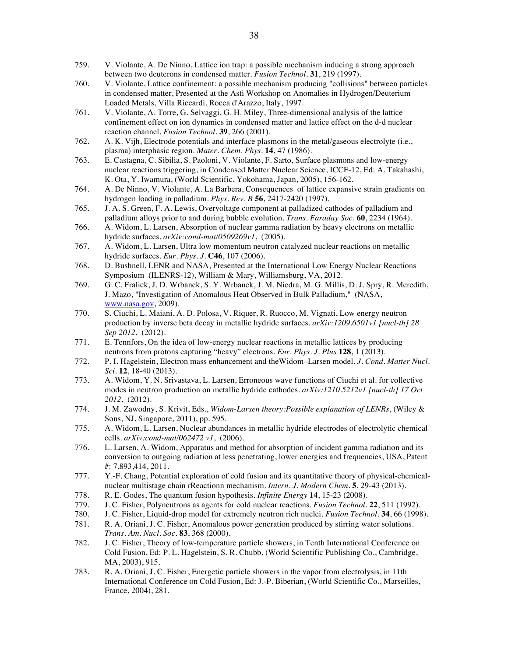- 759. V. Violante, A. De Ninno, Lattice ion trap: a possible mechanism inducing a strong approach between two deuterons in condensed matter. *Fusion Technol.* **31**, 219 (1997).
- 760. V. Violante, Lattice confinement: a possible mechanism producing "collisions" between particles in condensed matter, Presented at the Asti Workshop on Anomalies in Hydrogen/Deuterium Loaded Metals, Villa Riccardi, Rocca d'Arazzo, Italy, 1997.
- 761. V. Violante, A. Torre, G. Selvaggi, G. H. Miley, Three-dimensional analysis of the lattice confinement effect on ion dynamics in condensed matter and lattice effect on the d-d nuclear reaction channel. *Fusion Technol.* **39**, 266 (2001).
- 762. A. K. Vijh, Electrode potentials and interface plasmons in the metal/gaseous electrolyte (i.e., plasma) interphasic region. *Mater. Chem. Phys.* **14**, 47 (1986).
- 763. E. Castagna, C. Sibilia, S. Paoloni, V. Violante, F. Sarto, Surface plasmons and low-energy nuclear reactions triggering, in Condensed Matter Nuclear Science, ICCF-12, Ed: A. Takahashi, K. Ota, Y. Iwamura, (World Scientific, Yokohama, Japan, 2005), 156-162.
- 764. A. De Ninno, V. Violante, A. La Barbera, Consequences of lattice expansive strain gradients on hydrogen loading in palladium. *Phys. Rev. B* **56**, 2417-2420 (1997).
- 765. J. A. S. Green, F. A. Lewis, Overvoltage component at palladized cathodes of palladium and palladium alloys prior to and during bubble evolution. *Trans. Faraday Soc.* **60**, 2234 (1964).
- 766. A. Widom, L. Larsen, Absorption of nuclear gamma radiation by heavy electrons on metallic hydride surfaces. *arXiv:cond-mat/0509269v1*, (2005).
- 767. A. Widom, L. Larsen, Ultra low momentum neutron catalyzed nuclear reactions on metallic hydride surfaces. *Eur. Phys. J.* **C46**, 107 (2006).
- 768. D. Bushnell, LENR and NASA, Presented at the International Low Energy Nuclear Reactions Symposium (ILENRS-12), William & Mary, Williamsburg, VA, 2012.
- 769. G. C. Fralick, J. D. Wrbanek, S. Y. Wrbanek, J. M. Niedra, M. G. Millis, D. J. Spry, R. Meredith, J. Mazo, "Investigation of Anomalous Heat Observed in Bulk Palladium," (NASA, www.nasa.gov, 2009).
- 770. S. Ciuchi, L. Maiani, A. D. Polosa, V. Riquer, R. Ruocco, M. Vignati, Low energy neutron production by inverse beta decay in metallic hydride surfaces. *arXiv:1209.6501v1 [nucl-th] 28 Sep 2012*, (2012).
- 771. E. Tennfors, On the idea of low-energy nuclear reactions in metallic lattices by producing neutrons from protons capturing "heavy" electrons. *Eur. Phys. J. Plus* **128**, 1 (2013).
- 772. P. I. Hagelstein, Electron mass enhancement and theWidom–Larsen model. *J. Cond. Matter Nucl. Sci.* **12**, 18-40 (2013).
- 773. A. Widom, Y. N. Srivastava, L. Larsen, Erroneous wave functions of Ciuchi et al. for collective modes in neutron production on metallic hydride cathodes. *arXiv:1210.5212v1 [nucl-th] 17 Oct 2012*, (2012).
- 774. J. M. Zawodny, S. Krivit, Eds., *Widom-Larsen theory:Possible explanation of LENRs*, (Wiley & Sons, NJ, Singapore, 2011), pp. 595.
- 775. A. Widom, L. Larsen, Nuclear abundances in metallic hydride electrodes of electrolytic chemical cells. *arXiv:cond-mat/062472 v1*, (2006).
- 776. L. Larsen, A. Widom, Apparatus and method for absorption of incident gamma radiation and its conversion to outgoing radiation at less penetrating, lower energies and frequencies, USA, Patent #: 7,893,414, 2011.
- 777. Y.-F. Chang, Potential exploration of cold fusion and its quantitative theory of physical-chemicalnuclear multistage chain rReactionn mechanism. *Intern. J. Modern Chem.* **5**, 29-43 (2013).
- 778. R. E. Godes, The quantum fusion hypothesis. *Infinite Energy* **14**, 15-23 (2008).
- 779. J. C. Fisher, Polyneutrons as agents for cold nuclear reactions. *Fusion Technol.* **22**, 511 (1992).
- 780. J. C. Fisher, Liquid-drop model for extremely neutron rich nuclei. *Fusion Technol.* **34**, 66 (1998).
- 781. R. A. Oriani, J. C. Fisher, Anomalous power generation produced by stirring water solutions. *Trans. Am. Nucl. Soc.* **83**, 368 (2000).
- 782. J. C. Fisher, Theory of low-temperature particle showers, in Tenth International Conference on Cold Fusion, Ed: P. L. Hagelstein, S. R. Chubb, (World Scientific Publishing Co., Cambridge, MA, 2003), 915.
- 783. R. A. Oriani, J. C. Fisher, Energetic particle showers in the vapor from electrolysis, in 11th International Conference on Cold Fusion, Ed: J.-P. Biberian, (World Scientific Co., Marseilles, France, 2004), 281.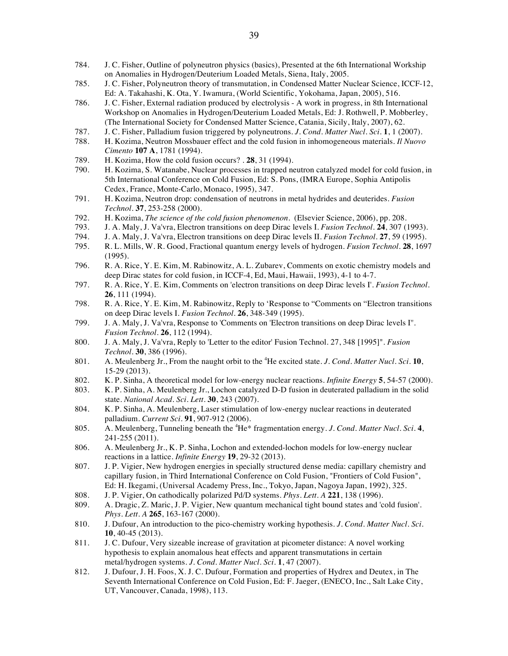- 784. J. C. Fisher, Outline of polyneutron physics (basics), Presented at the 6th International Workship on Anomalies in Hydrogen/Deuterium Loaded Metals, Siena, Italy, 2005.
- 785. J. C. Fisher, Polyneutron theory of transmutation, in Condensed Matter Nuclear Science, ICCF-12, Ed: A. Takahashi, K. Ota, Y. Iwamura, (World Scientific, Yokohama, Japan, 2005), 516.
- 786. J. C. Fisher, External radiation produced by electrolysis A work in progress, in 8th International Workshop on Anomalies in Hydrogen/Deuterium Loaded Metals, Ed: J. Rothwell, P. Mobberley, (The International Society for Condensed Matter Science, Catania, Sicily, Italy, 2007), 62.
- 787. J. C. Fisher, Palladium fusion triggered by polyneutrons. *J. Cond. Matter Nucl. Sci.* **1**, 1 (2007).
- 788. H. Kozima, Neutron Mossbauer effect and the cold fusion in inhomogeneous materials. *Il Nuovo Cimento* **107 A**, 1781 (1994).
- 789. H. Kozima, How the cold fusion occurs? *.* **28**, 31 (1994).
- 790. H. Kozima, S. Watanabe, Nuclear processes in trapped neutron catalyzed model for cold fusion, in 5th International Conference on Cold Fusion, Ed: S. Pons, (IMRA Europe, Sophia Antipolis Cedex, France, Monte-Carlo, Monaco, 1995), 347.
- 791. H. Kozima, Neutron drop: condensation of neutrons in metal hydrides and deuterides. *Fusion Technol.* **37**, 253-258 (2000).
- 792. H. Kozima, *The science of the cold fusion phenomenon*. (Elsevier Science, 2006), pp. 208.
- 793. J. A. Maly, J. Va'vra, Electron transitions on deep Dirac levels I. *Fusion Technol.* **24**, 307 (1993).
- 794. J. A. Maly, J. Va'vra, Electron transitions on deep Dirac levels II. *Fusion Technol.* **27**, 59 (1995).
- 795. R. L. Mills, W. R. Good, Fractional quantum energy levels of hydrogen. *Fusion Technol.* **28**, 1697 (1995).
- 796. R. A. Rice, Y. E. Kim, M. Rabinowitz, A. L. Zubarev, Comments on exotic chemistry models and deep Dirac states for cold fusion, in ICCF-4, Ed, Maui, Hawaii, 1993), 4-1 to 4-7.
- 797. R. A. Rice, Y. E. Kim, Comments on 'electron transitions on deep Dirac levels I'. *Fusion Technol.* **26**, 111 (1994).
- 798. R. A. Rice, Y. E. Kim, M. Rabinowitz, Reply to 'Response to "Comments on "Electron transitions on deep Dirac levels I. *Fusion Technol.* **26**, 348-349 (1995).
- 799. J. A. Maly, J. Va'vra, Response to 'Comments on 'Electron transitions on deep Dirac levels I''. *Fusion Technol.* **26**, 112 (1994).
- 800. J. A. Maly, J. Va'vra, Reply to 'Letter to the editor' Fusion Technol. 27, 348 [1995]". *Fusion Technol.* **30**, 386 (1996).
- 801. A. Meulenberg Jr., From the naught orbit to the <sup>4</sup> He excited state. *J. Cond. Matter Nucl. Sci.* **10**, 15-29 (2013).
- 802. K. P. Sinha, A theoretical model for low-energy nuclear reactions. *Infinite Energy* **5**, 54-57 (2000).
- 803. K. P. Sinha, A. Meulenberg Jr., Lochon catalyzed D-D fusion in deuterated palladium in the solid state. *National Acad. Sci. Lett.* **30**, 243 (2007).
- 804. K. P. Sinha, A. Meulenberg, Laser stimulation of low-energy nuclear reactions in deuterated palladium. *Current Sci.* **91**, 907-912 (2006).
- 805. A. Meulenberg, Tunneling beneath the <sup>4</sup>He\* fragmentation energy. *J. Cond. Matter Nucl. Sci.* 4, 241-255 (2011).
- 806. A. Meulenberg Jr., K. P. Sinha, Lochon and extended-lochon models for low-energy nuclear reactions in a lattice. *Infinite Energy* **19**, 29-32 (2013).
- 807. J. P. Vigier, New hydrogen energies in specially structured dense media: capillary chemistry and capillary fusion, in Third International Conference on Cold Fusion, "Frontiers of Cold Fusion", Ed: H. Ikegami, (Universal Academy Press, Inc., Tokyo, Japan, Nagoya Japan, 1992), 325.
- 808. J. P. Vigier, On cathodically polarized Pd/D systems. *Phys. Lett. A* **221**, 138 (1996).
- 809. A. Dragic, Z. Maric, J. P. Vigier, New quantum mechanical tight bound states and 'cold fusion'. *Phys. Lett. A* **265**, 163-167 (2000).
- 810. J. Dufour, An introduction to the pico-chemistry working hypothesis. *J. Cond. Matter Nucl. Sci.* **10**, 40-45 (2013).
- 811. J. C. Dufour, Very sizeable increase of gravitation at picometer distance: A novel working hypothesis to explain anomalous heat effects and apparent transmutations in certain metal/hydrogen systems. *J. Cond. Matter Nucl. Sci.* **1**, 47 (2007).
- 812. J. Dufour, J. H. Foos, X. J. C. Dufour, Formation and properties of Hydrex and Deutex, in The Seventh International Conference on Cold Fusion, Ed: F. Jaeger, (ENECO, Inc., Salt Lake City, UT, Vancouver, Canada, 1998), 113.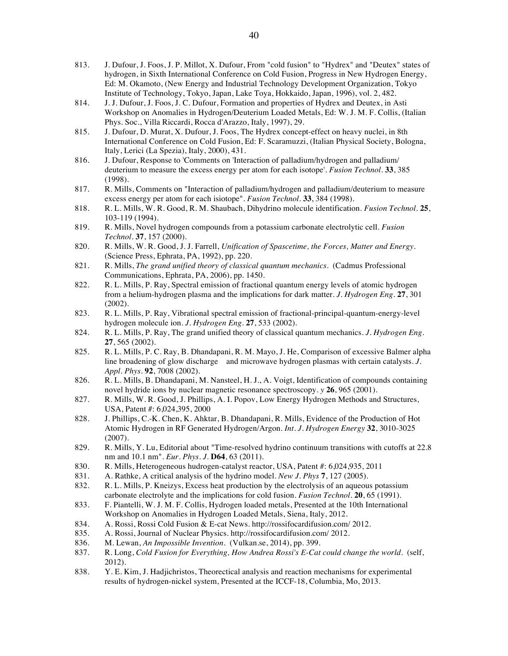- 813. J. Dufour, J. Foos, J. P. Millot, X. Dufour, From "cold fusion" to "Hydrex" and "Deutex" states of hydrogen, in Sixth International Conference on Cold Fusion, Progress in New Hydrogen Energy, Ed: M. Okamoto, (New Energy and Industrial Technology Development Organization, Tokyo Institute of Technology, Tokyo, Japan, Lake Toya, Hokkaido, Japan, 1996), vol. 2, 482.
- 814. J. J. Dufour, J. Foos, J. C. Dufour, Formation and properties of Hydrex and Deutex, in Asti Workshop on Anomalies in Hydrogen/Deuterium Loaded Metals, Ed: W. J. M. F. Collis, (Italian Phys. Soc., Villa Riccardi, Rocca d'Arazzo, Italy, 1997), 29.
- 815. J. Dufour, D. Murat, X. Dufour, J. Foos, The Hydrex concept-effect on heavy nuclei, in 8th International Conference on Cold Fusion, Ed: F. Scaramuzzi, (Italian Physical Society, Bologna, Italy, Lerici (La Spezia), Italy, 2000), 431.
- 816. J. Dufour, Response to 'Comments on 'Interaction of palladium/hydrogen and palladium/ deuterium to measure the excess energy per atom for each isotope'. *Fusion Technol.* **33**, 385 (1998).
- 817. R. Mills, Comments on "Interaction of palladium/hydrogen and palladium/deuterium to measure excess energy per atom for each isiotope". *Fusion Technol.* **33**, 384 (1998).
- 818. R. L. Mills, W. R. Good, R. M. Shaubach, Dihydrino molecule identification. *Fusion Technol.* **25**, 103-119 (1994).
- 819. R. Mills, Novel hydrogen compounds from a potassium carbonate electrolytic cell. *Fusion Technol.* **37**, 157 (2000).
- 820. R. Mills, W. R. Good, J. J. Farrell, *Unification of Spascetime, the Forces, Matter and Energy*. (Science Press, Ephrata, PA, 1992), pp. 220.
- 821. R. Mills, *The grand unified theory of classical quantum mechanics*. (Cadmus Professional Communications, Ephrata, PA, 2006), pp. 1450.
- 822. R. L. Mills, P. Ray, Spectral emission of fractional quantum energy levels of atomic hydrogen from a helium-hydrogen plasma and the implications for dark matter. *J. Hydrogen Eng.* **27**, 301 (2002).
- 823. R. L. Mills, P. Ray, Vibrational spectral emission of fractional-principal-quantum-energy-level hydrogen molecule ion. *J. Hydrogen Eng.* **27**, 533 (2002).
- 824. R. L. Mills, P. Ray, The grand unified theory of classical quantum mechanics. *J. Hydrogen Eng.* **27**, 565 (2002).
- 825. R. L. Mills, P. C. Ray, B. Dhandapani, R. M. Mayo, J. He, Comparison of excessive Balmer alpha line broadening of glow discharge and microwave hydrogen plasmas with certain catalysts. *J. Appl. Phys.* **92**, 7008 (2002).
- 826. R. L. Mills, B. Dhandapani, M. Nansteel, H. J., A. Voigt, Identification of compounds containing novel hydride ions by nuclear magnetic resonance spectroscopy. *y* **26**, 965 (2001).
- 827. R. Mills, W. R. Good, J. Phillips, A. I. Popov, Low Energy Hydrogen Methods and Structures, USA, Patent #: 6,024,395, 2000
- 828. J. Phillips, C.-K. Chen, K. Ahktar, B. Dhandapani, R. Mills, Evidence of the Production of Hot Atomic Hydrogen in RF Generated Hydrogen/Argon. *Int. J. Hydrogen Energy* **32**, 3010-3025 (2007).
- 829. R. Mills, Y. Lu, Editorial about "Time-resolved hydrino continuum transitions with cutoffs at 22.8 nm and 10.1 nm". *Eur. Phys. J.* **D64**, 63 (2011).
- 830. R. Mills, Heterogeneous hudrogen-catalyst reactor, USA, Patent #: 6,024,935, 2011
- 831. A. Rathke, A critical analysis of the hydrino model. *New J. Phys* **7**, 127 (2005).
- 832. R. L. Mills, P. Kneizys, Excess heat production by the electrolysis of an aqueous potassium carbonate electrolyte and the implications for cold fusion. *Fusion Technol.* **20**, 65 (1991).
- 833. F. Piantelli, W. J. M. F. Collis, Hydrogen loaded metals, Presented at the 10th International Workshop on Anomalies in Hydrogen Loaded Metals, Siena, Italy, 2012.
- 834. A. Rossi, Rossi Cold Fusion & E-cat News. http://rossifocardifusion.com/ 2012.
- 835. A. Rossi, Journal of Nuclear Physics. http://rossifocardifusion.com/ 2012.
- 836. M. Lewan, *An Impossible Invention*. (Vulkan.se, 2014), pp. 399.
- 837. R. Long, *Cold Fusion for Everything, How Andrea Rossi's E-Cat could change the world*. (self, 2012).
- 838. Y. E. Kim, J. Hadjichristos, Theorectical analysis and reaction mechanisms for experimental results of hydrogen-nickel system, Presented at the ICCF-18, Columbia, Mo, 2013.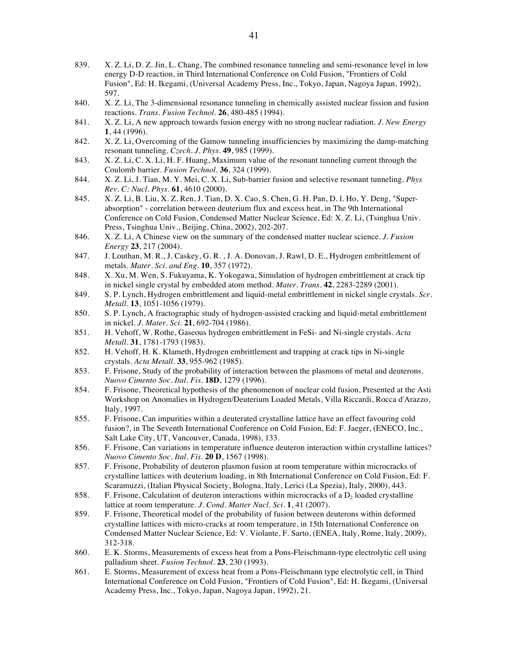- 839. X. Z. Li, D. Z. Jin, L. Chang, The combined resonance tunneling and semi-resonance level in low energy D-D reaction, in Third International Conference on Cold Fusion, "Frontiers of Cold Fusion", Ed: H. Ikegami, (Universal Academy Press, Inc., Tokyo, Japan, Nagoya Japan, 1992), 597.
- 840. X. Z. Li, The 3-dimensional resonance tunneling in chemically assisted nuclear fission and fusion reactions. *Trans. Fusion Technol.* **26**, 480-485 (1994).
- 841. X. Z. Li, A new approach towards fusion energy with no strong nuclear radiation. *J. New Energy* **1**, 44 (1996).
- 842. X. Z. Li, Overcoming of the Gamow tunneling insufficiencies by maximizing the damp-matching resonant tunneling. *Czech. J. Phys.* **49**, 985 (1999).
- 843. X. Z. Li, C. X. Li, H. F. Huang, Maximum value of the resonant tunneling current through the Coulomb barrier. *Fusion Technol.* **36**, 324 (1999).
- 844. X. Z. Li, J. Tian, M. Y. Mei, C. X. Li, Sub-barrier fusion and selective resonant tunneling. *Phys Rev. C: Nucl. Phys.* **61**, 4610 (2000).
- 845. X. Z. Li, B. Liu, X. Z. Ren, J. Tian, D. X. Cao, S. Chen, G. H. Pan, D. l. Ho, Y. Deng, "Superabsorption" - correlation between deuterium flux and excess heat, in The 9th International Conference on Cold Fusion, Condensed Matter Nuclear Science, Ed: X. Z. Li, (Tsinghua Univ. Press, Tsinghua Univ., Beijing, China, 2002), 202-207.
- 846. X. Z. Li, A Chinese view on the summary of the condensed matter nuclear science. *J. Fusion Energy* **23**, 217 (2004).
- 847. J. Louthan, M. R., J. Caskey, G. R. , J. A. Donovan, J. Rawl, D. E., Hydrogen embrittlement of metals. *Mater. Sci. and Eng.* **10**, 357 (1972).
- 848. X. Xu, M. Wen, S. Fukuyama, K. Yokogawa, Simulation of hydrogen embrittlement at crack tip in nickel single crystal by embedded atom method. *Mater. Trans.* **42**, 2283-2289 (2001).
- 849. S. P. Lynch, Hydrogen embrittlement and liquid-metal embrittlement in nickel single crystals. *Scr. Metall.* **13**, 1051-1056 (1979).
- 850. S. P. Lynch, A fractographic study of hydrogen-assisted cracking and liquid-metal embrittlement in nickel. *J. Mater. Sci.* **21**, 692-704 (1986).
- 851. H. Vehoff, W. Rothe, Gaseous hydrogen embrittlement in FeSi- and Ni-single crystals. *Acta Metall.* **31**, 1781-1793 (1983).
- 852. H. Vehoff, H. K. Klameth, Hydrogen embrittlement and trapping at crack tips in Ni-single crystals. *Acta Metall.* **33**, 955-962 (1985).
- 853. F. Frisone, Study of the probability of interaction between the plasmons of metal and deuterons. *Nuovo Cimento Soc. Ital. Fis.* **18D**, 1279 (1996).
- 854. F. Frisone, Theoretical hypothesis of the phenomenon of nuclear cold fusion, Presented at the Asti Workshop on Anomalies in Hydrogen/Deuterium Loaded Metals, Villa Riccardi, Rocca d'Arazzo, Italy, 1997.
- 855. F. Frisone, Can impurities within a deuterated crystalline lattice have an effect favouring cold fusion?, in The Seventh International Conference on Cold Fusion, Ed: F. Jaeger, (ENECO, Inc., Salt Lake City, UT, Vancouver, Canada, 1998), 133.
- 856. F. Frisone, Can variations in temperature influence deuteron interaction within crystalline lattices? *Nuovo Cimento Soc. Ital. Fis.* **20 D**, 1567 (1998).
- 857. F. Frisone, Probability of deuteron plasmon fusion at room temperature within microcracks of crystalline lattices with deuterium loading, in 8th International Conference on Cold Fusion, Ed: F. Scaramuzzi, (Italian Physical Society, Bologna, Italy, Lerici (La Spezia), Italy, 2000), 443.
- 858. F. Frisone, Calculation of deuteron interactions within microcracks of a  $D<sub>2</sub>$  loaded crystalline lattice at room temperature. *J. Cond. Matter Nucl. Sci.* **1**, 41 (2007).
- 859. F. Frisone, Theoretical model of the probability of fusion between deuterons within deformed crystalline lattices with micro-cracks at room temperature, in 15th International Conference on Condensed Matter Nuclear Science, Ed: V. Violante, F. Sarto, (ENEA, Italy, Rome, Italy, 2009), 312-318.
- 860. E. K. Storms, Measurements of excess heat from a Pons-Fleischmann-type electrolytic cell using palladium sheet. *Fusion Technol.* **23**, 230 (1993).
- 861. E. Storms, Measurement of excess heat from a Pons-Fleischmann type electrolytic cell, in Third International Conference on Cold Fusion, "Frontiers of Cold Fusion", Ed: H. Ikegami, (Universal Academy Press, Inc., Tokyo, Japan, Nagoya Japan, 1992), 21.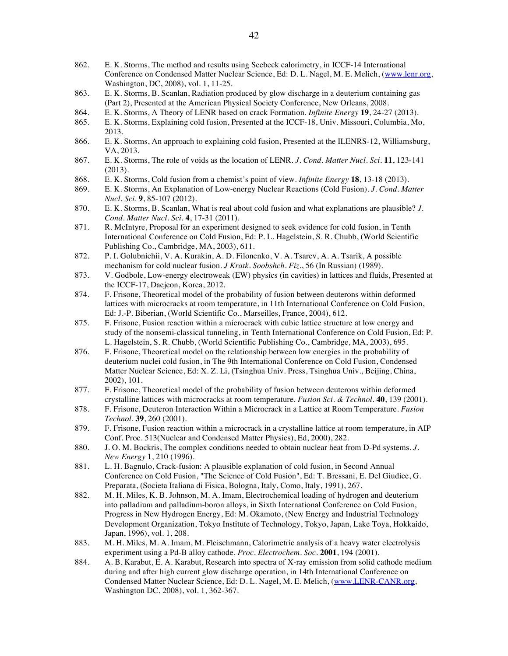- 862. E. K. Storms, The method and results using Seebeck calorimetry, in ICCF-14 International Conference on Condensed Matter Nuclear Science, Ed: D. L. Nagel, M. E. Melich, (www.lenr.org, Washington, DC, 2008), vol. 1, 11-25.
- 863. E. K. Storms, B. Scanlan, Radiation produced by glow discharge in a deuterium containing gas (Part 2), Presented at the American Physical Society Conference, New Orleans, 2008.
- 864. E. K. Storms, A Theory of LENR based on crack Formation. *Infinite Energy* **19**, 24-27 (2013).
- 865. E. K. Storms, Explaining cold fusion, Presented at the ICCF-18, Univ. Missouri, Columbia, Mo, 2013.
- 866. E. K. Storms, An approach to explaining cold fusion, Presented at the ILENRS-12, Williamsburg, VA, 2013.
- 867. E. K. Storms, The role of voids as the location of LENR. *J. Cond. Matter Nucl. Sci.* **11**, 123-141 (2013).
- 868. E. K. Storms, Cold fusion from a chemist's point of view. *Infinite Energy* **18**, 13-18 (2013).
- 869. E. K. Storms, An Explanation of Low-energy Nuclear Reactions (Cold Fusion). *J. Cond. Matter Nucl. Sci.* **9**, 85-107 (2012).
- 870. E. K. Storms, B. Scanlan, What is real about cold fusion and what explanations are plausible? *J. Cond. Matter Nucl. Sci.* **4**, 17-31 (2011).
- 871. R. McIntyre, Proposal for an experiment designed to seek evidence for cold fusion, in Tenth International Conference on Cold Fusion, Ed: P. L. Hagelstein, S. R. Chubb, (World Scientific Publishing Co., Cambridge, MA, 2003), 611.
- 872. P. I. Golubnichii, V. A. Kurakin, A. D. Filonenko, V. A. Tsarev, A. A. Tsarik, A possible mechanism for cold nuclear fusion. *J Kratk. Soobshch. Fiz.*, 56 (In Russian) (1989).
- 873. V. Godbole, Low-energy electroweak (EW) physics (in cavities) in lattices and fluids, Presented at the ICCF-17, Daejeon, Korea, 2012.
- 874. F. Frisone, Theoretical model of the probability of fusion between deuterons within deformed lattices with microcracks at room temperature, in 11th International Conference on Cold Fusion, Ed: J.-P. Biberian, (World Scientific Co., Marseilles, France, 2004), 612.
- 875. F. Frisone, Fusion reaction within a microcrack with cubic lattice structure at low energy and study of the nonsemi-classical tunneling, in Tenth International Conference on Cold Fusion, Ed: P. L. Hagelstein, S. R. Chubb, (World Scientific Publishing Co., Cambridge, MA, 2003), 695.
- 876. F. Frisone, Theoretical model on the relationship between low energies in the probability of deuterium nuclei cold fusion, in The 9th International Conference on Cold Fusion, Condensed Matter Nuclear Science, Ed: X. Z. Li, (Tsinghua Univ. Press, Tsinghua Univ., Beijing, China, 2002), 101.
- 877. F. Frisone, Theoretical model of the probability of fusion between deuterons within deformed crystalline lattices with microcracks at room temperature. *Fusion Sci. & Technol.* **40**, 139 (2001).
- 878. F. Frisone, Deuteron Interaction Within a Microcrack in a Lattice at Room Temperature. *Fusion Technol.* **39**, 260 (2001).
- 879. F. Frisone, Fusion reaction within a microcrack in a crystalline lattice at room temperature, in AIP Conf. Proc. 513(Nuclear and Condensed Matter Physics), Ed, 2000), 282.
- 880. J. O. M. Bockris, The complex conditions needed to obtain nuclear heat from D-Pd systems. *J. New Energy* **1**, 210 (1996).
- 881. L. H. Bagnulo, Crack-fusion: A plausible explanation of cold fusion, in Second Annual Conference on Cold Fusion, "The Science of Cold Fusion", Ed: T. Bressani, E. Del Giudice, G. Preparata, (Societa Italiana di Fisica, Bologna, Italy, Como, Italy, 1991), 267.
- 882. M. H. Miles, K. B. Johnson, M. A. Imam, Electrochemical loading of hydrogen and deuterium into palladium and palladium-boron alloys, in Sixth International Conference on Cold Fusion, Progress in New Hydrogen Energy, Ed: M. Okamoto, (New Energy and Industrial Technology Development Organization, Tokyo Institute of Technology, Tokyo, Japan, Lake Toya, Hokkaido, Japan, 1996), vol. 1, 208.
- 883. M. H. Miles, M. A. Imam, M. Fleischmann, Calorimetric analysis of a heavy water electrolysis experiment using a Pd-B alloy cathode. *Proc. Electrochem. Soc.* **2001**, 194 (2001).
- 884. A. B. Karabut, E. A. Karabut, Research into spectra of X-ray emission from solid cathode medium during and after high current glow discharge operation, in 14th International Conference on Condensed Matter Nuclear Science, Ed: D. L. Nagel, M. E. Melich, (www.LENR-CANR.org, Washington DC, 2008), vol. 1, 362-367.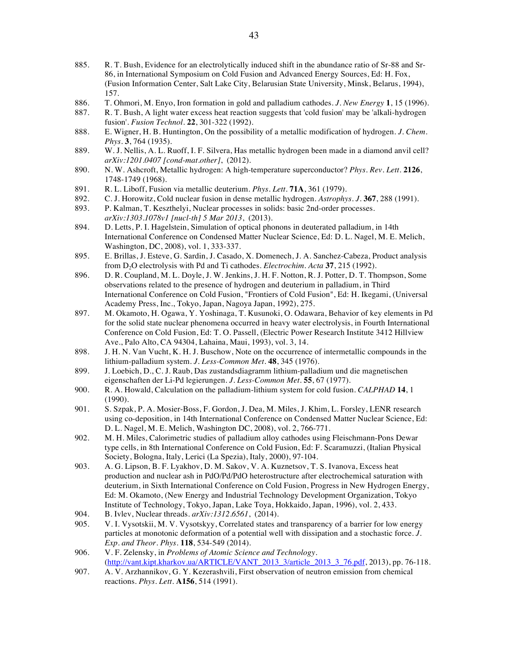- 885. R. T. Bush, Evidence for an electrolytically induced shift in the abundance ratio of Sr-88 and Sr-86, in International Symposium on Cold Fusion and Advanced Energy Sources, Ed: H. Fox, (Fusion Information Center, Salt Lake City, Belarusian State University, Minsk, Belarus, 1994), 157.
- 886. T. Ohmori, M. Enyo, Iron formation in gold and palladium cathodes. *J. New Energy* **1**, 15 (1996).
- 887. R. T. Bush, A light water excess heat reaction suggests that 'cold fusion' may be 'alkali-hydrogen fusion'. *Fusion Technol.* **22**, 301-322 (1992).
- 888. E. Wigner, H. B. Huntington, On the possibility of a metallic modification of hydrogen. *J. Chem. Phys.* **3**, 764 (1935).
- 889. W. J. Nellis, A. L. Ruoff, I. F. Silvera, Has metallic hydrogen been made in a diamond anvil cell? *arXiv:1201.0407 [cond-mat.other]*, (2012).
- 890. N. W. Ashcroft, Metallic hydrogen: A high-temperature superconductor? *Phys. Rev. Lett.* **2126**, 1748-1749 (1968).
- 891. R. L. Liboff, Fusion via metallic deuterium. *Phys. Lett.* **71A**, 361 (1979).
- 892. C. J. Horowitz, Cold nuclear fusion in dense metallic hydrogen. *Astrophys. J.* **367**, 288 (1991).
- 893. P. Kalman, T. Keszthelyi, Nuclear processes in solids: basic 2nd-order processes. *arXiv:1303.1078v1 [nucl-th] 5 Mar 2013*, (2013).
- 894. D. Letts, P. I. Hagelstein, Simulation of optical phonons in deuterated palladium, in 14th International Conference on Condensed Matter Nuclear Science, Ed: D. L. Nagel, M. E. Melich, Washington, DC, 2008), vol. 1, 333-337.
- 895. E. Brillas, J. Esteve, G. Sardin, J. Casado, X. Domenech, J. A. Sanchez-Cabeza, Product analysis from D2O electrolysis with Pd and Ti cathodes. *Electrochim. Acta* **37**, 215 (1992).
- 896. D. R. Coupland, M. L. Doyle, J. W. Jenkins, J. H. F. Notton, R. J. Potter, D. T. Thompson, Some observations related to the presence of hydrogen and deuterium in palladium, in Third International Conference on Cold Fusion, "Frontiers of Cold Fusion", Ed: H. Ikegami, (Universal Academy Press, Inc., Tokyo, Japan, Nagoya Japan, 1992), 275.
- 897. M. Okamoto, H. Ogawa, Y. Yoshinaga, T. Kusunoki, O. Odawara, Behavior of key elements in Pd for the solid state nuclear phenomena occurred in heavy water electrolysis, in Fourth International Conference on Cold Fusion, Ed: T. O. Passell, (Electric Power Research Institute 3412 Hillview Ave., Palo Alto, CA 94304, Lahaina, Maui, 1993), vol. 3, 14.
- 898. J. H. N. Van Vucht, K. H. J. Buschow, Note on the occurrence of intermetallic compounds in the lithium-palladium system. *J. Less-Common Met.* **48**, 345 (1976).
- 899. J. Loebich, D., C. J. Raub, Das zustandsdiagramm lithium-palladium und die magnetischen eigenschaften der Li-Pd legierungen. *J. Less-Common Met.* **55**, 67 (1977).
- 900. R. A. Howald, Calculation on the palladium-lithium system for cold fusion. *CALPHAD* **14**, 1 (1990).
- 901. S. Szpak, P. A. Mosier-Boss, F. Gordon, J. Dea, M. Miles, J. Khim, L. Forsley, LENR research using co-deposition, in 14th International Conference on Condensed Matter Nuclear Science, Ed: D. L. Nagel, M. E. Melich, Washington DC, 2008), vol. 2, 766-771.
- 902. M. H. Miles, Calorimetric studies of palladium alloy cathodes using Fleischmann-Pons Dewar type cells, in 8th International Conference on Cold Fusion, Ed: F. Scaramuzzi, (Italian Physical Society, Bologna, Italy, Lerici (La Spezia), Italy, 2000), 97-104.
- 903. A. G. Lipson, B. F. Lyakhov, D. M. Sakov, V. A. Kuznetsov, T. S. Ivanova, Excess heat production and nuclear ash in PdO/Pd/PdO heterostructure after electrochemical saturation with deuterium, in Sixth International Conference on Cold Fusion, Progress in New Hydrogen Energy, Ed: M. Okamoto, (New Energy and Industrial Technology Development Organization, Tokyo Institute of Technology, Tokyo, Japan, Lake Toya, Hokkaido, Japan, 1996), vol. 2, 433.
- 904. B. Ivlev, Nuclear threads. *arXiv:1312.6561*, (2014).
- 905. V. I. Vysotskii, M. V. Vysotskyy, Correlated states and transparency of a barrier for low energy particles at monotonic deformation of a potential well with dissipation and a stochastic force. *J. Exp. and Theor. Phys.* **118**, 534-549 (2014).
- 906. V. F. Zelensky, in *Problems of Atomic Science and Technology*. (http://vant.kipt.kharkov.ua/ARTICLE/VANT\_2013\_3/article\_2013\_3\_76.pdf, 2013), pp. 76-118.
- 907. A. V. Arzhannikov, G. Y. Kezerashvili, First observation of neutron emission from chemical reactions. *Phys. Lett.* **A156**, 514 (1991).